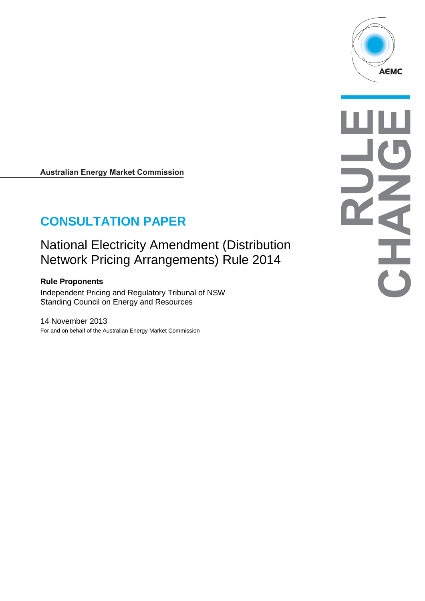

# **CONSULTATION PAPER**

# National Electricity Amendment (Distribution Network Pricing Arrangements) Rule 2014

#### **Rule Proponents**

Independent Pricing and Regulatory Tribunal of NSW Standing Council on Energy and Resources

14 November 2013 For and on behalf of the Australian Energy Market Commission

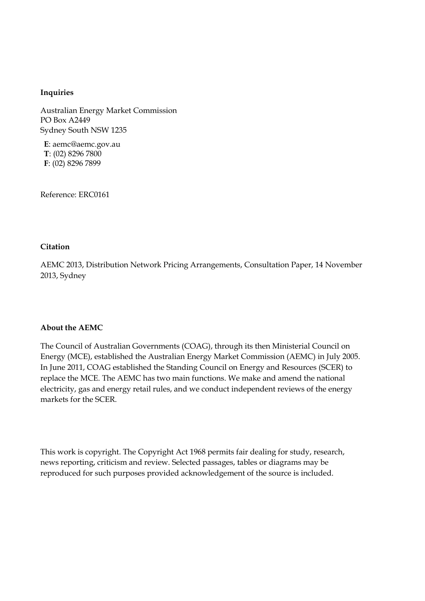#### **Inquiries**

Australian Energy Market Commission PO Box A2449 Sydney South NSW 1235

**E**: aemc@aemc.gov.au **T**: (02) 8296 7800 **F**: (02) 8296 7899

Reference: ERC0161

#### **Citation**

AEMC 2013, Distribution Network Pricing Arrangements, Consultation Paper, 14 November 2013, Sydney

#### **About the AEMC**

The Council of Australian Governments (COAG), through its then Ministerial Council on Energy (MCE), established the Australian Energy Market Commission (AEMC) in July 2005. In June 2011, COAG established the Standing Council on Energy and Resources (SCER) to replace the MCE. The AEMC has two main functions. We make and amend the national electricity, gas and energy retail rules, and we conduct independent reviews of the energy markets for the SCER.

This work is copyright. The Copyright Act 1968 permits fair dealing for study, research, news reporting, criticism and review. Selected passages, tables or diagrams may be reproduced for such purposes provided acknowledgement of the source is included.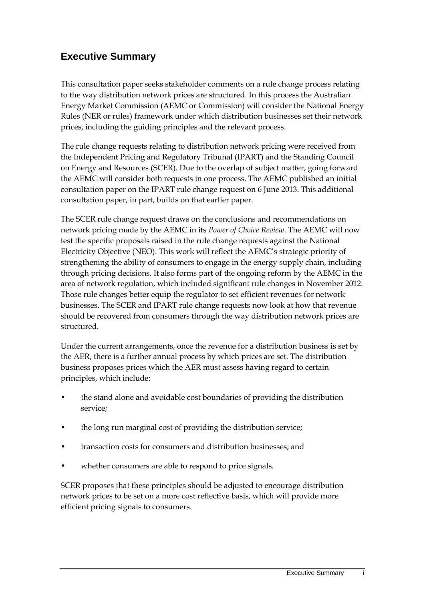## **Executive Summary**

This consultation paper seeks stakeholder comments on a rule change process relating to the way distribution network prices are structured. In this process the Australian Energy Market Commission (AEMC or Commission) will consider the National Energy Rules (NER or rules) framework under which distribution businesses set their network prices, including the guiding principles and the relevant process.

The rule change requests relating to distribution network pricing were received from the Independent Pricing and Regulatory Tribunal (IPART) and the Standing Council on Energy and Resources (SCER). Due to the overlap of subject matter, going forward the AEMC will consider both requests in one process. The AEMC published an initial consultation paper on the IPART rule change request on 6 June 2013. This additional consultation paper, in part, builds on that earlier paper.

The SCER rule change request draws on the conclusions and recommendations on network pricing made by the AEMC in its *Power of Choice Review*. The AEMC will now test the specific proposals raised in the rule change requests against the National Electricity Objective (NEO). This work will reflect the AEMC's strategic priority of strengthening the ability of consumers to engage in the energy supply chain, including through pricing decisions. It also forms part of the ongoing reform by the AEMC in the area of network regulation, which included significant rule changes in November 2012. Those rule changes better equip the regulator to set efficient revenues for network businesses. The SCER and IPART rule change requests now look at how that revenue should be recovered from consumers through the way distribution network prices are structured.

Under the current arrangements, once the revenue for a distribution business is set by the AER, there is a further annual process by which prices are set. The distribution business proposes prices which the AER must assess having regard to certain principles, which include:

- the stand alone and avoidable cost boundaries of providing the distribution service;
- the long run marginal cost of providing the distribution service;
- transaction costs for consumers and distribution businesses; and
- whether consumers are able to respond to price signals.

SCER proposes that these principles should be adjusted to encourage distribution network prices to be set on a more cost reflective basis, which will provide more efficient pricing signals to consumers.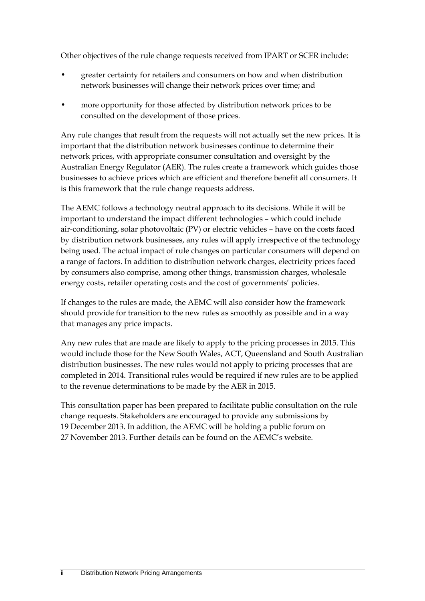Other objectives of the rule change requests received from IPART or SCER include:

- greater certainty for retailers and consumers on how and when distribution network businesses will change their network prices over time; and
- more opportunity for those affected by distribution network prices to be consulted on the development of those prices.

Any rule changes that result from the requests will not actually set the new prices. It is important that the distribution network businesses continue to determine their network prices, with appropriate consumer consultation and oversight by the Australian Energy Regulator (AER). The rules create a framework which guides those businesses to achieve prices which are efficient and therefore benefit all consumers. It is this framework that the rule change requests address.

The AEMC follows a technology neutral approach to its decisions. While it will be important to understand the impact different technologies – which could include air-conditioning, solar photovoltaic (PV) or electric vehicles – have on the costs faced by distribution network businesses, any rules will apply irrespective of the technology being used. The actual impact of rule changes on particular consumers will depend on a range of factors. In addition to distribution network charges, electricity prices faced by consumers also comprise, among other things, transmission charges, wholesale energy costs, retailer operating costs and the cost of governments' policies.

If changes to the rules are made, the AEMC will also consider how the framework should provide for transition to the new rules as smoothly as possible and in a way that manages any price impacts.

Any new rules that are made are likely to apply to the pricing processes in 2015. This would include those for the New South Wales, ACT, Queensland and South Australian distribution businesses. The new rules would not apply to pricing processes that are completed in 2014. Transitional rules would be required if new rules are to be applied to the revenue determinations to be made by the AER in 2015.

This consultation paper has been prepared to facilitate public consultation on the rule change requests. Stakeholders are encouraged to provide any submissions by 19 December 2013. In addition, the AEMC will be holding a public forum on 27 November 2013. Further details can be found on the AEMC's website.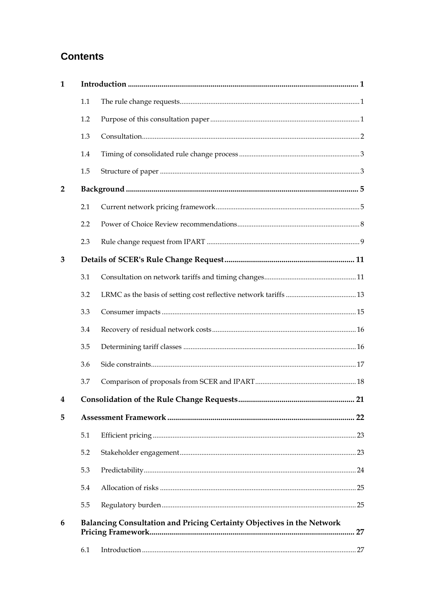## **Contents**

| $\mathbf{1}$   |                                                                        |  |  |  |
|----------------|------------------------------------------------------------------------|--|--|--|
|                | 1.1                                                                    |  |  |  |
|                | 1.2                                                                    |  |  |  |
|                | 1.3                                                                    |  |  |  |
|                | 1.4                                                                    |  |  |  |
|                | 1.5                                                                    |  |  |  |
| $\overline{2}$ |                                                                        |  |  |  |
|                | 2.1                                                                    |  |  |  |
|                | 2.2                                                                    |  |  |  |
|                | 2.3                                                                    |  |  |  |
| 3              |                                                                        |  |  |  |
|                | 3.1                                                                    |  |  |  |
|                | 3.2                                                                    |  |  |  |
|                | 3.3                                                                    |  |  |  |
|                | 3.4                                                                    |  |  |  |
|                | 3.5                                                                    |  |  |  |
|                | 3.6                                                                    |  |  |  |
|                | 3.7                                                                    |  |  |  |
| $\overline{4}$ |                                                                        |  |  |  |
| 5              |                                                                        |  |  |  |
|                | 5.1                                                                    |  |  |  |
|                | 5.2                                                                    |  |  |  |
|                | 5.3                                                                    |  |  |  |
|                | 5.4                                                                    |  |  |  |
|                | 5.5                                                                    |  |  |  |
| 6              | Balancing Consultation and Pricing Certainty Objectives in the Network |  |  |  |
|                | 6.1                                                                    |  |  |  |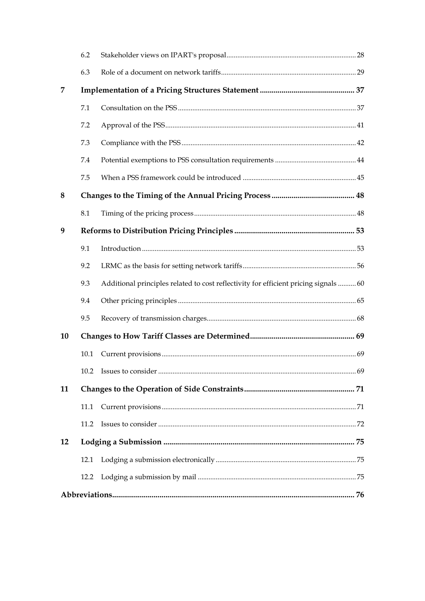|    | 6.2  |                                                                                      |  |  |
|----|------|--------------------------------------------------------------------------------------|--|--|
|    | 6.3  |                                                                                      |  |  |
| 7  |      |                                                                                      |  |  |
|    | 7.1  |                                                                                      |  |  |
|    | 7.2  |                                                                                      |  |  |
|    | 7.3  |                                                                                      |  |  |
|    | 7.4  |                                                                                      |  |  |
|    | 7.5  |                                                                                      |  |  |
| 8  |      |                                                                                      |  |  |
|    | 8.1  |                                                                                      |  |  |
| 9  |      |                                                                                      |  |  |
|    | 9.1  |                                                                                      |  |  |
|    | 9.2  |                                                                                      |  |  |
|    | 9.3  | Additional principles related to cost reflectivity for efficient pricing signals  60 |  |  |
|    | 9.4  |                                                                                      |  |  |
|    | 9.5  |                                                                                      |  |  |
| 10 |      |                                                                                      |  |  |
|    | 10.1 |                                                                                      |  |  |
|    |      |                                                                                      |  |  |
| 11 |      |                                                                                      |  |  |
|    | 11.1 |                                                                                      |  |  |
|    | 11.2 |                                                                                      |  |  |
| 12 |      |                                                                                      |  |  |
|    | 12.1 |                                                                                      |  |  |
|    | 12.2 |                                                                                      |  |  |
|    |      |                                                                                      |  |  |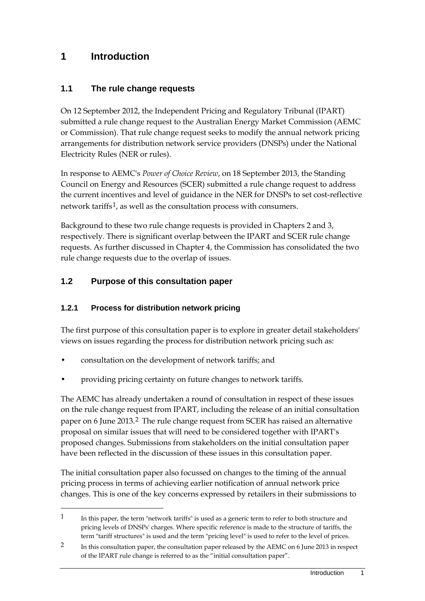### <span id="page-6-0"></span>**1 Introduction**

#### <span id="page-6-1"></span>**1.1 The rule change requests**

On 12 September 2012, the Independent Pricing and Regulatory Tribunal (IPART) submitted a rule change request to the Australian Energy Market Commission (AEMC or Commission). That rule change request seeks to modify the annual network pricing arrangements for distribution network service providers (DNSPs) under the National Electricity Rules (NER or rules).

In response to AEMC's *Power of Choice Review*, on 18 September 2013, the Standing Council on Energy and Resources (SCER) submitted a rule change request to address the current incentives and level of guidance in the NER for DNSPs to set cost-reflective network tariffs<sup>[1](#page-6-3)</sup>, as well as the consultation process with consumers.

Background to these two rule change requests is provided in Chapter[s 2](#page-10-0) and [3,](#page-16-0) respectively. There is significant overlap between the IPART and SCER rule change requests. As further discussed in Chapter [4,](#page-26-0) the Commission has consolidated the two rule change requests due to the overlap of issues.

#### <span id="page-6-2"></span>**1.2 Purpose of this consultation paper**

#### **1.2.1 Process for distribution network pricing**

-

The first purpose of this consultation paper is to explore in greater detail stakeholders' views on issues regarding the process for distribution network pricing such as:

- consultation on the development of network tariffs; and
- providing pricing certainty on future changes to network tariffs.

The AEMC has already undertaken a round of consultation in respect of these issues on the rule change request from IPART, including the release of an initial consultation paper on 6 June 2013.[2](#page-6-4) The rule change request from SCER has raised an alternative proposal on similar issues that will need to be considered together with IPART's proposed changes. Submissions from stakeholders on the initial consultation paper have been reflected in the discussion of these issues in this consultation paper.

The initial consultation paper also focussed on changes to the timing of the annual pricing process in terms of achieving earlier notification of annual network price changes. This is one of the key concerns expressed by retailers in their submissions to

<span id="page-6-3"></span><sup>&</sup>lt;sup>1</sup> In this paper, the term "network tariffs" is used as a generic term to refer to both structure and pricing levels of DNSPs' charges. Where specific reference is made to the structure of tariffs, the term "tariff structures" is used and the term "pricing level" is used to refer to the level of prices.

<span id="page-6-4"></span><sup>2</sup> In this consultation paper, the consultation paper released by the AEMC on 6 June 2013 in respect of the IPART rule change is referred to as the "initial consultation paper".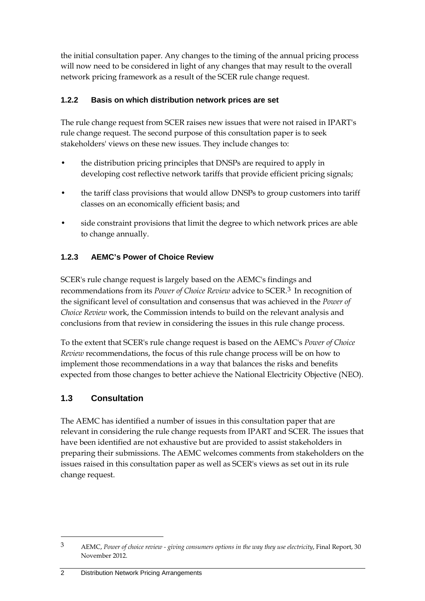the initial consultation paper. Any changes to the timing of the annual pricing process will now need to be considered in light of any changes that may result to the overall network pricing framework as a result of the SCER rule change request.

#### **1.2.2 Basis on which distribution network prices are set**

The rule change request from SCER raises new issues that were not raised in IPART's rule change request. The second purpose of this consultation paper is to seek stakeholders' views on these new issues. They include changes to:

- the distribution pricing principles that DNSPs are required to apply in developing cost reflective network tariffs that provide efficient pricing signals;
- the tariff class provisions that would allow DNSPs to group customers into tariff classes on an economically efficient basis; and
- side constraint provisions that limit the degree to which network prices are able to change annually.

### **1.2.3 AEMC's Power of Choice Review**

SCER's rule change request is largely based on the AEMC's findings and recommendations from its *Power of Choice Review* advice to SCER.[3](#page-7-1) In recognition of the significant level of consultation and consensus that was achieved in the *Power of Choice Review* work, the Commission intends to build on the relevant analysis and conclusions from that review in considering the issues in this rule change process.

To the extent that SCER's rule change request is based on the AEMC's *Power of Choice Review* recommendations, the focus of this rule change process will be on how to implement those recommendations in a way that balances the risks and benefits expected from those changes to better achieve the National Electricity Objective (NEO).

### <span id="page-7-0"></span>**1.3 Consultation**

-

The AEMC has identified a number of issues in this consultation paper that are relevant in considering the rule change requests from IPART and SCER. The issues that have been identified are not exhaustive but are provided to assist stakeholders in preparing their submissions. The AEMC welcomes comments from stakeholders on the issues raised in this consultation paper as well as SCER's views as set out in its rule change request.

2 Distribution Network Pricing Arrangements

<span id="page-7-1"></span><sup>3</sup> AEMC, *Power of choice review - giving consumers options in the way they use electricity*, Final Report, 30 November 2012.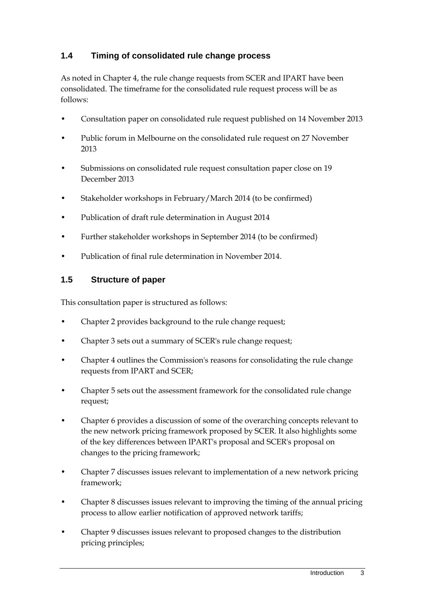### <span id="page-8-0"></span>**1.4 Timing of consolidated rule change process**

As noted in Chapter [4,](#page-26-0) the rule change requests from SCER and IPART have been consolidated. The timeframe for the consolidated rule request process will be as follows:

- Consultation paper on consolidated rule request published on 14 November 2013
- Public forum in Melbourne on the consolidated rule request on 27 November 2013
- Submissions on consolidated rule request consultation paper close on 19 December 2013
- Stakeholder workshops in February/March 2014 (to be confirmed)
- Publication of draft rule determination in August 2014
- Further stakeholder workshops in September 2014 (to be confirmed)
- Publication of final rule determination in November 2014.

#### <span id="page-8-1"></span>**1.5 Structure of paper**

This consultation paper is structured as follows:

- Chapter 2 provides background to the rule change request;
- Chapter 3 sets out a summary of SCER's rule change request;
- Chapter 4 outlines the Commission's reasons for consolidating the rule change requests from IPART and SCER;
- Chapter 5 sets out the assessment framework for the consolidated rule change request;
- Chapter 6 provides a discussion of some of the overarching concepts relevant to the new network pricing framework proposed by SCER. It also highlights some of the key differences between IPART's proposal and SCER's proposal on changes to the pricing framework;
- Chapter 7 discusses issues relevant to implementation of a new network pricing framework;
- Chapter 8 discusses issues relevant to improving the timing of the annual pricing process to allow earlier notification of approved network tariffs;
- Chapter 9 discusses issues relevant to proposed changes to the distribution pricing principles;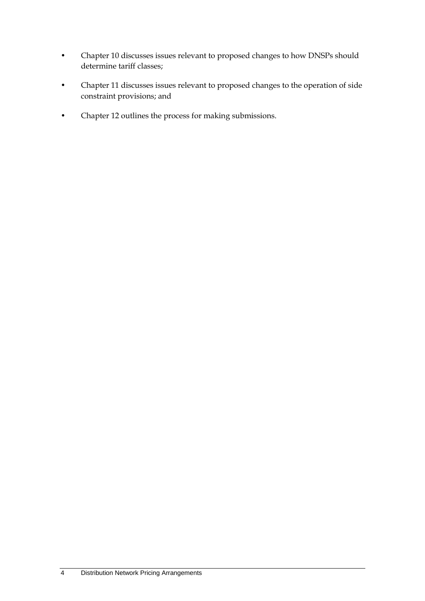- Chapter 10 discusses issues relevant to proposed changes to how DNSPs should determine tariff classes;
- Chapter 11 discusses issues relevant to proposed changes to the operation of side constraint provisions; and
- Chapter 12 outlines the process for making submissions.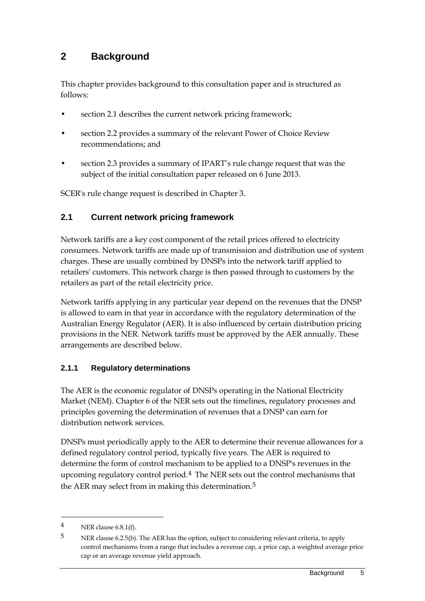### <span id="page-10-0"></span>**2 Background**

This chapter provides background to this consultation paper and is structured as follows:

- section 2.1 describes the current network pricing framework;
- section 2.2 provides a summary of the relevant Power of Choice Review recommendations; and
- section 2.3 provides a summary of IPART's rule change request that was the subject of the initial consultation paper released on 6 June 2013.

SCER's rule change request is described in Chapter 3.

### <span id="page-10-1"></span>**2.1 Current network pricing framework**

Network tariffs are a key cost component of the retail prices offered to electricity consumers. Network tariffs are made up of transmission and distribution use of system charges. These are usually combined by DNSPs into the network tariff applied to retailers' customers. This network charge is then passed through to customers by the retailers as part of the retail electricity price.

Network tariffs applying in any particular year depend on the revenues that the DNSP is allowed to earn in that year in accordance with the regulatory determination of the Australian Energy Regulator (AER). It is also influenced by certain distribution pricing provisions in the NER. Network tariffs must be approved by the AER annually. These arrangements are described below.

### **2.1.1 Regulatory determinations**

The AER is the economic regulator of DNSPs operating in the National Electricity Market (NEM). Chapter 6 of the NER sets out the timelines, regulatory processes and principles governing the determination of revenues that a DNSP can earn for distribution network services.

DNSPs must periodically apply to the AER to determine their revenue allowances for a defined regulatory control period, typically five years. The AER is required to determine the form of control mechanism to be applied to a DNSP's revenues in the upcoming regulatory control period.<sup>[4](#page-10-2)</sup> The NER sets out the control mechanisms that the AER may select from in making this determination.<sup>[5](#page-10-3)</sup>

<span id="page-10-2"></span><sup>4</sup> NER clause 6.8.1(f).

<span id="page-10-3"></span><sup>5</sup> NER clause 6.2.5(b). The AER has the option, subject to considering relevant criteria, to apply control mechanisms from a range that includes a revenue cap, a price cap, a weighted average price cap or an average revenue yield approach.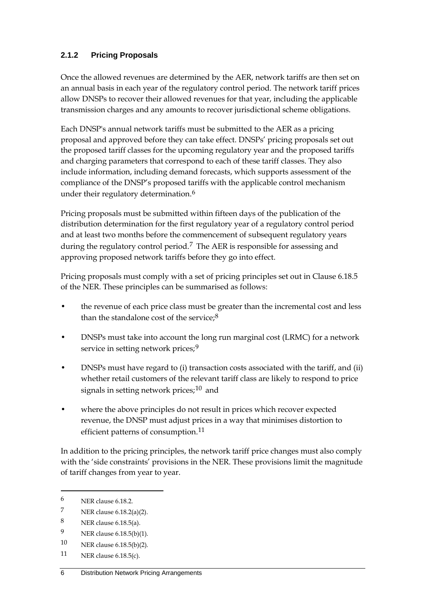### **2.1.2 Pricing Proposals**

Once the allowed revenues are determined by the AER, network tariffs are then set on an annual basis in each year of the regulatory control period. The network tariff prices allow DNSPs to recover their allowed revenues for that year, including the applicable transmission charges and any amounts to recover jurisdictional scheme obligations.

Each DNSP's annual network tariffs must be submitted to the AER as a pricing proposal and approved before they can take effect. DNSPs' pricing proposals set out the proposed tariff classes for the upcoming regulatory year and the proposed tariffs and charging parameters that correspond to each of these tariff classes. They also include information, including demand forecasts, which supports assessment of the compliance of the DNSP's proposed tariffs with the applicable control mechanism under their regulatory determination.<sup>[6](#page-11-0)</sup>

Pricing proposals must be submitted within fifteen days of the publication of the distribution determination for the first regulatory year of a regulatory control period and at least two months before the commencement of subsequent regulatory years during the regulatory control period.<sup>[7](#page-11-1)</sup> The AER is responsible for assessing and approving proposed network tariffs before they go into effect.

Pricing proposals must comply with a set of pricing principles set out in Clause 6.18.5 of the NER. These principles can be summarised as follows:

- the revenue of each price class must be greater than the incremental cost and less than the standalone cost of the service; $8$
- DNSPs must take into account the long run marginal cost (LRMC) for a network service in setting network prices;<sup>[9](#page-11-3)</sup>
- DNSPs must have regard to (i) transaction costs associated with the tariff, and (ii) whether retail customers of the relevant tariff class are likely to respond to price signals in setting network prices; $10$  and
- where the above principles do not result in prices which recover expected revenue, the DNSP must adjust prices in a way that minimises distortion to efficient patterns of consumption.<sup>[11](#page-11-5)</sup>

In addition to the pricing principles, the network tariff price changes must also comply with the 'side constraints' provisions in the NER. These provisions limit the magnitude of tariff changes from year to year.

<span id="page-11-0"></span><sup>6</sup> NER clause 6.18.2.

<span id="page-11-1"></span><sup>7</sup> NER clause  $6.18.2(a)(2)$ .

<span id="page-11-2"></span><sup>8</sup> NER clause 6.18.5(a).

<span id="page-11-3"></span><sup>9</sup> NER clause 6.18.5(b)(1).

<span id="page-11-4"></span><sup>10</sup> NER clause 6.18.5(b)(2).

<span id="page-11-5"></span><sup>11</sup> NER clause 6.18.5(c).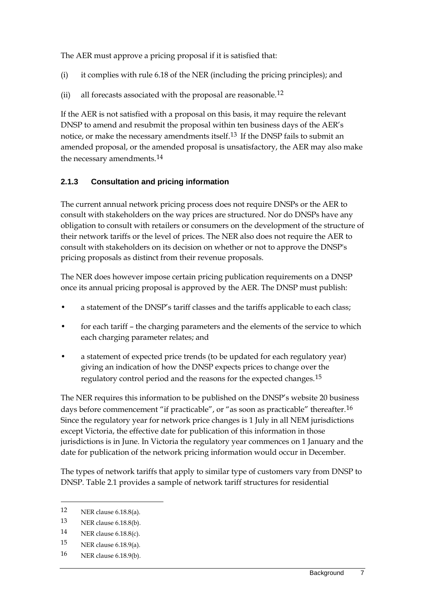The AER must approve a pricing proposal if it is satisfied that:

- (i) it complies with rule 6.18 of the NER (including the pricing principles); and
- (ii) all forecasts associated with the proposal are reasonable.<sup>[12](#page-12-0)</sup>

If the AER is not satisfied with a proposal on this basis, it may require the relevant DNSP to amend and resubmit the proposal within ten business days of the AER's notice, or make the necessary amendments itself.<sup>[13](#page-12-1)</sup> If the DNSP fails to submit an amended proposal, or the amended proposal is unsatisfactory, the AER may also make the necessary amendments.[14](#page-12-2)

#### **2.1.3 Consultation and pricing information**

The current annual network pricing process does not require DNSPs or the AER to consult with stakeholders on the way prices are structured. Nor do DNSPs have any obligation to consult with retailers or consumers on the development of the structure of their network tariffs or the level of prices. The NER also does not require the AER to consult with stakeholders on its decision on whether or not to approve the DNSP's pricing proposals as distinct from their revenue proposals.

The NER does however impose certain pricing publication requirements on a DNSP once its annual pricing proposal is approved by the AER. The DNSP must publish:

- a statement of the DNSP's tariff classes and the tariffs applicable to each class;
- for each tariff the charging parameters and the elements of the service to which each charging parameter relates; and
- a statement of expected price trends (to be updated for each regulatory year) giving an indication of how the DNSP expects prices to change over the regulatory control period and the reasons for the expected changes.<sup>[15](#page-12-3)</sup>

The NER requires this information to be published on the DNSP's website 20 business days before commencement "if practicable", or "as soon as practicable" thereafter.<sup>[16](#page-12-4)</sup> Since the regulatory year for network price changes is 1 July in all NEM jurisdictions except Victoria, the effective date for publication of this information in those jurisdictions is in June. In Victoria the regulatory year commences on 1 January and the date for publication of the network pricing information would occur in December.

The types of network tariffs that apply to similar type of customers vary from DNSP to DNSP. Table 2.1 provides a sample of network tariff structures for residential

-

<span id="page-12-4"></span>16 NER clause 6.18.9(b).

<span id="page-12-0"></span><sup>12</sup> NER clause 6.18.8(a).

<span id="page-12-1"></span><sup>13</sup> NER clause 6.18.8(b).

<span id="page-12-2"></span><sup>14</sup> NER clause 6.18.8(c).

<span id="page-12-3"></span><sup>15</sup> NER clause 6.18.9(a).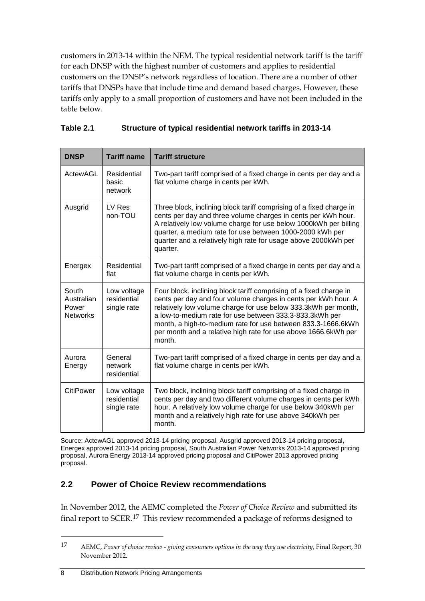customers in 2013-14 within the NEM. The typical residential network tariff is the tariff for each DNSP with the highest number of customers and applies to residential customers on the DNSP's network regardless of location. There are a number of other tariffs that DNSPs have that include time and demand based charges. However, these tariffs only apply to a small proportion of customers and have not been included in the table below.

| <b>DNSP</b>                                     | <b>Tariff name</b>                        | <b>Tariff structure</b>                                                                                                                                                                                                                                                                                                                                                                                       |
|-------------------------------------------------|-------------------------------------------|---------------------------------------------------------------------------------------------------------------------------------------------------------------------------------------------------------------------------------------------------------------------------------------------------------------------------------------------------------------------------------------------------------------|
| ActewAGL                                        | Residential<br>basic<br>network           | Two-part tariff comprised of a fixed charge in cents per day and a<br>flat volume charge in cents per kWh.                                                                                                                                                                                                                                                                                                    |
| Ausgrid                                         | LV Res<br>non-TOU                         | Three block, inclining block tariff comprising of a fixed charge in<br>cents per day and three volume charges in cents per kWh hour.<br>A relatively low volume charge for use below 1000kWh per billing<br>quarter, a medium rate for use between 1000-2000 kWh per<br>quarter and a relatively high rate for usage above 2000kWh per<br>quarter.                                                            |
| Energex                                         | Residential<br>flat                       | Two-part tariff comprised of a fixed charge in cents per day and a<br>flat volume charge in cents per kWh.                                                                                                                                                                                                                                                                                                    |
| South<br>Australian<br>Power<br><b>Networks</b> | Low voltage<br>residential<br>single rate | Four block, inclining block tariff comprising of a fixed charge in<br>cents per day and four volume charges in cents per kWh hour. A<br>relatively low volume charge for use below 333.3kWh per month,<br>a low-to-medium rate for use between 333.3-833.3kWh per<br>month, a high-to-medium rate for use between 833.3-1666.6kWh<br>per month and a relative high rate for use above 1666.6kWh per<br>month. |
| Aurora<br>Energy                                | General<br>network<br>residential         | Two-part tariff comprised of a fixed charge in cents per day and a<br>flat volume charge in cents per kWh.                                                                                                                                                                                                                                                                                                    |
| CitiPower                                       | Low voltage<br>residential<br>single rate | Two block, inclining block tariff comprising of a fixed charge in<br>cents per day and two different volume charges in cents per kWh<br>hour. A relatively low volume charge for use below 340kWh per<br>month and a relatively high rate for use above 340kWh per<br>month.                                                                                                                                  |

| Table 2.1 | Structure of typical residential network tariffs in 2013-14 |
|-----------|-------------------------------------------------------------|
|-----------|-------------------------------------------------------------|

Source: ActewAGL approved 2013-14 pricing proposal, Ausgrid approved 2013-14 pricing proposal, Energex approved 2013-14 pricing proposal, South Australian Power Networks 2013-14 approved pricing proposal, Aurora Energy 2013-14 approved pricing proposal and CitiPower 2013 approved pricing proposal.

### <span id="page-13-0"></span>**2.2 Power of Choice Review recommendations**

In November 2012, the AEMC completed the *Power of Choice Review* and submitted its final report to SCER.[17](#page-13-1) This review recommended a package of reforms designed to

<span id="page-13-1"></span><sup>17</sup> AEMC, *Power of choice review - giving consumers options in the way they use electricity*, Final Report, 30 November 2012.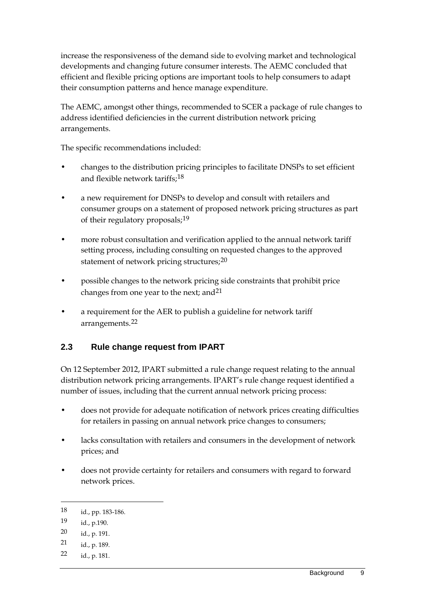increase the responsiveness of the demand side to evolving market and technological developments and changing future consumer interests. The AEMC concluded that efficient and flexible pricing options are important tools to help consumers to adapt their consumption patterns and hence manage expenditure.

The AEMC, amongst other things, recommended to SCER a package of rule changes to address identified deficiencies in the current distribution network pricing arrangements.

The specific recommendations included:

- changes to the distribution pricing principles to facilitate DNSPs to set efficient and flexible network tariffs;[18](#page-14-1)
- a new requirement for DNSPs to develop and consult with retailers and consumer groups on a statement of proposed network pricing structures as part of their regulatory proposals;<sup>[19](#page-14-2)</sup>
- more robust consultation and verification applied to the annual network tariff setting process, including consulting on requested changes to the approved statement of network pricing structures;<sup>[20](#page-14-3)</sup>
- possible changes to the network pricing side constraints that prohibit price changes from one year to the next; and  $21$
- a requirement for the AER to publish a guideline for network tariff arrangements.[22](#page-14-5)

### <span id="page-14-0"></span>**2.3 Rule change request from IPART**

On 12 September 2012, IPART submitted a rule change request relating to the annual distribution network pricing arrangements. IPART's rule change request identified a number of issues, including that the current annual network pricing process:

- does not provide for adequate notification of network prices creating difficulties for retailers in passing on annual network price changes to consumers;
- lacks consultation with retailers and consumers in the development of network prices; and
- does not provide certainty for retailers and consumers with regard to forward network prices.

<span id="page-14-1"></span><sup>18</sup> id., pp. 183-186.

<span id="page-14-2"></span><sup>19</sup> id., p.190.

<span id="page-14-3"></span><sup>20</sup> id., p. 191.

<span id="page-14-4"></span><sup>21</sup> id., p. 189.

<span id="page-14-5"></span><sup>22</sup> id., p. 181.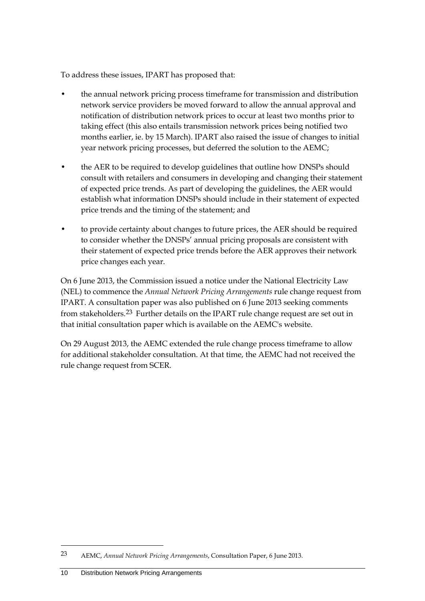To address these issues, IPART has proposed that:

- the annual network pricing process timeframe for transmission and distribution network service providers be moved forward to allow the annual approval and notification of distribution network prices to occur at least two months prior to taking effect (this also entails transmission network prices being notified two months earlier, ie. by 15 March). IPART also raised the issue of changes to initial year network pricing processes, but deferred the solution to the AEMC;
- the AER to be required to develop guidelines that outline how DNSPs should consult with retailers and consumers in developing and changing their statement of expected price trends. As part of developing the guidelines, the AER would establish what information DNSPs should include in their statement of expected price trends and the timing of the statement; and
- to provide certainty about changes to future prices, the AER should be required to consider whether the DNSPs' annual pricing proposals are consistent with their statement of expected price trends before the AER approves their network price changes each year.

On 6 June 2013, the Commission issued a notice under the National Electricity Law (NEL) to commence the *Annual Network Pricing Arrangements* rule change request from IPART. A consultation paper was also published on 6 June 2013 seeking comments from stakeholders.[23](#page-15-0) Further details on the IPART rule change request are set out in that initial consultation paper which is available on the AEMC's website.

On 29 August 2013, the AEMC extended the rule change process timeframe to allow for additional stakeholder consultation. At that time, the AEMC had not received the rule change request from SCER.

<span id="page-15-0"></span><sup>23</sup> AEMC, *Annual Network Pricing Arrangements*, Consultation Paper, 6 June 2013.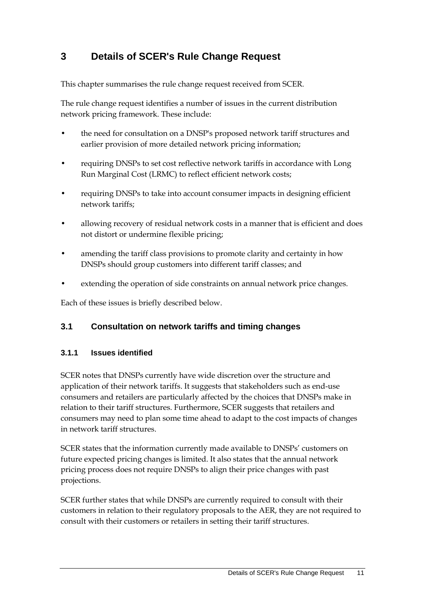## <span id="page-16-0"></span>**3 Details of SCER's Rule Change Request**

This chapter summarises the rule change request received from SCER.

The rule change request identifies a number of issues in the current distribution network pricing framework. These include:

- the need for consultation on a DNSP's proposed network tariff structures and earlier provision of more detailed network pricing information;
- requiring DNSPs to set cost reflective network tariffs in accordance with Long Run Marginal Cost (LRMC) to reflect efficient network costs;
- requiring DNSPs to take into account consumer impacts in designing efficient network tariffs;
- allowing recovery of residual network costs in a manner that is efficient and does not distort or undermine flexible pricing;
- amending the tariff class provisions to promote clarity and certainty in how DNSPs should group customers into different tariff classes; and
- extending the operation of side constraints on annual network price changes.

Each of these issues is briefly described below.

#### <span id="page-16-1"></span>**3.1 Consultation on network tariffs and timing changes**

#### **3.1.1 Issues identified**

SCER notes that DNSPs currently have wide discretion over the structure and application of their network tariffs. It suggests that stakeholders such as end-use consumers and retailers are particularly affected by the choices that DNSPs make in relation to their tariff structures. Furthermore, SCER suggests that retailers and consumers may need to plan some time ahead to adapt to the cost impacts of changes in network tariff structures.

SCER states that the information currently made available to DNSPs' customers on future expected pricing changes is limited. It also states that the annual network pricing process does not require DNSPs to align their price changes with past projections.

SCER further states that while DNSPs are currently required to consult with their customers in relation to their regulatory proposals to the AER, they are not required to consult with their customers or retailers in setting their tariff structures.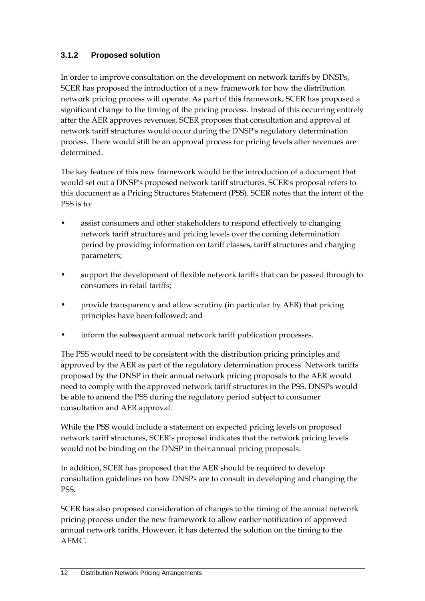### **3.1.2 Proposed solution**

In order to improve consultation on the development on network tariffs by DNSPs, SCER has proposed the introduction of a new framework for how the distribution network pricing process will operate. As part of this framework, SCER has proposed a significant change to the timing of the pricing process. Instead of this occurring entirely after the AER approves revenues, SCER proposes that consultation and approval of network tariff structures would occur during the DNSP's regulatory determination process. There would still be an approval process for pricing levels after revenues are determined.

The key feature of this new framework would be the introduction of a document that would set out a DNSP's proposed network tariff structures. SCER's proposal refers to this document as a Pricing Structures Statement (PSS). SCER notes that the intent of the PSS is to:

- assist consumers and other stakeholders to respond effectively to changing network tariff structures and pricing levels over the coming determination period by providing information on tariff classes, tariff structures and charging parameters;
- support the development of flexible network tariffs that can be passed through to consumers in retail tariffs;
- provide transparency and allow scrutiny (in particular by AER) that pricing principles have been followed; and
- inform the subsequent annual network tariff publication processes.

The PSS would need to be consistent with the distribution pricing principles and approved by the AER as part of the regulatory determination process. Network tariffs proposed by the DNSP in their annual network pricing proposals to the AER would need to comply with the approved network tariff structures in the PSS. DNSPs would be able to amend the PSS during the regulatory period subject to consumer consultation and AER approval.

While the PSS would include a statement on expected pricing levels on proposed network tariff structures, SCER's proposal indicates that the network pricing levels would not be binding on the DNSP in their annual pricing proposals.

In addition, SCER has proposed that the AER should be required to develop consultation guidelines on how DNSPs are to consult in developing and changing the PSS.

SCER has also proposed consideration of changes to the timing of the annual network pricing process under the new framework to allow earlier notification of approved annual network tariffs. However, it has deferred the solution on the timing to the AEMC.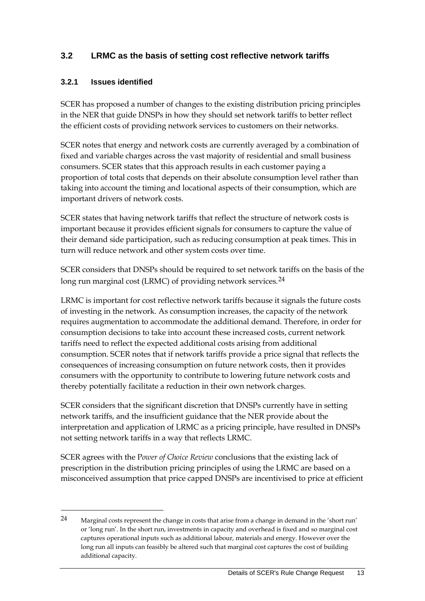### <span id="page-18-0"></span>**3.2 LRMC as the basis of setting cost reflective network tariffs**

#### **3.2.1 Issues identified**

-

SCER has proposed a number of changes to the existing distribution pricing principles in the NER that guide DNSPs in how they should set network tariffs to better reflect the efficient costs of providing network services to customers on their networks.

SCER notes that energy and network costs are currently averaged by a combination of fixed and variable charges across the vast majority of residential and small business consumers. SCER states that this approach results in each customer paying a proportion of total costs that depends on their absolute consumption level rather than taking into account the timing and locational aspects of their consumption, which are important drivers of network costs.

SCER states that having network tariffs that reflect the structure of network costs is important because it provides efficient signals for consumers to capture the value of their demand side participation, such as reducing consumption at peak times. This in turn will reduce network and other system costs over time.

SCER considers that DNSPs should be required to set network tariffs on the basis of the long run marginal cost (LRMC) of providing network services.<sup>[24](#page-18-1)</sup>

LRMC is important for cost reflective network tariffs because it signals the future costs of investing in the network. As consumption increases, the capacity of the network requires augmentation to accommodate the additional demand. Therefore, in order for consumption decisions to take into account these increased costs, current network tariffs need to reflect the expected additional costs arising from additional consumption. SCER notes that if network tariffs provide a price signal that reflects the consequences of increasing consumption on future network costs, then it provides consumers with the opportunity to contribute to lowering future network costs and thereby potentially facilitate a reduction in their own network charges.

SCER considers that the significant discretion that DNSPs currently have in setting network tariffs, and the insufficient guidance that the NER provide about the interpretation and application of LRMC as a pricing principle, have resulted in DNSPs not setting network tariffs in a way that reflects LRMC.

SCER agrees with the P*ower of Choice Review* conclusions that the existing lack of prescription in the distribution pricing principles of using the LRMC are based on a misconceived assumption that price capped DNSPs are incentivised to price at efficient

<span id="page-18-1"></span><sup>24</sup> Marginal costs represent the change in costs that arise from a change in demand in the 'short run' or 'long run'. In the short run, investments in capacity and overhead is fixed and so marginal cost captures operational inputs such as additional labour, materials and energy. However over the long run all inputs can feasibly be altered such that marginal cost captures the cost of building additional capacity.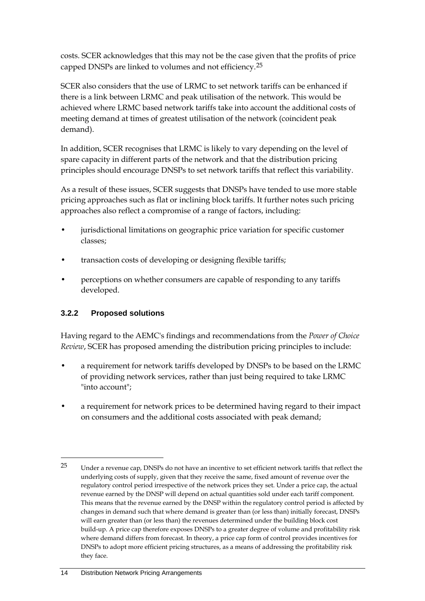costs. SCER acknowledges that this may not be the case given that the profits of price capped DNSPs are linked to volumes and not efficiency.[25](#page-19-0)

SCER also considers that the use of LRMC to set network tariffs can be enhanced if there is a link between LRMC and peak utilisation of the network. This would be achieved where LRMC based network tariffs take into account the additional costs of meeting demand at times of greatest utilisation of the network (coincident peak demand).

In addition, SCER recognises that LRMC is likely to vary depending on the level of spare capacity in different parts of the network and that the distribution pricing principles should encourage DNSPs to set network tariffs that reflect this variability.

As a result of these issues, SCER suggests that DNSPs have tended to use more stable pricing approaches such as flat or inclining block tariffs. It further notes such pricing approaches also reflect a compromise of a range of factors, including:

- jurisdictional limitations on geographic price variation for specific customer classes;
- transaction costs of developing or designing flexible tariffs;
- perceptions on whether consumers are capable of responding to any tariffs developed.

### **3.2.2 Proposed solutions**

-

Having regard to the AEMC's findings and recommendations from the *Power of Choice Review*, SCER has proposed amending the distribution pricing principles to include:

- a requirement for network tariffs developed by DNSPs to be based on the LRMC of providing network services, rather than just being required to take LRMC "into account";
- a requirement for network prices to be determined having regard to their impact on consumers and the additional costs associated with peak demand;

<span id="page-19-0"></span><sup>25</sup> Under a revenue cap, DNSPs do not have an incentive to set efficient network tariffs that reflect the underlying costs of supply, given that they receive the same, fixed amount of revenue over the regulatory control period irrespective of the network prices they set. Under a price cap, the actual revenue earned by the DNSP will depend on actual quantities sold under each tariff component. This means that the revenue earned by the DNSP within the regulatory control period is affected by changes in demand such that where demand is greater than (or less than) initially forecast, DNSPs will earn greater than (or less than) the revenues determined under the building block cost build-up. A price cap therefore exposes DNSPs to a greater degree of volume and profitability risk where demand differs from forecast. In theory, a price cap form of control provides incentives for DNSPs to adopt more efficient pricing structures, as a means of addressing the profitability risk they face.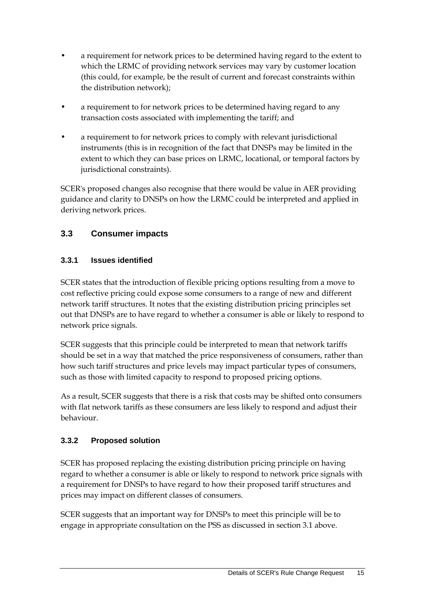- a requirement for network prices to be determined having regard to the extent to which the LRMC of providing network services may vary by customer location (this could, for example, be the result of current and forecast constraints within the distribution network);
- a requirement to for network prices to be determined having regard to any transaction costs associated with implementing the tariff; and
- a requirement to for network prices to comply with relevant jurisdictional instruments (this is in recognition of the fact that DNSPs may be limited in the extent to which they can base prices on LRMC, locational, or temporal factors by jurisdictional constraints).

SCER's proposed changes also recognise that there would be value in AER providing guidance and clarity to DNSPs on how the LRMC could be interpreted and applied in deriving network prices.

### <span id="page-20-0"></span>**3.3 Consumer impacts**

### **3.3.1 Issues identified**

SCER states that the introduction of flexible pricing options resulting from a move to cost reflective pricing could expose some consumers to a range of new and different network tariff structures. It notes that the existing distribution pricing principles set out that DNSPs are to have regard to whether a consumer is able or likely to respond to network price signals.

SCER suggests that this principle could be interpreted to mean that network tariffs should be set in a way that matched the price responsiveness of consumers, rather than how such tariff structures and price levels may impact particular types of consumers, such as those with limited capacity to respond to proposed pricing options.

As a result, SCER suggests that there is a risk that costs may be shifted onto consumers with flat network tariffs as these consumers are less likely to respond and adjust their behaviour.

#### **3.3.2 Proposed solution**

SCER has proposed replacing the existing distribution pricing principle on having regard to whether a consumer is able or likely to respond to network price signals with a requirement for DNSPs to have regard to how their proposed tariff structures and prices may impact on different classes of consumers.

SCER suggests that an important way for DNSPs to meet this principle will be to engage in appropriate consultation on the PSS as discussed in section [3.1](#page-16-1) above.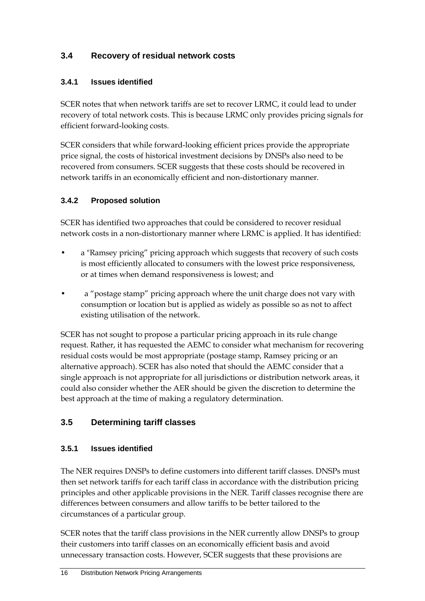### <span id="page-21-0"></span>**3.4 Recovery of residual network costs**

#### **3.4.1 Issues identified**

SCER notes that when network tariffs are set to recover LRMC, it could lead to under recovery of total network costs. This is because LRMC only provides pricing signals for efficient forward-looking costs.

SCER considers that while forward-looking efficient prices provide the appropriate price signal, the costs of historical investment decisions by DNSPs also need to be recovered from consumers. SCER suggests that these costs should be recovered in network tariffs in an economically efficient and non-distortionary manner.

#### **3.4.2 Proposed solution**

SCER has identified two approaches that could be considered to recover residual network costs in a non-distortionary manner where LRMC is applied. It has identified:

- a "Ramsey pricing" pricing approach which suggests that recovery of such costs is most efficiently allocated to consumers with the lowest price responsiveness, or at times when demand responsiveness is lowest; and
- a "postage stamp" pricing approach where the unit charge does not vary with consumption or location but is applied as widely as possible so as not to affect existing utilisation of the network.

SCER has not sought to propose a particular pricing approach in its rule change request. Rather, it has requested the AEMC to consider what mechanism for recovering residual costs would be most appropriate (postage stamp, Ramsey pricing or an alternative approach). SCER has also noted that should the AEMC consider that a single approach is not appropriate for all jurisdictions or distribution network areas, it could also consider whether the AER should be given the discretion to determine the best approach at the time of making a regulatory determination.

### <span id="page-21-1"></span>**3.5 Determining tariff classes**

#### **3.5.1 Issues identified**

The NER requires DNSPs to define customers into different tariff classes. DNSPs must then set network tariffs for each tariff class in accordance with the distribution pricing principles and other applicable provisions in the NER. Tariff classes recognise there are differences between consumers and allow tariffs to be better tailored to the circumstances of a particular group.

SCER notes that the tariff class provisions in the NER currently allow DNSPs to group their customers into tariff classes on an economically efficient basis and avoid unnecessary transaction costs. However, SCER suggests that these provisions are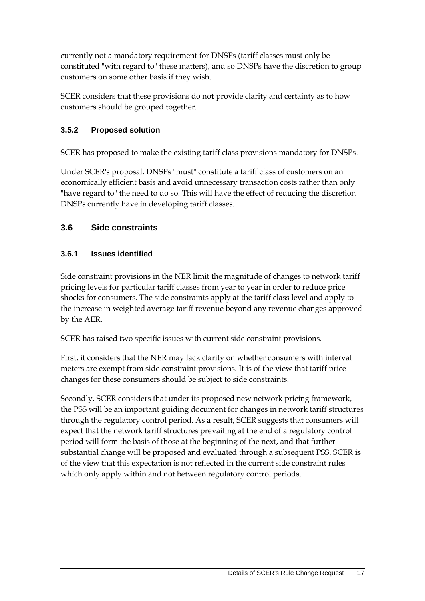currently not a mandatory requirement for DNSPs (tariff classes must only be constituted "with regard to" these matters), and so DNSPs have the discretion to group customers on some other basis if they wish.

SCER considers that these provisions do not provide clarity and certainty as to how customers should be grouped together.

### **3.5.2 Proposed solution**

SCER has proposed to make the existing tariff class provisions mandatory for DNSPs.

Under SCER's proposal, DNSPs "must" constitute a tariff class of customers on an economically efficient basis and avoid unnecessary transaction costs rather than only "have regard to" the need to do so. This will have the effect of reducing the discretion DNSPs currently have in developing tariff classes.

### <span id="page-22-0"></span>**3.6 Side constraints**

### **3.6.1 Issues identified**

Side constraint provisions in the NER limit the magnitude of changes to network tariff pricing levels for particular tariff classes from year to year in order to reduce price shocks for consumers. The side constraints apply at the tariff class level and apply to the increase in weighted average tariff revenue beyond any revenue changes approved by the AER.

SCER has raised two specific issues with current side constraint provisions.

First, it considers that the NER may lack clarity on whether consumers with interval meters are exempt from side constraint provisions. It is of the view that tariff price changes for these consumers should be subject to side constraints.

Secondly, SCER considers that under its proposed new network pricing framework, the PSS will be an important guiding document for changes in network tariff structures through the regulatory control period. As a result, SCER suggests that consumers will expect that the network tariff structures prevailing at the end of a regulatory control period will form the basis of those at the beginning of the next, and that further substantial change will be proposed and evaluated through a subsequent PSS. SCER is of the view that this expectation is not reflected in the current side constraint rules which only apply within and not between regulatory control periods.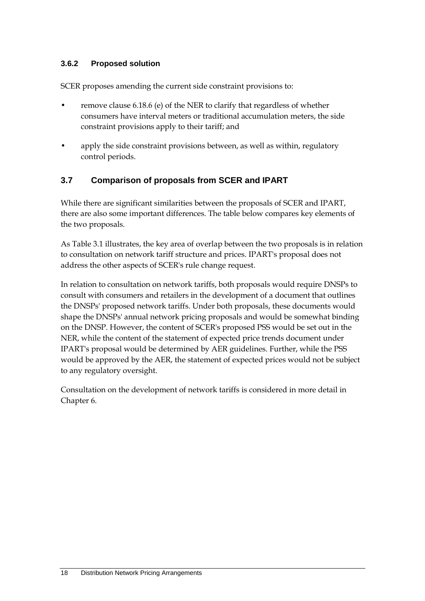#### **3.6.2 Proposed solution**

SCER proposes amending the current side constraint provisions to:

- remove clause 6.18.6 (e) of the NER to clarify that regardless of whether consumers have interval meters or traditional accumulation meters, the side constraint provisions apply to their tariff; and
- apply the side constraint provisions between, as well as within, regulatory control periods.

#### <span id="page-23-0"></span>**3.7 Comparison of proposals from SCER and IPART**

While there are significant similarities between the proposals of SCER and IPART, there are also some important differences. The table below compares key elements of the two proposals.

As Table 3.1 illustrates, the key area of overlap between the two proposals is in relation to consultation on network tariff structure and prices. IPART's proposal does not address the other aspects of SCER's rule change request.

In relation to consultation on network tariffs, both proposals would require DNSPs to consult with consumers and retailers in the development of a document that outlines the DNSPs' proposed network tariffs. Under both proposals, these documents would shape the DNSPs' annual network pricing proposals and would be somewhat binding on the DNSP. However, the content of SCER's proposed PSS would be set out in the NER, while the content of the statement of expected price trends document under IPART's proposal would be determined by AER guidelines. Further, while the PSS would be approved by the AER, the statement of expected prices would not be subject to any regulatory oversight.

Consultation on the development of network tariffs is considered in more detail in Chapter [6.](#page-32-0)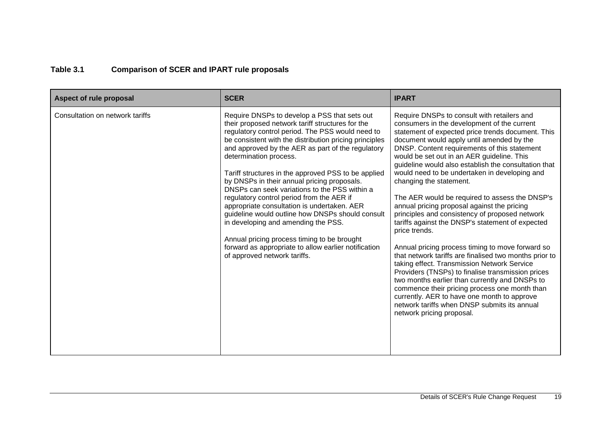### **Table 3.1 Comparison of SCER and IPART rule proposals**

| Aspect of rule proposal         | <b>SCER</b>                                                                                                                                                                                                                                                                                                                                                                                                                                                                                                                                                                                                                                                                                                                                                                        | <b>IPART</b>                                                                                                                                                                                                                                                                                                                                                                                                                                                                                                                                                                                                                                                                                                                                                                                                                                                                                                                                                                                                                                                                                            |
|---------------------------------|------------------------------------------------------------------------------------------------------------------------------------------------------------------------------------------------------------------------------------------------------------------------------------------------------------------------------------------------------------------------------------------------------------------------------------------------------------------------------------------------------------------------------------------------------------------------------------------------------------------------------------------------------------------------------------------------------------------------------------------------------------------------------------|---------------------------------------------------------------------------------------------------------------------------------------------------------------------------------------------------------------------------------------------------------------------------------------------------------------------------------------------------------------------------------------------------------------------------------------------------------------------------------------------------------------------------------------------------------------------------------------------------------------------------------------------------------------------------------------------------------------------------------------------------------------------------------------------------------------------------------------------------------------------------------------------------------------------------------------------------------------------------------------------------------------------------------------------------------------------------------------------------------|
| Consultation on network tariffs | Require DNSPs to develop a PSS that sets out<br>their proposed network tariff structures for the<br>regulatory control period. The PSS would need to<br>be consistent with the distribution pricing principles<br>and approved by the AER as part of the regulatory<br>determination process.<br>Tariff structures in the approved PSS to be applied<br>by DNSPs in their annual pricing proposals.<br>DNSPs can seek variations to the PSS within a<br>regulatory control period from the AER if<br>appropriate consultation is undertaken. AER<br>guideline would outline how DNSPs should consult<br>in developing and amending the PSS.<br>Annual pricing process timing to be brought<br>forward as appropriate to allow earlier notification<br>of approved network tariffs. | Require DNSPs to consult with retailers and<br>consumers in the development of the current<br>statement of expected price trends document. This<br>document would apply until amended by the<br>DNSP. Content requirements of this statement<br>would be set out in an AER guideline. This<br>guideline would also establish the consultation that<br>would need to be undertaken in developing and<br>changing the statement.<br>The AER would be required to assess the DNSP's<br>annual pricing proposal against the pricing<br>principles and consistency of proposed network<br>tariffs against the DNSP's statement of expected<br>price trends.<br>Annual pricing process timing to move forward so<br>that network tariffs are finalised two months prior to<br>taking effect. Transmission Network Service<br>Providers (TNSPs) to finalise transmission prices<br>two months earlier than currently and DNSPs to<br>commence their pricing process one month than<br>currently. AER to have one month to approve<br>network tariffs when DNSP submits its annual<br>network pricing proposal. |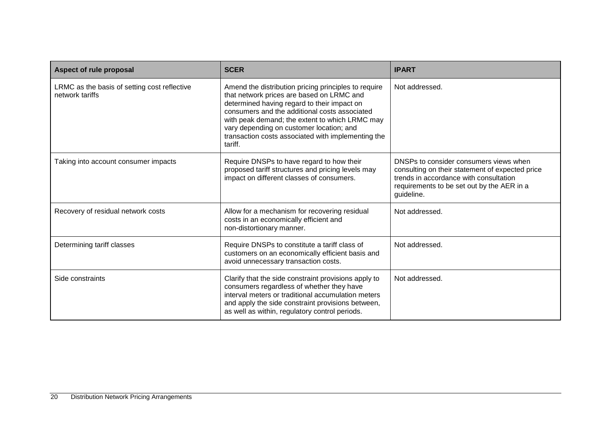| Aspect of rule proposal                                         | <b>SCER</b>                                                                                                                                                                                                                                                                                                                                                      | <b>IPART</b>                                                                                                                                                                                    |
|-----------------------------------------------------------------|------------------------------------------------------------------------------------------------------------------------------------------------------------------------------------------------------------------------------------------------------------------------------------------------------------------------------------------------------------------|-------------------------------------------------------------------------------------------------------------------------------------------------------------------------------------------------|
| LRMC as the basis of setting cost reflective<br>network tariffs | Amend the distribution pricing principles to require<br>that network prices are based on LRMC and<br>determined having regard to their impact on<br>consumers and the additional costs associated<br>with peak demand; the extent to which LRMC may<br>vary depending on customer location; and<br>transaction costs associated with implementing the<br>tariff. | Not addressed.                                                                                                                                                                                  |
| Taking into account consumer impacts                            | Require DNSPs to have regard to how their<br>proposed tariff structures and pricing levels may<br>impact on different classes of consumers.                                                                                                                                                                                                                      | DNSPs to consider consumers views when<br>consulting on their statement of expected price<br>trends in accordance with consultation<br>requirements to be set out by the AER in a<br>guideline. |
| Recovery of residual network costs                              | Allow for a mechanism for recovering residual<br>costs in an economically efficient and<br>non-distortionary manner.                                                                                                                                                                                                                                             | Not addressed.                                                                                                                                                                                  |
| Determining tariff classes                                      | Require DNSPs to constitute a tariff class of<br>customers on an economically efficient basis and<br>avoid unnecessary transaction costs.                                                                                                                                                                                                                        | Not addressed.                                                                                                                                                                                  |
| Side constraints                                                | Clarify that the side constraint provisions apply to<br>consumers regardless of whether they have<br>interval meters or traditional accumulation meters<br>and apply the side constraint provisions between,<br>as well as within, regulatory control periods.                                                                                                   | Not addressed.                                                                                                                                                                                  |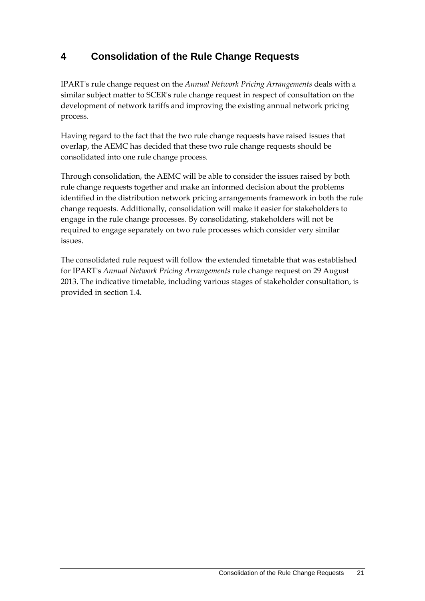# <span id="page-26-0"></span>**4 Consolidation of the Rule Change Requests**

IPART's rule change request on the *Annual Network Pricing Arrangements* deals with a similar subject matter to SCER's rule change request in respect of consultation on the development of network tariffs and improving the existing annual network pricing process.

Having regard to the fact that the two rule change requests have raised issues that overlap, the AEMC has decided that these two rule change requests should be consolidated into one rule change process.

Through consolidation, the AEMC will be able to consider the issues raised by both rule change requests together and make an informed decision about the problems identified in the distribution network pricing arrangements framework in both the rule change requests. Additionally, consolidation will make it easier for stakeholders to engage in the rule change processes. By consolidating, stakeholders will not be required to engage separately on two rule processes which consider very similar issues.

The consolidated rule request will follow the extended timetable that was established for IPART's *Annual Network Pricing Arrangements* rule change request on 29 August 2013. The indicative timetable, including various stages of stakeholder consultation, is provided in section [1.4.](#page-8-0)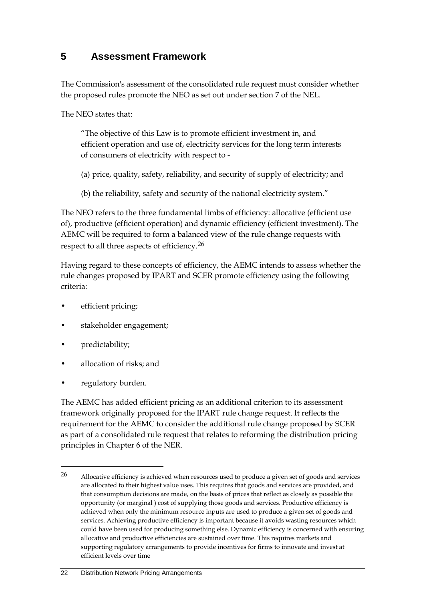### <span id="page-27-0"></span>**5 Assessment Framework**

The Commission's assessment of the consolidated rule request must consider whether the proposed rules promote the NEO as set out under section 7 of the NEL.

The NEO states that:

"The objective of this Law is to promote efficient investment in, and efficient operation and use of, electricity services for the long term interests of consumers of electricity with respect to -

(a) price, quality, safety, reliability, and security of supply of electricity; and

(b) the reliability, safety and security of the national electricity system."

The NEO refers to the three fundamental limbs of efficiency: allocative (efficient use of), productive (efficient operation) and dynamic efficiency (efficient investment). The AEMC will be required to form a balanced view of the rule change requests with respect to all three aspects of efficiency.[26](#page-27-1)

Having regard to these concepts of efficiency, the AEMC intends to assess whether the rule changes proposed by IPART and SCER promote efficiency using the following criteria:

- efficient pricing;
- stakeholder engagement;
- predictability;

-

- allocation of risks; and
- regulatory burden.

The AEMC has added efficient pricing as an additional criterion to its assessment framework originally proposed for the IPART rule change request. It reflects the requirement for the AEMC to consider the additional rule change proposed by SCER as part of a consolidated rule request that relates to reforming the distribution pricing principles in Chapter 6 of the NER.

<span id="page-27-1"></span><sup>26</sup> Allocative efficiency is achieved when resources used to produce a given set of goods and services are allocated to their highest value uses. This requires that goods and services are provided, and that consumption decisions are made, on the basis of prices that reflect as closely as possible the opportunity (or marginal ) cost of supplying those goods and services. Productive efficiency is achieved when only the minimum resource inputs are used to produce a given set of goods and services. Achieving productive efficiency is important because it avoids wasting resources which could have been used for producing something else. Dynamic efficiency is concerned with ensuring allocative and productive efficiencies are sustained over time. This requires markets and supporting regulatory arrangements to provide incentives for firms to innovate and invest at efficient levels over time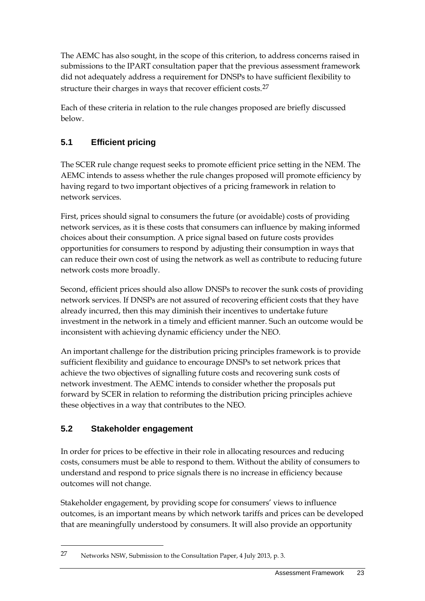The AEMC has also sought, in the scope of this criterion, to address concerns raised in submissions to the IPART consultation paper that the previous assessment framework did not adequately address a requirement for DNSPs to have sufficient flexibility to structure their charges in ways that recover efficient costs.<sup>[27](#page-28-2)</sup>

Each of these criteria in relation to the rule changes proposed are briefly discussed below.

### <span id="page-28-0"></span>**5.1 Efficient pricing**

The SCER rule change request seeks to promote efficient price setting in the NEM. The AEMC intends to assess whether the rule changes proposed will promote efficiency by having regard to two important objectives of a pricing framework in relation to network services.

First, prices should signal to consumers the future (or avoidable) costs of providing network services, as it is these costs that consumers can influence by making informed choices about their consumption. A price signal based on future costs provides opportunities for consumers to respond by adjusting their consumption in ways that can reduce their own cost of using the network as well as contribute to reducing future network costs more broadly.

Second, efficient prices should also allow DNSPs to recover the sunk costs of providing network services. If DNSPs are not assured of recovering efficient costs that they have already incurred, then this may diminish their incentives to undertake future investment in the network in a timely and efficient manner. Such an outcome would be inconsistent with achieving dynamic efficiency under the NEO.

An important challenge for the distribution pricing principles framework is to provide sufficient flexibility and guidance to encourage DNSPs to set network prices that achieve the two objectives of signalling future costs and recovering sunk costs of network investment. The AEMC intends to consider whether the proposals put forward by SCER in relation to reforming the distribution pricing principles achieve these objectives in a way that contributes to the NEO.

### <span id="page-28-1"></span>**5.2 Stakeholder engagement**

-

In order for prices to be effective in their role in allocating resources and reducing costs, consumers must be able to respond to them. Without the ability of consumers to understand and respond to price signals there is no increase in efficiency because outcomes will not change.

Stakeholder engagement, by providing scope for consumers' views to influence outcomes, is an important means by which network tariffs and prices can be developed that are meaningfully understood by consumers. It will also provide an opportunity

<span id="page-28-2"></span><sup>27</sup> Networks NSW, Submission to the Consultation Paper, 4 July 2013, p. 3.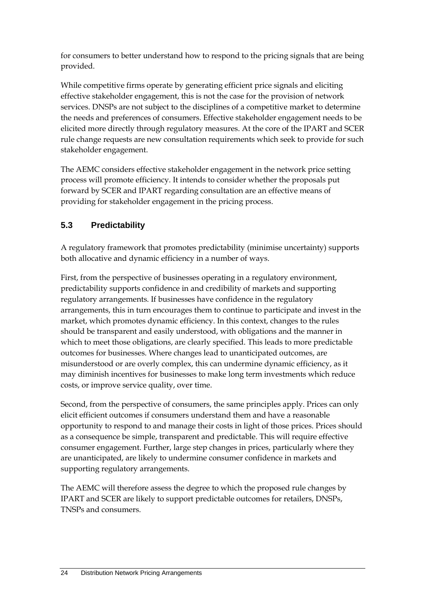for consumers to better understand how to respond to the pricing signals that are being provided.

While competitive firms operate by generating efficient price signals and eliciting effective stakeholder engagement, this is not the case for the provision of network services. DNSPs are not subject to the disciplines of a competitive market to determine the needs and preferences of consumers. Effective stakeholder engagement needs to be elicited more directly through regulatory measures. At the core of the IPART and SCER rule change requests are new consultation requirements which seek to provide for such stakeholder engagement.

The AEMC considers effective stakeholder engagement in the network price setting process will promote efficiency. It intends to consider whether the proposals put forward by SCER and IPART regarding consultation are an effective means of providing for stakeholder engagement in the pricing process.

### <span id="page-29-0"></span>**5.3 Predictability**

A regulatory framework that promotes predictability (minimise uncertainty) supports both allocative and dynamic efficiency in a number of ways.

First, from the perspective of businesses operating in a regulatory environment, predictability supports confidence in and credibility of markets and supporting regulatory arrangements. If businesses have confidence in the regulatory arrangements, this in turn encourages them to continue to participate and invest in the market, which promotes dynamic efficiency. In this context, changes to the rules should be transparent and easily understood, with obligations and the manner in which to meet those obligations, are clearly specified. This leads to more predictable outcomes for businesses. Where changes lead to unanticipated outcomes, are misunderstood or are overly complex, this can undermine dynamic efficiency, as it may diminish incentives for businesses to make long term investments which reduce costs, or improve service quality, over time.

Second, from the perspective of consumers, the same principles apply. Prices can only elicit efficient outcomes if consumers understand them and have a reasonable opportunity to respond to and manage their costs in light of those prices. Prices should as a consequence be simple, transparent and predictable. This will require effective consumer engagement. Further, large step changes in prices, particularly where they are unanticipated, are likely to undermine consumer confidence in markets and supporting regulatory arrangements.

The AEMC will therefore assess the degree to which the proposed rule changes by IPART and SCER are likely to support predictable outcomes for retailers, DNSPs, TNSPs and consumers.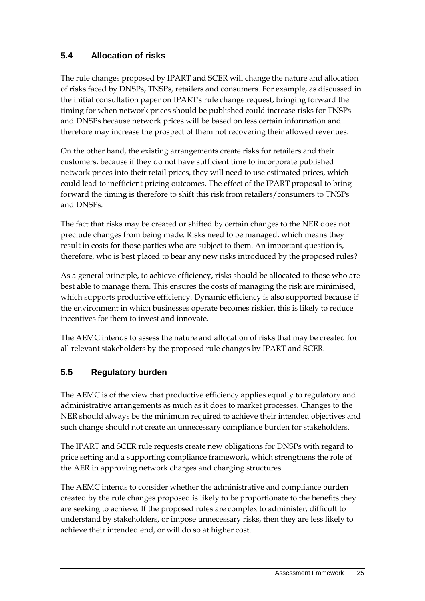### <span id="page-30-0"></span>**5.4 Allocation of risks**

The rule changes proposed by IPART and SCER will change the nature and allocation of risks faced by DNSPs, TNSPs, retailers and consumers. For example, as discussed in the initial consultation paper on IPART's rule change request, bringing forward the timing for when network prices should be published could increase risks for TNSPs and DNSPs because network prices will be based on less certain information and therefore may increase the prospect of them not recovering their allowed revenues.

On the other hand, the existing arrangements create risks for retailers and their customers, because if they do not have sufficient time to incorporate published network prices into their retail prices, they will need to use estimated prices, which could lead to inefficient pricing outcomes. The effect of the IPART proposal to bring forward the timing is therefore to shift this risk from retailers/consumers to TNSPs and DNSPs.

The fact that risks may be created or shifted by certain changes to the NER does not preclude changes from being made. Risks need to be managed, which means they result in costs for those parties who are subject to them. An important question is, therefore, who is best placed to bear any new risks introduced by the proposed rules?

As a general principle, to achieve efficiency, risks should be allocated to those who are best able to manage them. This ensures the costs of managing the risk are minimised, which supports productive efficiency. Dynamic efficiency is also supported because if the environment in which businesses operate becomes riskier, this is likely to reduce incentives for them to invest and innovate.

The AEMC intends to assess the nature and allocation of risks that may be created for all relevant stakeholders by the proposed rule changes by IPART and SCER.

### <span id="page-30-1"></span>**5.5 Regulatory burden**

The AEMC is of the view that productive efficiency applies equally to regulatory and administrative arrangements as much as it does to market processes. Changes to the NER should always be the minimum required to achieve their intended objectives and such change should not create an unnecessary compliance burden for stakeholders.

The IPART and SCER rule requests create new obligations for DNSPs with regard to price setting and a supporting compliance framework, which strengthens the role of the AER in approving network charges and charging structures.

The AEMC intends to consider whether the administrative and compliance burden created by the rule changes proposed is likely to be proportionate to the benefits they are seeking to achieve. If the proposed rules are complex to administer, difficult to understand by stakeholders, or impose unnecessary risks, then they are less likely to achieve their intended end, or will do so at higher cost.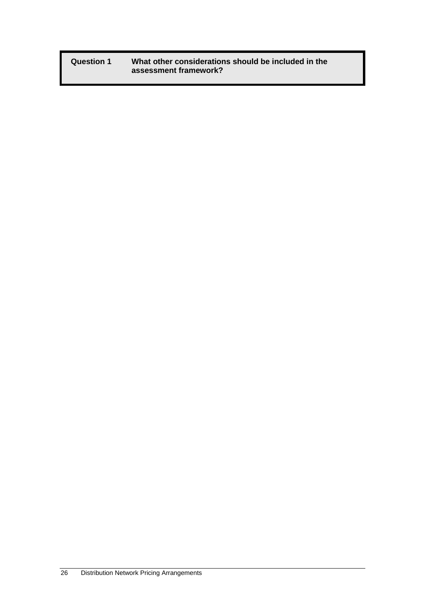**Question 1 What other considerations should be included in the assessment framework?**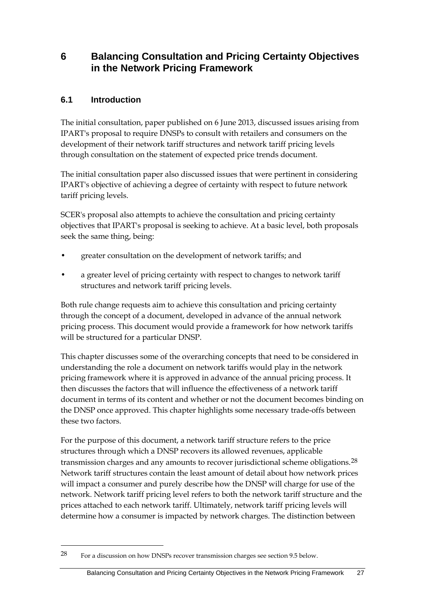### <span id="page-32-0"></span>**6 Balancing Consultation and Pricing Certainty Objectives in the Network Pricing Framework**

### <span id="page-32-1"></span>**6.1 Introduction**

-

The initial consultation, paper published on 6 June 2013, discussed issues arising from IPART's proposal to require DNSPs to consult with retailers and consumers on the development of their network tariff structures and network tariff pricing levels through consultation on the statement of expected price trends document.

The initial consultation paper also discussed issues that were pertinent in considering IPART's objective of achieving a degree of certainty with respect to future network tariff pricing levels.

SCER's proposal also attempts to achieve the consultation and pricing certainty objectives that IPART's proposal is seeking to achieve. At a basic level, both proposals seek the same thing, being:

- greater consultation on the development of network tariffs; and
- a greater level of pricing certainty with respect to changes to network tariff structures and network tariff pricing levels.

Both rule change requests aim to achieve this consultation and pricing certainty through the concept of a document, developed in advance of the annual network pricing process. This document would provide a framework for how network tariffs will be structured for a particular DNSP.

This chapter discusses some of the overarching concepts that need to be considered in understanding the role a document on network tariffs would play in the network pricing framework where it is approved in advance of the annual pricing process. It then discusses the factors that will influence the effectiveness of a network tariff document in terms of its content and whether or not the document becomes binding on the DNSP once approved. This chapter highlights some necessary trade-offs between these two factors.

For the purpose of this document, a network tariff structure refers to the price structures through which a DNSP recovers its allowed revenues, applicable transmission charges and any amounts to recover jurisdictional scheme obligations.<sup>[28](#page-32-2)</sup> Network tariff structures contain the least amount of detail about how network prices will impact a consumer and purely describe how the DNSP will charge for use of the network. Network tariff pricing level refers to both the network tariff structure and the prices attached to each network tariff. Ultimately, network tariff pricing levels will determine how a consumer is impacted by network charges. The distinction between

<span id="page-32-2"></span><sup>28</sup> For a discussion on how DNSPs recover transmission charges see section 9.5 below.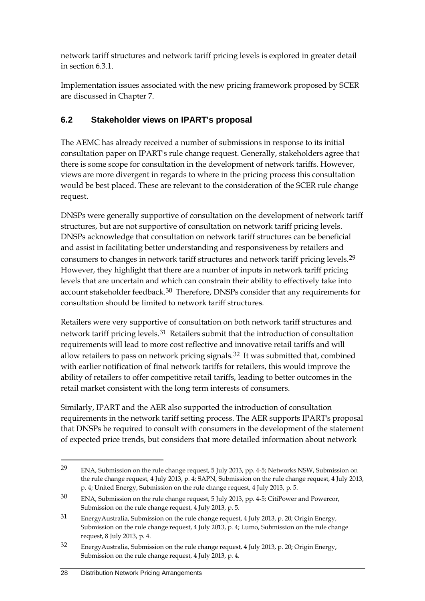network tariff structures and network tariff pricing levels is explored in greater detail in section 6.3.1.

Implementation issues associated with the new pricing framework proposed by SCER are discussed in Chapter 7.

### <span id="page-33-0"></span>**6.2 Stakeholder views on IPART's proposal**

The AEMC has already received a number of submissions in response to its initial consultation paper on IPART's rule change request. Generally, stakeholders agree that there is some scope for consultation in the development of network tariffs. However, views are more divergent in regards to where in the pricing process this consultation would be best placed. These are relevant to the consideration of the SCER rule change request.

DNSPs were generally supportive of consultation on the development of network tariff structures, but are not supportive of consultation on network tariff pricing levels. DNSPs acknowledge that consultation on network tariff structures can be beneficial and assist in facilitating better understanding and responsiveness by retailers and consumers to changes in network tariff structures and network tariff pricing levels.[29](#page-33-1) However, they highlight that there are a number of inputs in network tariff pricing levels that are uncertain and which can constrain their ability to effectively take into account stakeholder feedback.[30](#page-33-2) Therefore, DNSPs consider that any requirements for consultation should be limited to network tariff structures.

Retailers were very supportive of consultation on both network tariff structures and network tariff pricing levels.[31](#page-33-3) Retailers submit that the introduction of consultation requirements will lead to more cost reflective and innovative retail tariffs and will allow retailers to pass on network pricing signals.[32](#page-33-4) It was submitted that, combined with earlier notification of final network tariffs for retailers, this would improve the ability of retailers to offer competitive retail tariffs, leading to better outcomes in the retail market consistent with the long term interests of consumers.

Similarly, IPART and the AER also supported the introduction of consultation requirements in the network tariff setting process. The AER supports IPART's proposal that DNSPs be required to consult with consumers in the development of the statement of expected price trends, but considers that more detailed information about network

<span id="page-33-1"></span><sup>29</sup> ENA, Submission on the rule change request, 5 July 2013, pp. 4-5; Networks NSW, Submission on the rule change request, 4 July 2013, p. 4; SAPN, Submission on the rule change request, 4 July 2013, p. 4; United Energy, Submission on the rule change request, 4 July 2013, p. 5.

<span id="page-33-2"></span><sup>30</sup> ENA, Submission on the rule change request, 5 July 2013, pp. 4-5; CitiPower and Powercor, Submission on the rule change request, 4 July 2013, p. 5.

<span id="page-33-3"></span><sup>31</sup> EnergyAustralia, Submission on the rule change request, 4 July 2013, p. 20; Origin Energy, Submission on the rule change request, 4 July 2013, p. 4; Lumo, Submission on the rule change request, 8 July 2013, p. 4.

<span id="page-33-4"></span><sup>32</sup> EnergyAustralia, Submission on the rule change request, 4 July 2013, p. 20; Origin Energy, Submission on the rule change request, 4 July 2013, p. 4.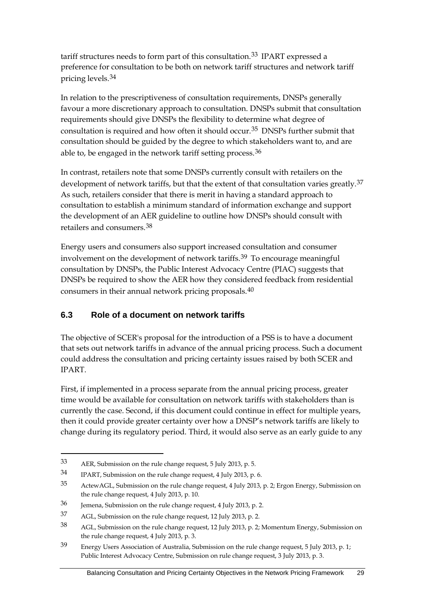tariff structures needs to form part of this consultation.<sup>[33](#page-34-1)</sup> IPART expressed a preference for consultation to be both on network tariff structures and network tariff pricing levels.[34](#page-34-2)

In relation to the prescriptiveness of consultation requirements, DNSPs generally favour a more discretionary approach to consultation. DNSPs submit that consultation requirements should give DNSPs the flexibility to determine what degree of consultation is required and how often it should occur.[35](#page-34-3) DNSPs further submit that consultation should be guided by the degree to which stakeholders want to, and are able to, be engaged in the network tariff setting process.[36](#page-34-4)

In contrast, retailers note that some DNSPs currently consult with retailers on the development of network tariffs, but that the extent of that consultation varies greatly.<sup>[37](#page-34-5)</sup> As such, retailers consider that there is merit in having a standard approach to consultation to establish a minimum standard of information exchange and support the development of an AER guideline to outline how DNSPs should consult with retailers and consumers.[38](#page-34-6)

Energy users and consumers also support increased consultation and consumer involvement on the development of network tariffs.[39](#page-34-7) To encourage meaningful consultation by DNSPs, the Public Interest Advocacy Centre (PIAC) suggests that DNSPs be required to show the AER how they considered feedback from residential consumers in their annual network pricing proposals.[40](#page-34-8)

### <span id="page-34-0"></span>**6.3 Role of a document on network tariffs**

The objective of SCER's proposal for the introduction of a PSS is to have a document that sets out network tariffs in advance of the annual pricing process. Such a document could address the consultation and pricing certainty issues raised by both SCER and IPART.

First, if implemented in a process separate from the annual pricing process, greater time would be available for consultation on network tariffs with stakeholders than is currently the case. Second, if this document could continue in effect for multiple years, then it could provide greater certainty over how a DNSP's network tariffs are likely to change during its regulatory period. Third, it would also serve as an early guide to any

<span id="page-34-1"></span><sup>33</sup> AER, Submission on the rule change request, 5 July 2013, p. 5.

<span id="page-34-2"></span><sup>34</sup> IPART, Submission on the rule change request, 4 July 2013, p. 6.

<span id="page-34-3"></span><sup>35</sup> ActewAGL, Submission on the rule change request, 4 July 2013, p. 2; Ergon Energy, Submission on the rule change request, 4 July 2013, p. 10.

<span id="page-34-4"></span><sup>36</sup> Jemena, Submission on the rule change request, 4 July 2013, p. 2.

<span id="page-34-5"></span><sup>37</sup> AGL, Submission on the rule change request, 12 July 2013, p. 2.

<span id="page-34-6"></span><sup>38</sup> AGL, Submission on the rule change request, 12 July 2013, p. 2; Momentum Energy, Submission on the rule change request, 4 July 2013, p. 3.

<span id="page-34-8"></span><span id="page-34-7"></span><sup>39</sup> Energy Users Association of Australia, Submission on the rule change request, 5 July 2013, p. 1; Public Interest Advocacy Centre, Submission on rule change request, 3 July 2013, p. 3.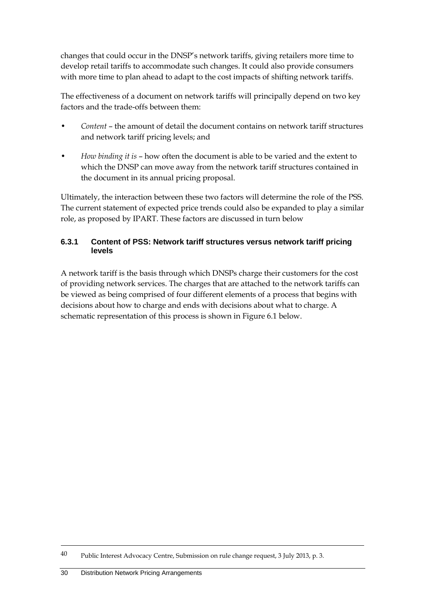changes that could occur in the DNSP's network tariffs, giving retailers more time to develop retail tariffs to accommodate such changes. It could also provide consumers with more time to plan ahead to adapt to the cost impacts of shifting network tariffs.

The effectiveness of a document on network tariffs will principally depend on two key factors and the trade-offs between them:

- *Content* the amount of detail the document contains on network tariff structures and network tariff pricing levels; and
- *How binding it is* how often the document is able to be varied and the extent to which the DNSP can move away from the network tariff structures contained in the document in its annual pricing proposal.

Ultimately, the interaction between these two factors will determine the role of the PSS. The current statement of expected price trends could also be expanded to play a similar role, as proposed by IPART. These factors are discussed in turn below

#### **6.3.1 Content of PSS: Network tariff structures versus network tariff pricing levels**

A network tariff is the basis through which DNSPs charge their customers for the cost of providing network services. The charges that are attached to the network tariffs can be viewed as being comprised of four different elements of a process that begins with decisions about how to charge and ends with decisions about what to charge. A schematic representation of this process is shown in Figure 6.1 below.

<sup>40</sup> Public Interest Advocacy Centre, Submission on rule change request, 3 July 2013, p. 3.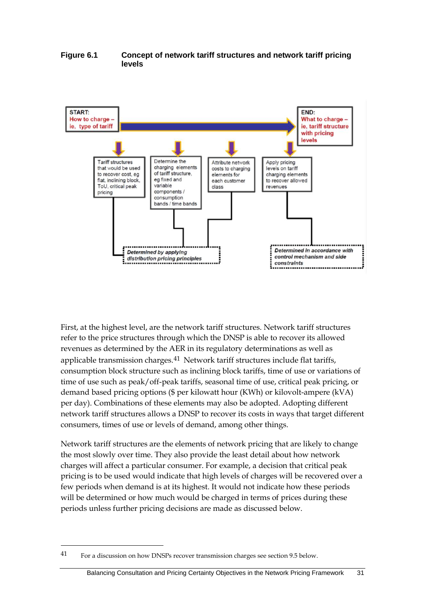#### **Figure 6.1 Concept of network tariff structures and network tariff pricing levels**



First, at the highest level, are the network tariff structures. Network tariff structures refer to the price structures through which the DNSP is able to recover its allowed revenues as determined by the AER in its regulatory determinations as well as applicable transmission charges.<sup>[41](#page-36-0)</sup> Network tariff structures include flat tariffs, consumption block structure such as inclining block tariffs, time of use or variations of time of use such as peak/off-peak tariffs, seasonal time of use, critical peak pricing, or demand based pricing options (\$ per kilowatt hour (KWh) or kilovolt-ampere (kVA) per day). Combinations of these elements may also be adopted. Adopting different network tariff structures allows a DNSP to recover its costs in ways that target different consumers, times of use or levels of demand, among other things.

Network tariff structures are the elements of network pricing that are likely to change the most slowly over time. They also provide the least detail about how network charges will affect a particular consumer. For example, a decision that critical peak pricing is to be used would indicate that high levels of charges will be recovered over a few periods when demand is at its highest. It would not indicate how these periods will be determined or how much would be charged in terms of prices during these periods unless further pricing decisions are made as discussed below.

<span id="page-36-0"></span><sup>41</sup> For a discussion on how DNSPs recover transmission charges see section 9.5 below.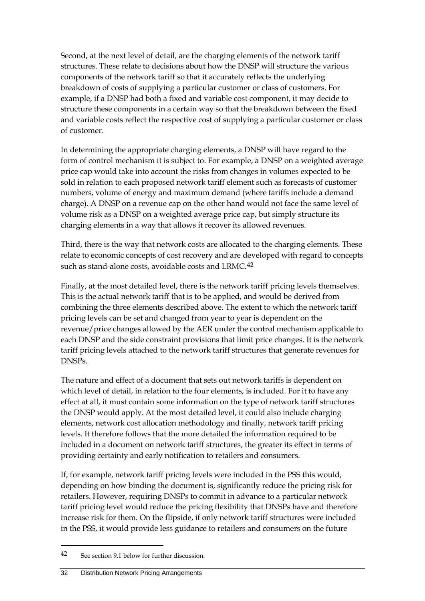Second, at the next level of detail, are the charging elements of the network tariff structures. These relate to decisions about how the DNSP will structure the various components of the network tariff so that it accurately reflects the underlying breakdown of costs of supplying a particular customer or class of customers. For example, if a DNSP had both a fixed and variable cost component, it may decide to structure these components in a certain way so that the breakdown between the fixed and variable costs reflect the respective cost of supplying a particular customer or class of customer.

In determining the appropriate charging elements, a DNSP will have regard to the form of control mechanism it is subject to. For example, a DNSP on a weighted average price cap would take into account the risks from changes in volumes expected to be sold in relation to each proposed network tariff element such as forecasts of customer numbers, volume of energy and maximum demand (where tariffs include a demand charge). A DNSP on a revenue cap on the other hand would not face the same level of volume risk as a DNSP on a weighted average price cap, but simply structure its charging elements in a way that allows it recover its allowed revenues.

Third, there is the way that network costs are allocated to the charging elements. These relate to economic concepts of cost recovery and are developed with regard to concepts such as stand-alone costs, avoidable costs and LRMC.<sup>[42](#page-37-0)</sup>

Finally, at the most detailed level, there is the network tariff pricing levels themselves. This is the actual network tariff that is to be applied, and would be derived from combining the three elements described above. The extent to which the network tariff pricing levels can be set and changed from year to year is dependent on the revenue/price changes allowed by the AER under the control mechanism applicable to each DNSP and the side constraint provisions that limit price changes. It is the network tariff pricing levels attached to the network tariff structures that generate revenues for DNSPs.

The nature and effect of a document that sets out network tariffs is dependent on which level of detail, in relation to the four elements, is included. For it to have any effect at all, it must contain some information on the type of network tariff structures the DNSP would apply. At the most detailed level, it could also include charging elements, network cost allocation methodology and finally, network tariff pricing levels. It therefore follows that the more detailed the information required to be included in a document on network tariff structures, the greater its effect in terms of providing certainty and early notification to retailers and consumers.

If, for example, network tariff pricing levels were included in the PSS this would, depending on how binding the document is, significantly reduce the pricing risk for retailers. However, requiring DNSPs to commit in advance to a particular network tariff pricing level would reduce the pricing flexibility that DNSPs have and therefore increase risk for them. On the flipside, if only network tariff structures were included in the PSS, it would provide less guidance to retailers and consumers on the future

<span id="page-37-0"></span><sup>42</sup> See section 9.1 below for further discussion.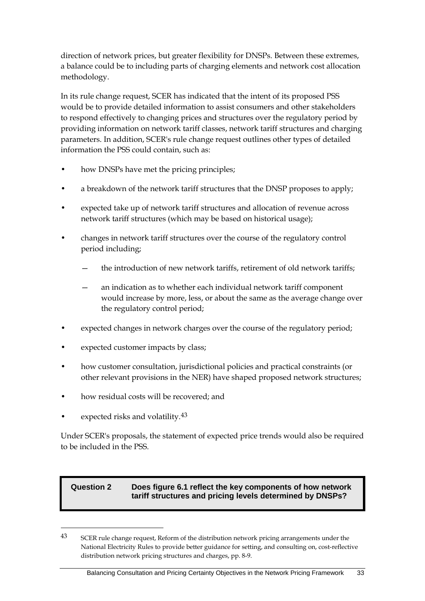direction of network prices, but greater flexibility for DNSPs. Between these extremes, a balance could be to including parts of charging elements and network cost allocation methodology.

In its rule change request, SCER has indicated that the intent of its proposed PSS would be to provide detailed information to assist consumers and other stakeholders to respond effectively to changing prices and structures over the regulatory period by providing information on network tariff classes, network tariff structures and charging parameters. In addition, SCER's rule change request outlines other types of detailed information the PSS could contain, such as:

- how DNSPs have met the pricing principles;
- a breakdown of the network tariff structures that the DNSP proposes to apply;
- expected take up of network tariff structures and allocation of revenue across network tariff structures (which may be based on historical usage);
- changes in network tariff structures over the course of the regulatory control period including;
	- the introduction of new network tariffs, retirement of old network tariffs;
	- an indication as to whether each individual network tariff component would increase by more, less, or about the same as the average change over the regulatory control period;
- expected changes in network charges over the course of the regulatory period;
- expected customer impacts by class;
- how customer consultation, jurisdictional policies and practical constraints (or other relevant provisions in the NER) have shaped proposed network structures;
- how residual costs will be recovered; and
- expected risks and volatility.<sup>[43](#page-38-0)</sup>

-

Under SCER's proposals, the statement of expected price trends would also be required to be included in the PSS.

## **Question 2 Does figure 6.1 reflect the key components of how network tariff structures and pricing levels determined by DNSPs?**

<span id="page-38-0"></span><sup>43</sup> SCER rule change request, Reform of the distribution network pricing arrangements under the National Electricity Rules to provide better guidance for setting, and consulting on, cost-reflective distribution network pricing structures and charges, pp. 8-9.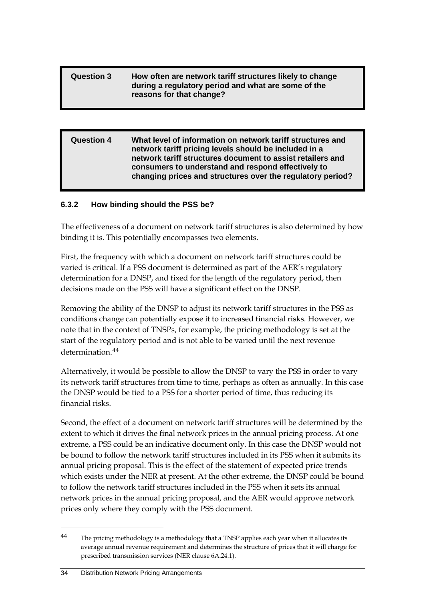## **Question 3 How often are network tariff structures likely to change during a regulatory period and what are some of the reasons for that change?**

| <b>Question 4</b> | What level of information on network tariff structures and<br>network tariff pricing levels should be included in a<br>network tariff structures document to assist retailers and |
|-------------------|-----------------------------------------------------------------------------------------------------------------------------------------------------------------------------------|
|                   | consumers to understand and respond effectively to<br>changing prices and structures over the regulatory period?                                                                  |

## **6.3.2 How binding should the PSS be?**

The effectiveness of a document on network tariff structures is also determined by how binding it is. This potentially encompasses two elements.

First, the frequency with which a document on network tariff structures could be varied is critical. If a PSS document is determined as part of the AER's regulatory determination for a DNSP, and fixed for the length of the regulatory period, then decisions made on the PSS will have a significant effect on the DNSP.

Removing the ability of the DNSP to adjust its network tariff structures in the PSS as conditions change can potentially expose it to increased financial risks. However, we note that in the context of TNSPs, for example, the pricing methodology is set at the start of the regulatory period and is not able to be varied until the next revenue determination.[44](#page-39-0)

Alternatively, it would be possible to allow the DNSP to vary the PSS in order to vary its network tariff structures from time to time, perhaps as often as annually. In this case the DNSP would be tied to a PSS for a shorter period of time, thus reducing its financial risks.

Second, the effect of a document on network tariff structures will be determined by the extent to which it drives the final network prices in the annual pricing process. At one extreme, a PSS could be an indicative document only. In this case the DNSP would not be bound to follow the network tariff structures included in its PSS when it submits its annual pricing proposal. This is the effect of the statement of expected price trends which exists under the NER at present. At the other extreme, the DNSP could be bound to follow the network tariff structures included in the PSS when it sets its annual network prices in the annual pricing proposal, and the AER would approve network prices only where they comply with the PSS document.

<span id="page-39-0"></span><sup>&</sup>lt;sup>44</sup> The pricing methodology is a methodology that a TNSP applies each year when it allocates its average annual revenue requirement and determines the structure of prices that it will charge for prescribed transmission services (NER clause 6A.24.1).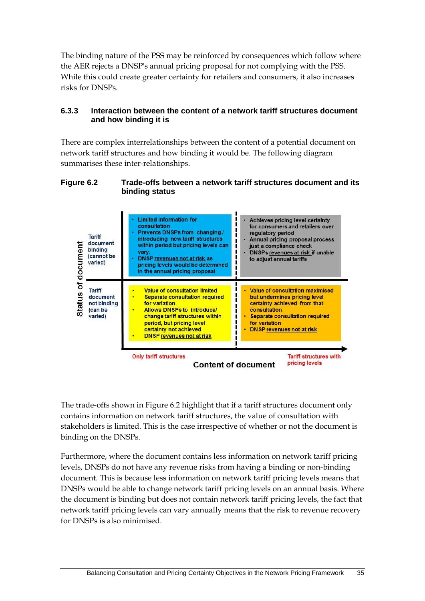The binding nature of the PSS may be reinforced by consequences which follow where the AER rejects a DNSP's annual pricing proposal for not complying with the PSS. While this could create greater certainty for retailers and consumers, it also increases risks for DNSPs.

## **6.3.3 Interaction between the content of a network tariff structures document and how binding it is**

There are complex interrelationships between the content of a potential document on network tariff structures and how binding it would be. The following diagram summarises these inter-relationships.

#### **Figure 6.2 Trade-offs between a network tariff structures document and its binding status**



The trade-offs shown in Figure 6.2 highlight that if a tariff structures document only contains information on network tariff structures, the value of consultation with stakeholders is limited. This is the case irrespective of whether or not the document is binding on the DNSPs.

Furthermore, where the document contains less information on network tariff pricing levels, DNSPs do not have any revenue risks from having a binding or non-binding document. This is because less information on network tariff pricing levels means that DNSPs would be able to change network tariff pricing levels on an annual basis. Where the document is binding but does not contain network tariff pricing levels, the fact that network tariff pricing levels can vary annually means that the risk to revenue recovery for DNSPs is also minimised.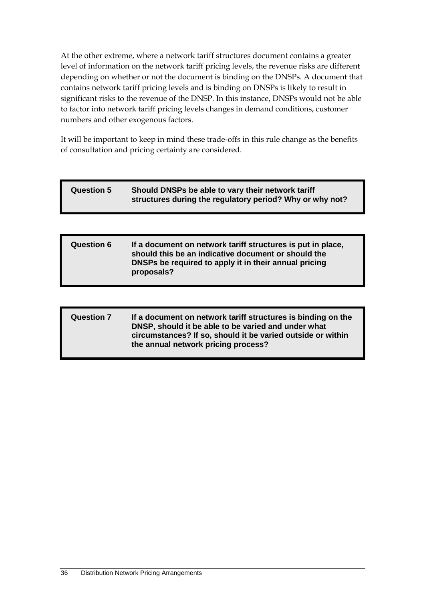At the other extreme, where a network tariff structures document contains a greater level of information on the network tariff pricing levels, the revenue risks are different depending on whether or not the document is binding on the DNSPs. A document that contains network tariff pricing levels and is binding on DNSPs is likely to result in significant risks to the revenue of the DNSP. In this instance, DNSPs would not be able to factor into network tariff pricing levels changes in demand conditions, customer numbers and other exogenous factors.

It will be important to keep in mind these trade-offs in this rule change as the benefits of consultation and pricing certainty are considered.

# **Question 5 Should DNSPs be able to vary their network tariff structures during the regulatory period? Why or why not?**

#### **Question 6 If a document on network tariff structures is put in place, should this be an indicative document or should the DNSPs be required to apply it in their annual pricing proposals?**

## **Question 7 If a document on network tariff structures is binding on the DNSP, should it be able to be varied and under what circumstances? If so, should it be varied outside or within the annual network pricing process?**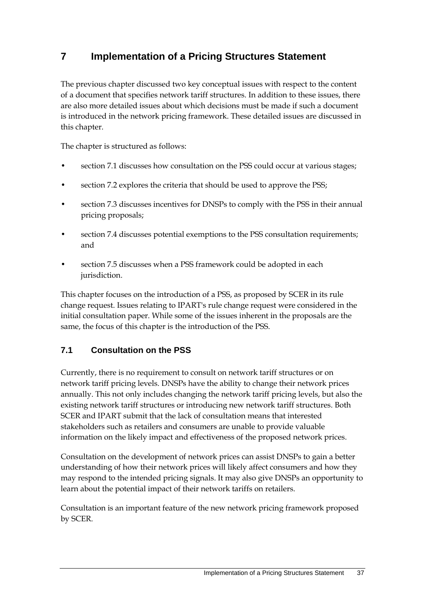# **7 Implementation of a Pricing Structures Statement**

The previous chapter discussed two key conceptual issues with respect to the content of a document that specifies network tariff structures. In addition to these issues, there are also more detailed issues about which decisions must be made if such a document is introduced in the network pricing framework. These detailed issues are discussed in this chapter.

The chapter is structured as follows:

- section [7.1](#page-42-0) discusses how consultation on the PSS could occur at various stages;
- section [7.2](#page-46-0) explores the criteria that should be used to approve the PSS;
- section [7.3](#page-47-0) discusses incentives for DNSPs to comply with the PSS in their annual pricing proposals;
- section [7.4](#page-49-0) discusses potential exemptions to the PSS consultation requirements; and
- section [7.5](#page-50-0) discusses when a PSS framework could be adopted in each jurisdiction.

This chapter focuses on the introduction of a PSS, as proposed by SCER in its rule change request. Issues relating to IPART's rule change request were considered in the initial consultation paper. While some of the issues inherent in the proposals are the same, the focus of this chapter is the introduction of the PSS.

# <span id="page-42-0"></span>**7.1 Consultation on the PSS**

Currently, there is no requirement to consult on network tariff structures or on network tariff pricing levels. DNSPs have the ability to change their network prices annually. This not only includes changing the network tariff pricing levels, but also the existing network tariff structures or introducing new network tariff structures. Both SCER and IPART submit that the lack of consultation means that interested stakeholders such as retailers and consumers are unable to provide valuable information on the likely impact and effectiveness of the proposed network prices.

Consultation on the development of network prices can assist DNSPs to gain a better understanding of how their network prices will likely affect consumers and how they may respond to the intended pricing signals. It may also give DNSPs an opportunity to learn about the potential impact of their network tariffs on retailers.

Consultation is an important feature of the new network pricing framework proposed by SCER.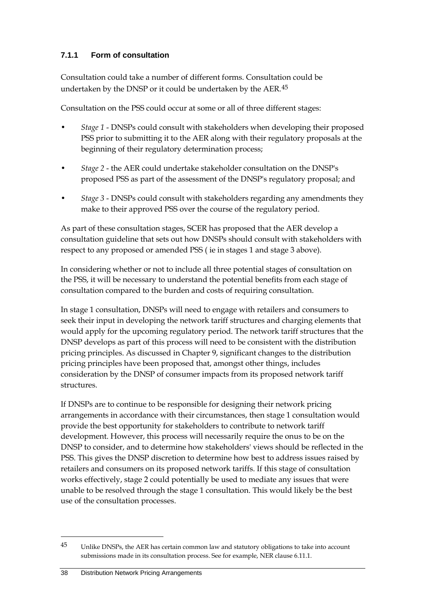# **7.1.1 Form of consultation**

Consultation could take a number of different forms. Consultation could be undertaken by the DNSP or it could be undertaken by the AER.<sup>[45](#page-43-0)</sup>

Consultation on the PSS could occur at some or all of three different stages:

- *Stage 1* DNSPs could consult with stakeholders when developing their proposed PSS prior to submitting it to the AER along with their regulatory proposals at the beginning of their regulatory determination process;
- *Stage 2* the AER could undertake stakeholder consultation on the DNSP's proposed PSS as part of the assessment of the DNSP's regulatory proposal; and
- *Stage 3* DNSPs could consult with stakeholders regarding any amendments they make to their approved PSS over the course of the regulatory period.

As part of these consultation stages, SCER has proposed that the AER develop a consultation guideline that sets out how DNSPs should consult with stakeholders with respect to any proposed or amended PSS ( ie in stages 1 and stage 3 above).

In considering whether or not to include all three potential stages of consultation on the PSS, it will be necessary to understand the potential benefits from each stage of consultation compared to the burden and costs of requiring consultation.

In stage 1 consultation, DNSPs will need to engage with retailers and consumers to seek their input in developing the network tariff structures and charging elements that would apply for the upcoming regulatory period. The network tariff structures that the DNSP develops as part of this process will need to be consistent with the distribution pricing principles. As discussed in Chapter 9, significant changes to the distribution pricing principles have been proposed that, amongst other things, includes consideration by the DNSP of consumer impacts from its proposed network tariff structures.

If DNSPs are to continue to be responsible for designing their network pricing arrangements in accordance with their circumstances, then stage 1 consultation would provide the best opportunity for stakeholders to contribute to network tariff development. However, this process will necessarily require the onus to be on the DNSP to consider, and to determine how stakeholders' views should be reflected in the PSS. This gives the DNSP discretion to determine how best to address issues raised by retailers and consumers on its proposed network tariffs. If this stage of consultation works effectively, stage 2 could potentially be used to mediate any issues that were unable to be resolved through the stage 1 consultation. This would likely be the best use of the consultation processes.

<span id="page-43-0"></span><sup>45</sup> Unlike DNSPs, the AER has certain common law and statutory obligations to take into account submissions made in its consultation process. See for example, NER clause 6.11.1.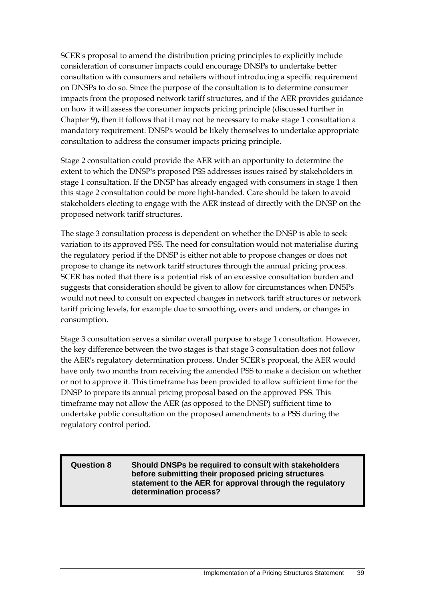SCER's proposal to amend the distribution pricing principles to explicitly include consideration of consumer impacts could encourage DNSPs to undertake better consultation with consumers and retailers without introducing a specific requirement on DNSPs to do so. Since the purpose of the consultation is to determine consumer impacts from the proposed network tariff structures, and if the AER provides guidance on how it will assess the consumer impacts pricing principle (discussed further in Chapter 9), then it follows that it may not be necessary to make stage 1 consultation a mandatory requirement. DNSPs would be likely themselves to undertake appropriate consultation to address the consumer impacts pricing principle.

Stage 2 consultation could provide the AER with an opportunity to determine the extent to which the DNSP's proposed PSS addresses issues raised by stakeholders in stage 1 consultation. If the DNSP has already engaged with consumers in stage 1 then this stage 2 consultation could be more light-handed. Care should be taken to avoid stakeholders electing to engage with the AER instead of directly with the DNSP on the proposed network tariff structures.

The stage 3 consultation process is dependent on whether the DNSP is able to seek variation to its approved PSS. The need for consultation would not materialise during the regulatory period if the DNSP is either not able to propose changes or does not propose to change its network tariff structures through the annual pricing process. SCER has noted that there is a potential risk of an excessive consultation burden and suggests that consideration should be given to allow for circumstances when DNSPs would not need to consult on expected changes in network tariff structures or network tariff pricing levels, for example due to smoothing, overs and unders, or changes in consumption.

Stage 3 consultation serves a similar overall purpose to stage 1 consultation. However, the key difference between the two stages is that stage 3 consultation does not follow the AER's regulatory determination process. Under SCER's proposal, the AER would have only two months from receiving the amended PSS to make a decision on whether or not to approve it. This timeframe has been provided to allow sufficient time for the DNSP to prepare its annual pricing proposal based on the approved PSS. This timeframe may not allow the AER (as opposed to the DNSP) sufficient time to undertake public consultation on the proposed amendments to a PSS during the regulatory control period.

**Question 8 Should DNSPs be required to consult with stakeholders before submitting their proposed pricing structures statement to the AER for approval through the regulatory determination process?**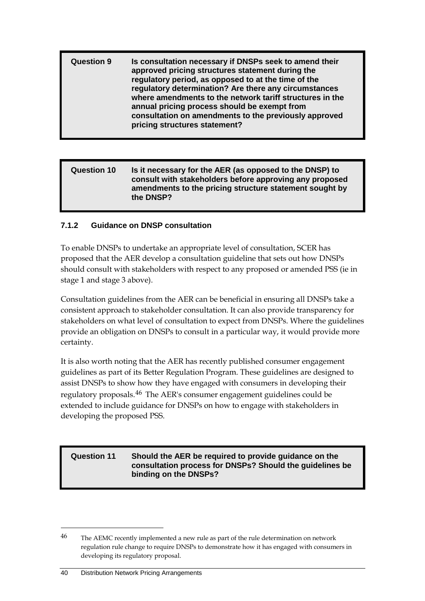| <b>Question 9</b> | Is consultation necessary if DNSPs seek to amend their<br>approved pricing structures statement during the<br>regulatory period, as opposed to at the time of the<br>regulatory determination? Are there any circumstances<br>where amendments to the network tariff structures in the<br>annual pricing process should be exempt from<br>consultation on amendments to the previously approved<br>pricing structures statement? |
|-------------------|----------------------------------------------------------------------------------------------------------------------------------------------------------------------------------------------------------------------------------------------------------------------------------------------------------------------------------------------------------------------------------------------------------------------------------|
|                   |                                                                                                                                                                                                                                                                                                                                                                                                                                  |

#### **Question 10 Is it necessary for the AER (as opposed to the DNSP) to consult with stakeholders before approving any proposed amendments to the pricing structure statement sought by the DNSP?**

## **7.1.2 Guidance on DNSP consultation**

To enable DNSPs to undertake an appropriate level of consultation, SCER has proposed that the AER develop a consultation guideline that sets out how DNSPs should consult with stakeholders with respect to any proposed or amended PSS (ie in stage 1 and stage 3 above).

Consultation guidelines from the AER can be beneficial in ensuring all DNSPs take a consistent approach to stakeholder consultation. It can also provide transparency for stakeholders on what level of consultation to expect from DNSPs. Where the guidelines provide an obligation on DNSPs to consult in a particular way, it would provide more certainty.

It is also worth noting that the AER has recently published consumer engagement guidelines as part of its Better Regulation Program. These guidelines are designed to assist DNSPs to show how they have engaged with consumers in developing their regulatory proposals.<sup>[46](#page-45-0)</sup> The AER's consumer engagement guidelines could be extended to include guidance for DNSPs on how to engage with stakeholders in developing the proposed PSS.

#### **Question 11 Should the AER be required to provide guidance on the consultation process for DNSPs? Should the guidelines be binding on the DNSPs?**

<span id="page-45-0"></span><sup>&</sup>lt;sup>46</sup> The AEMC recently implemented a new rule as part of the rule determination on network regulation rule change to require DNSPs to demonstrate how it has engaged with consumers in developing its regulatory proposal.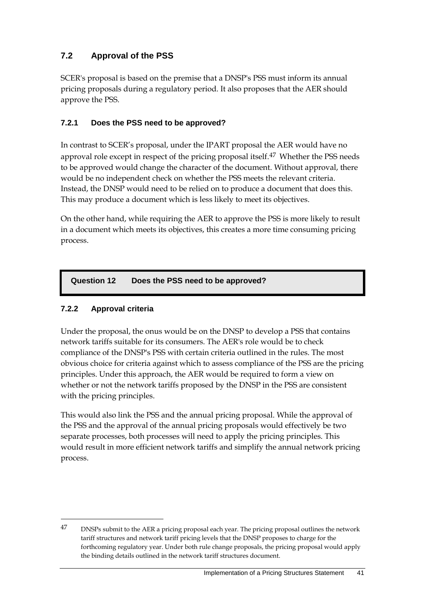# <span id="page-46-0"></span>**7.2 Approval of the PSS**

SCER's proposal is based on the premise that a DNSP's PSS must inform its annual pricing proposals during a regulatory period. It also proposes that the AER should approve the PSS.

## **7.2.1 Does the PSS need to be approved?**

In contrast to SCER's proposal, under the IPART proposal the AER would have no approval role except in respect of the pricing proposal itself.<sup>[47](#page-46-1)</sup> Whether the PSS needs to be approved would change the character of the document. Without approval, there would be no independent check on whether the PSS meets the relevant criteria. Instead, the DNSP would need to be relied on to produce a document that does this. This may produce a document which is less likely to meet its objectives.

On the other hand, while requiring the AER to approve the PSS is more likely to result in a document which meets its objectives, this creates a more time consuming pricing process.

## **Question 12 Does the PSS need to be approved?**

# **7.2.2 Approval criteria**

-

Under the proposal, the onus would be on the DNSP to develop a PSS that contains network tariffs suitable for its consumers. The AER's role would be to check compliance of the DNSP's PSS with certain criteria outlined in the rules. The most obvious choice for criteria against which to assess compliance of the PSS are the pricing principles. Under this approach, the AER would be required to form a view on whether or not the network tariffs proposed by the DNSP in the PSS are consistent with the pricing principles.

This would also link the PSS and the annual pricing proposal. While the approval of the PSS and the approval of the annual pricing proposals would effectively be two separate processes, both processes will need to apply the pricing principles. This would result in more efficient network tariffs and simplify the annual network pricing process.

<span id="page-46-1"></span><sup>47</sup> DNSPs submit to the AER a pricing proposal each year. The pricing proposal outlines the network tariff structures and network tariff pricing levels that the DNSP proposes to charge for the forthcoming regulatory year. Under both rule change proposals, the pricing proposal would apply the binding details outlined in the network tariff structures document.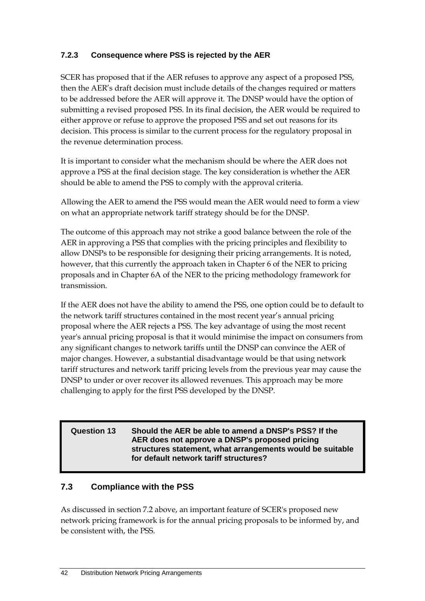# **7.2.3 Consequence where PSS is rejected by the AER**

SCER has proposed that if the AER refuses to approve any aspect of a proposed PSS, then the AER's draft decision must include details of the changes required or matters to be addressed before the AER will approve it. The DNSP would have the option of submitting a revised proposed PSS. In its final decision, the AER would be required to either approve or refuse to approve the proposed PSS and set out reasons for its decision. This process is similar to the current process for the regulatory proposal in the revenue determination process.

It is important to consider what the mechanism should be where the AER does not approve a PSS at the final decision stage. The key consideration is whether the AER should be able to amend the PSS to comply with the approval criteria.

Allowing the AER to amend the PSS would mean the AER would need to form a view on what an appropriate network tariff strategy should be for the DNSP.

The outcome of this approach may not strike a good balance between the role of the AER in approving a PSS that complies with the pricing principles and flexibility to allow DNSPs to be responsible for designing their pricing arrangements. It is noted, however, that this currently the approach taken in Chapter 6 of the NER to pricing proposals and in Chapter 6A of the NER to the pricing methodology framework for transmission.

If the AER does not have the ability to amend the PSS, one option could be to default to the network tariff structures contained in the most recent year's annual pricing proposal where the AER rejects a PSS. The key advantage of using the most recent year's annual pricing proposal is that it would minimise the impact on consumers from any significant changes to network tariffs until the DNSP can convince the AER of major changes. However, a substantial disadvantage would be that using network tariff structures and network tariff pricing levels from the previous year may cause the DNSP to under or over recover its allowed revenues. This approach may be more challenging to apply for the first PSS developed by the DNSP.

#### **Question 13 Should the AER be able to amend a DNSP's PSS? If the AER does not approve a DNSP's proposed pricing structures statement, what arrangements would be suitable for default network tariff structures?**

# <span id="page-47-0"></span>**7.3 Compliance with the PSS**

As discussed in section [7.2](#page-46-0) above, an important feature of SCER's proposed new network pricing framework is for the annual pricing proposals to be informed by, and be consistent with, the PSS.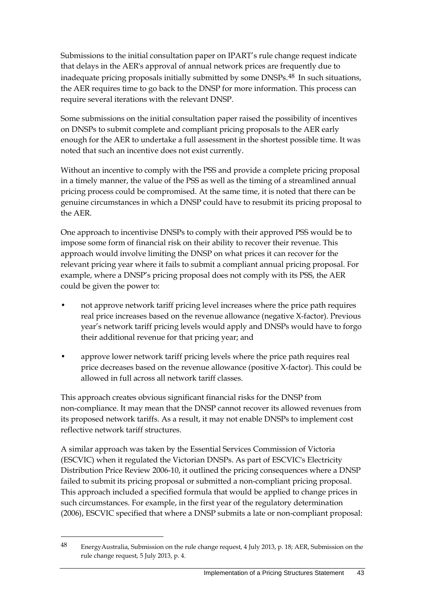Submissions to the initial consultation paper on IPART's rule change request indicate that delays in the AER's approval of annual network prices are frequently due to inadequate pricing proposals initially submitted by some DNSPs.[48](#page-48-0) In such situations, the AER requires time to go back to the DNSP for more information. This process can require several iterations with the relevant DNSP.

Some submissions on the initial consultation paper raised the possibility of incentives on DNSPs to submit complete and compliant pricing proposals to the AER early enough for the AER to undertake a full assessment in the shortest possible time. It was noted that such an incentive does not exist currently.

Without an incentive to comply with the PSS and provide a complete pricing proposal in a timely manner, the value of the PSS as well as the timing of a streamlined annual pricing process could be compromised. At the same time, it is noted that there can be genuine circumstances in which a DNSP could have to resubmit its pricing proposal to the AER.

One approach to incentivise DNSPs to comply with their approved PSS would be to impose some form of financial risk on their ability to recover their revenue. This approach would involve limiting the DNSP on what prices it can recover for the relevant pricing year where it fails to submit a compliant annual pricing proposal. For example, where a DNSP's pricing proposal does not comply with its PSS, the AER could be given the power to:

- not approve network tariff pricing level increases where the price path requires real price increases based on the revenue allowance (negative X-factor). Previous year's network tariff pricing levels would apply and DNSPs would have to forgo their additional revenue for that pricing year; and
- approve lower network tariff pricing levels where the price path requires real price decreases based on the revenue allowance (positive X-factor). This could be allowed in full across all network tariff classes.

This approach creates obvious significant financial risks for the DNSP from non-compliance. It may mean that the DNSP cannot recover its allowed revenues from its proposed network tariffs. As a result, it may not enable DNSPs to implement cost reflective network tariff structures.

A similar approach was taken by the Essential Services Commission of Victoria (ESCVIC) when it regulated the Victorian DNSPs. As part of ESCVIC's Electricity Distribution Price Review 2006-10, it outlined the pricing consequences where a DNSP failed to submit its pricing proposal or submitted a non-compliant pricing proposal. This approach included a specified formula that would be applied to change prices in such circumstances. For example, in the first year of the regulatory determination (2006), ESCVIC specified that where a DNSP submits a late or non-compliant proposal:

<span id="page-48-0"></span><sup>48</sup> EnergyAustralia, Submission on the rule change request, 4 July 2013, p. 18; AER, Submission on the rule change request, 5 July 2013, p. 4.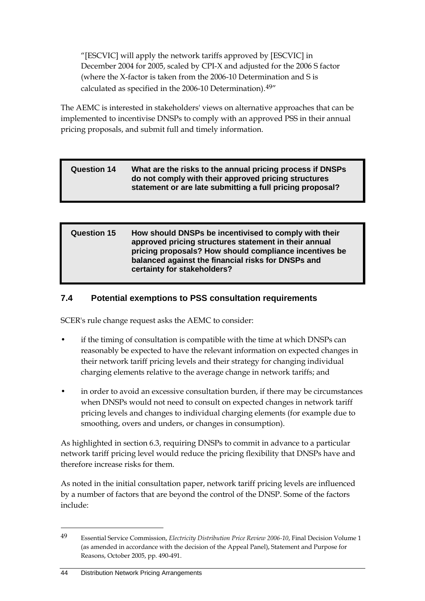"[ESCVIC] will apply the network tariffs approved by [ESCVIC] in December 2004 for 2005, scaled by CPI-X and adjusted for the 2006 S factor (where the X-factor is taken from the 2006-10 Determination and S is calculated as specified in the 2006-10 Determination).[49](#page-49-1)"

The AEMC is interested in stakeholders' views on alternative approaches that can be implemented to incentivise DNSPs to comply with an approved PSS in their annual pricing proposals, and submit full and timely information.

#### **Question 14 What are the risks to the annual pricing process if DNSPs do not comply with their approved pricing structures statement or are late submitting a full pricing proposal?**

#### **Question 15 How should DNSPs be incentivised to comply with their approved pricing structures statement in their annual pricing proposals? How should compliance incentives be balanced against the financial risks for DNSPs and certainty for stakeholders?**

# <span id="page-49-0"></span>**7.4 Potential exemptions to PSS consultation requirements**

SCER's rule change request asks the AEMC to consider:

- if the timing of consultation is compatible with the time at which DNSPs can reasonably be expected to have the relevant information on expected changes in their network tariff pricing levels and their strategy for changing individual charging elements relative to the average change in network tariffs; and
- in order to avoid an excessive consultation burden, if there may be circumstances when DNSPs would not need to consult on expected changes in network tariff pricing levels and changes to individual charging elements (for example due to smoothing, overs and unders, or changes in consumption).

As highlighted in section 6.3, requiring DNSPs to commit in advance to a particular network tariff pricing level would reduce the pricing flexibility that DNSPs have and therefore increase risks for them.

As noted in the initial consultation paper, network tariff pricing levels are influenced by a number of factors that are beyond the control of the DNSP. Some of the factors include:

<span id="page-49-1"></span><sup>49</sup> Essential Service Commission, *Electricity Distribution Price Review 2006-10*, Final Decision Volume 1 (as amended in accordance with the decision of the Appeal Panel), Statement and Purpose for Reasons, October 2005, pp. 490-491.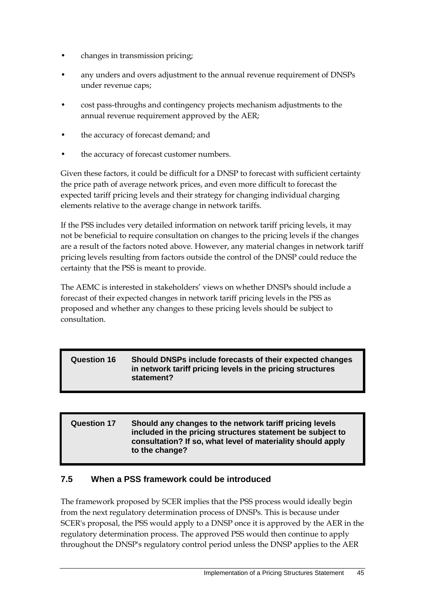- changes in transmission pricing;
- any unders and overs adjustment to the annual revenue requirement of DNSPs under revenue caps;
- cost pass-throughs and contingency projects mechanism adjustments to the annual revenue requirement approved by the AER;
- the accuracy of forecast demand; and
- the accuracy of forecast customer numbers.

Given these factors, it could be difficult for a DNSP to forecast with sufficient certainty the price path of average network prices, and even more difficult to forecast the expected tariff pricing levels and their strategy for changing individual charging elements relative to the average change in network tariffs.

If the PSS includes very detailed information on network tariff pricing levels, it may not be beneficial to require consultation on changes to the pricing levels if the changes are a result of the factors noted above. However, any material changes in network tariff pricing levels resulting from factors outside the control of the DNSP could reduce the certainty that the PSS is meant to provide.

The AEMC is interested in stakeholders' views on whether DNSPs should include a forecast of their expected changes in network tariff pricing levels in the PSS as proposed and whether any changes to these pricing levels should be subject to consultation.

#### **Question 16 Should DNSPs include forecasts of their expected changes in network tariff pricing levels in the pricing structures statement?**

#### **Question 17 Should any changes to the network tariff pricing levels included in the pricing structures statement be subject to consultation? If so, what level of materiality should apply to the change?**

## <span id="page-50-0"></span>**7.5 When a PSS framework could be introduced**

The framework proposed by SCER implies that the PSS process would ideally begin from the next regulatory determination process of DNSPs. This is because under SCER's proposal, the PSS would apply to a DNSP once it is approved by the AER in the regulatory determination process. The approved PSS would then continue to apply throughout the DNSP's regulatory control period unless the DNSP applies to the AER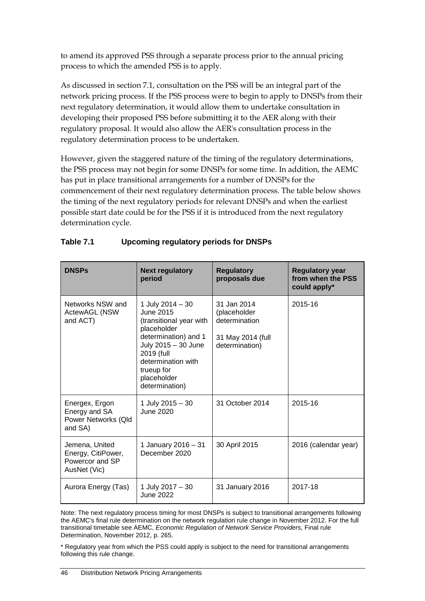to amend its approved PSS through a separate process prior to the annual pricing process to which the amended PSS is to apply.

As discussed in section [7.1,](#page-42-0) consultation on the PSS will be an integral part of the network pricing process. If the PSS process were to begin to apply to DNSPs from their next regulatory determination, it would allow them to undertake consultation in developing their proposed PSS before submitting it to the AER along with their regulatory proposal. It would also allow the AER's consultation process in the regulatory determination process to be undertaken.

However, given the staggered nature of the timing of the regulatory determinations, the PSS process may not begin for some DNSPs for some time. In addition, the AEMC has put in place transitional arrangements for a number of DNSPs for the commencement of their next regulatory determination process. The table below shows the timing of the next regulatory periods for relevant DNSPs and when the earliest possible start date could be for the PSS if it is introduced from the next regulatory determination cycle.

| <b>DNSPs</b>                                                            | <b>Next regulatory</b><br>period                                                                                                                                                                          | <b>Regulatory</b><br>proposals due                                                  | <b>Regulatory year</b><br>from when the PSS<br>could apply* |
|-------------------------------------------------------------------------|-----------------------------------------------------------------------------------------------------------------------------------------------------------------------------------------------------------|-------------------------------------------------------------------------------------|-------------------------------------------------------------|
| Networks NSW and<br>ActewAGL (NSW<br>and ACT)                           | 1 July 2014 - 30<br>June 2015<br>(transitional year with<br>placeholder<br>determination) and 1<br>July 2015 - 30 June<br>2019 (full<br>determination with<br>trueup for<br>placeholder<br>determination) | 31 Jan 2014<br>(placeholder<br>determination<br>31 May 2014 (full<br>determination) | 2015-16                                                     |
| Energex, Ergon<br>Energy and SA<br>Power Networks (Qld<br>and SA)       | 1 July 2015 - 30<br><b>June 2020</b>                                                                                                                                                                      | 31 October 2014                                                                     | 2015-16                                                     |
| Jemena, United<br>Energy, CitiPower,<br>Powercor and SP<br>AusNet (Vic) | 1 January 2016 - 31<br>December 2020                                                                                                                                                                      | 30 April 2015                                                                       | 2016 (calendar year)                                        |
| Aurora Energy (Tas)                                                     | 1 July 2017 - 30<br><b>June 2022</b>                                                                                                                                                                      | 31 January 2016                                                                     | 2017-18                                                     |

# **Table 7.1 Upcoming regulatory periods for DNSPs**

Note: The next regulatory process timing for most DNSPs is subject to transitional arrangements following the AEMC's final rule determination on the network regulation rule change in November 2012. For the full transitional timetable see AEMC, *Economic Regulation of Network Service Providers,* Final rule Determination, November 2012, p. 265.

\* Regulatory year from which the PSS could apply is subject to the need for transitional arrangements following this rule change.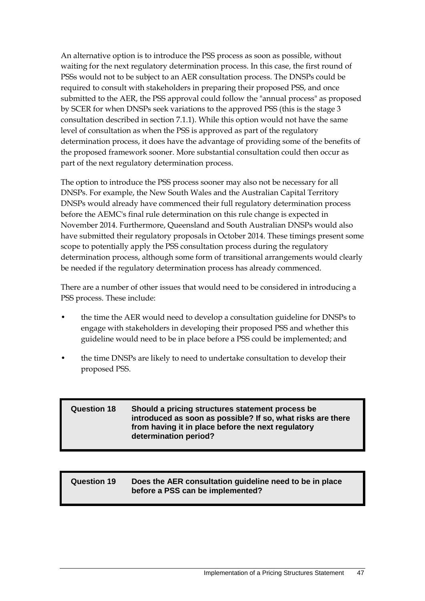An alternative option is to introduce the PSS process as soon as possible, without waiting for the next regulatory determination process. In this case, the first round of PSSs would not to be subject to an AER consultation process. The DNSPs could be required to consult with stakeholders in preparing their proposed PSS, and once submitted to the AER, the PSS approval could follow the "annual process" as proposed by SCER for when DNSPs seek variations to the approved PSS (this is the stage 3 consultation described in section 7.1.1). While this option would not have the same level of consultation as when the PSS is approved as part of the regulatory determination process, it does have the advantage of providing some of the benefits of the proposed framework sooner. More substantial consultation could then occur as part of the next regulatory determination process.

The option to introduce the PSS process sooner may also not be necessary for all DNSPs. For example, the New South Wales and the Australian Capital Territory DNSPs would already have commenced their full regulatory determination process before the AEMC's final rule determination on this rule change is expected in November 2014. Furthermore, Queensland and South Australian DNSPs would also have submitted their regulatory proposals in October 2014. These timings present some scope to potentially apply the PSS consultation process during the regulatory determination process, although some form of transitional arrangements would clearly be needed if the regulatory determination process has already commenced.

There are a number of other issues that would need to be considered in introducing a PSS process. These include:

- the time the AER would need to develop a consultation guideline for DNSPs to engage with stakeholders in developing their proposed PSS and whether this guideline would need to be in place before a PSS could be implemented; and
- the time DNSPs are likely to need to undertake consultation to develop their proposed PSS.

| Should a pricing structures statement process be<br><b>Question 18</b><br>introduced as soon as possible? If so, what risks are there<br>from having it in place before the next regulatory<br>determination period? |
|----------------------------------------------------------------------------------------------------------------------------------------------------------------------------------------------------------------------|
|----------------------------------------------------------------------------------------------------------------------------------------------------------------------------------------------------------------------|

| <b>Question 19</b> | Does the AER consultation guideline need to be in place<br>before a PSS can be implemented? |
|--------------------|---------------------------------------------------------------------------------------------|
|                    |                                                                                             |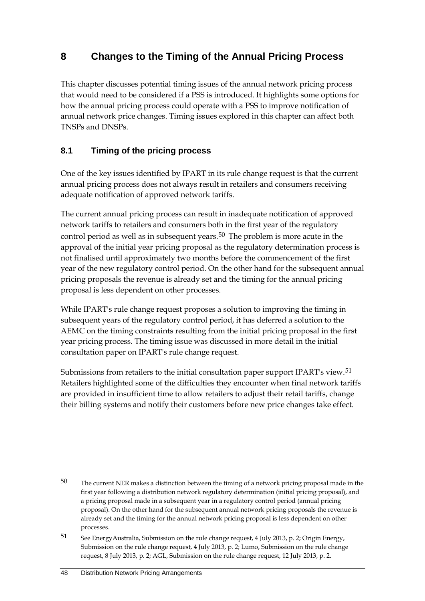# **8 Changes to the Timing of the Annual Pricing Process**

This chapter discusses potential timing issues of the annual network pricing process that would need to be considered if a PSS is introduced. It highlights some options for how the annual pricing process could operate with a PSS to improve notification of annual network price changes. Timing issues explored in this chapter can affect both TNSPs and DNSPs.

# **8.1 Timing of the pricing process**

One of the key issues identified by IPART in its rule change request is that the current annual pricing process does not always result in retailers and consumers receiving adequate notification of approved network tariffs.

The current annual pricing process can result in inadequate notification of approved network tariffs to retailers and consumers both in the first year of the regulatory control period as well as in subsequent years.<sup>[50](#page-53-0)</sup> The problem is more acute in the approval of the initial year pricing proposal as the regulatory determination process is not finalised until approximately two months before the commencement of the first year of the new regulatory control period. On the other hand for the subsequent annual pricing proposals the revenue is already set and the timing for the annual pricing proposal is less dependent on other processes.

While IPART's rule change request proposes a solution to improving the timing in subsequent years of the regulatory control period, it has deferred a solution to the AEMC on the timing constraints resulting from the initial pricing proposal in the first year pricing process. The timing issue was discussed in more detail in the initial consultation paper on IPART's rule change request.

Submissions from retailers to the initial consultation paper support IPART's view.[51](#page-53-1) Retailers highlighted some of the difficulties they encounter when final network tariffs are provided in insufficient time to allow retailers to adjust their retail tariffs, change their billing systems and notify their customers before new price changes take effect.

<span id="page-53-0"></span> $50$  The current NER makes a distinction between the timing of a network pricing proposal made in the first year following a distribution network regulatory determination (initial pricing proposal), and a pricing proposal made in a subsequent year in a regulatory control period (annual pricing proposal). On the other hand for the subsequent annual network pricing proposals the revenue is already set and the timing for the annual network pricing proposal is less dependent on other processes.

<span id="page-53-1"></span><sup>51</sup> See EnergyAustralia, Submission on the rule change request, 4 July 2013, p. 2; Origin Energy, Submission on the rule change request, 4 July 2013, p. 2; Lumo, Submission on the rule change request, 8 July 2013, p. 2; AGL, Submission on the rule change request, 12 July 2013, p. 2.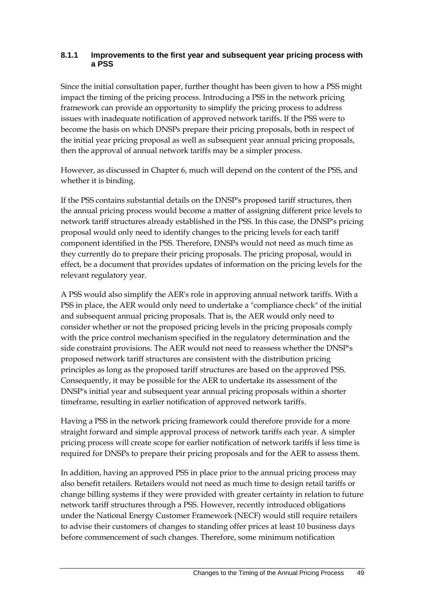## **8.1.1 Improvements to the first year and subsequent year pricing process with a PSS**

Since the initial consultation paper, further thought has been given to how a PSS might impact the timing of the pricing process. Introducing a PSS in the network pricing framework can provide an opportunity to simplify the pricing process to address issues with inadequate notification of approved network tariffs. If the PSS were to become the basis on which DNSPs prepare their pricing proposals, both in respect of the initial year pricing proposal as well as subsequent year annual pricing proposals, then the approval of annual network tariffs may be a simpler process.

However, as discussed in Chapter 6, much will depend on the content of the PSS, and whether it is binding.

If the PSS contains substantial details on the DNSP's proposed tariff structures, then the annual pricing process would become a matter of assigning different price levels to network tariff structures already established in the PSS. In this case, the DNSP's pricing proposal would only need to identify changes to the pricing levels for each tariff component identified in the PSS. Therefore, DNSPs would not need as much time as they currently do to prepare their pricing proposals. The pricing proposal, would in effect, be a document that provides updates of information on the pricing levels for the relevant regulatory year.

A PSS would also simplify the AER's role in approving annual network tariffs. With a PSS in place, the AER would only need to undertake a "compliance check" of the initial and subsequent annual pricing proposals. That is, the AER would only need to consider whether or not the proposed pricing levels in the pricing proposals comply with the price control mechanism specified in the regulatory determination and the side constraint provisions. The AER would not need to reassess whether the DNSP's proposed network tariff structures are consistent with the distribution pricing principles as long as the proposed tariff structures are based on the approved PSS. Consequently, it may be possible for the AER to undertake its assessment of the DNSP's initial year and subsequent year annual pricing proposals within a shorter timeframe, resulting in earlier notification of approved network tariffs.

Having a PSS in the network pricing framework could therefore provide for a more straight forward and simple approval process of network tariffs each year. A simpler pricing process will create scope for earlier notification of network tariffs if less time is required for DNSPs to prepare their pricing proposals and for the AER to assess them.

In addition, having an approved PSS in place prior to the annual pricing process may also benefit retailers. Retailers would not need as much time to design retail tariffs or change billing systems if they were provided with greater certainty in relation to future network tariff structures through a PSS. However, recently introduced obligations under the National Energy Customer Framework (NECF) would still require retailers to advise their customers of changes to standing offer prices at least 10 business days before commencement of such changes. Therefore, some minimum notification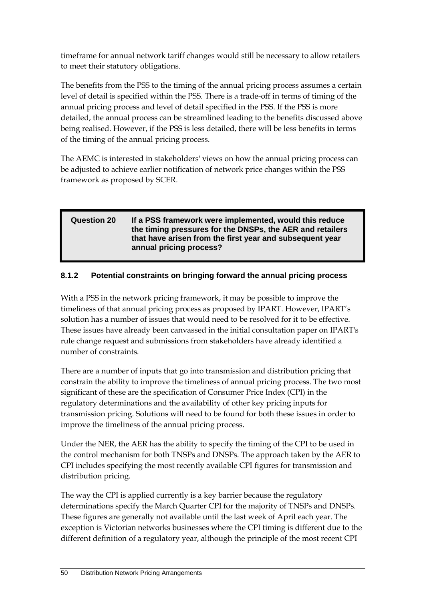timeframe for annual network tariff changes would still be necessary to allow retailers to meet their statutory obligations.

The benefits from the PSS to the timing of the annual pricing process assumes a certain level of detail is specified within the PSS. There is a trade-off in terms of timing of the annual pricing process and level of detail specified in the PSS. If the PSS is more detailed, the annual process can be streamlined leading to the benefits discussed above being realised. However, if the PSS is less detailed, there will be less benefits in terms of the timing of the annual pricing process.

The AEMC is interested in stakeholders' views on how the annual pricing process can be adjusted to achieve earlier notification of network price changes within the PSS framework as proposed by SCER.

## **Question 20 If a PSS framework were implemented, would this reduce the timing pressures for the DNSPs, the AER and retailers that have arisen from the first year and subsequent year annual pricing process?**

# **8.1.2 Potential constraints on bringing forward the annual pricing process**

With a PSS in the network pricing framework, it may be possible to improve the timeliness of that annual pricing process as proposed by IPART. However, IPART's solution has a number of issues that would need to be resolved for it to be effective. These issues have already been canvassed in the initial consultation paper on IPART's rule change request and submissions from stakeholders have already identified a number of constraints.

There are a number of inputs that go into transmission and distribution pricing that constrain the ability to improve the timeliness of annual pricing process. The two most significant of these are the specification of Consumer Price Index (CPI) in the regulatory determinations and the availability of other key pricing inputs for transmission pricing. Solutions will need to be found for both these issues in order to improve the timeliness of the annual pricing process.

Under the NER, the AER has the ability to specify the timing of the CPI to be used in the control mechanism for both TNSPs and DNSPs. The approach taken by the AER to CPI includes specifying the most recently available CPI figures for transmission and distribution pricing.

The way the CPI is applied currently is a key barrier because the regulatory determinations specify the March Quarter CPI for the majority of TNSPs and DNSPs. These figures are generally not available until the last week of April each year. The exception is Victorian networks businesses where the CPI timing is different due to the different definition of a regulatory year, although the principle of the most recent CPI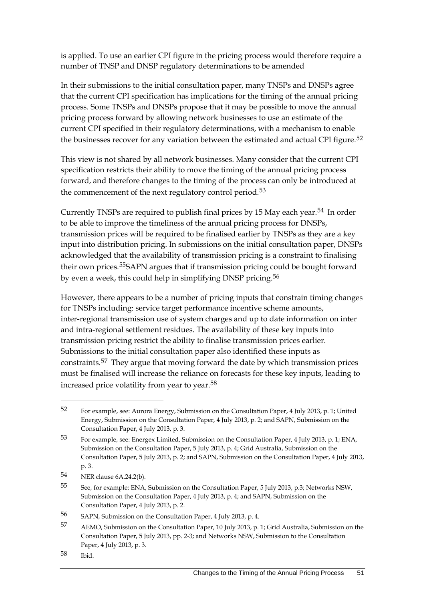is applied. To use an earlier CPI figure in the pricing process would therefore require a number of TNSP and DNSP regulatory determinations to be amended

In their submissions to the initial consultation paper, many TNSPs and DNSPs agree that the current CPI specification has implications for the timing of the annual pricing process. Some TNSPs and DNSPs propose that it may be possible to move the annual pricing process forward by allowing network businesses to use an estimate of the current CPI specified in their regulatory determinations, with a mechanism to enable the businesses recover for any variation between the estimated and actual CPI figure.<sup>[52](#page-56-0)</sup>

This view is not shared by all network businesses. Many consider that the current CPI specification restricts their ability to move the timing of the annual pricing process forward, and therefore changes to the timing of the process can only be introduced at the commencement of the next regulatory control period.<sup>[53](#page-56-1)</sup>

Currently TNSPs are required to publish final prices by 15 May each year.<sup>[54](#page-56-2)</sup> In order to be able to improve the timeliness of the annual pricing process for DNSPs, transmission prices will be required to be finalised earlier by TNSPs as they are a key input into distribution pricing. In submissions on the initial consultation paper, DNSPs acknowledged that the availability of transmission pricing is a constraint to finalising their own prices.[55](#page-56-3)SAPN argues that if transmission pricing could be bought forward by even a week, this could help in simplifying DNSP pricing.<sup>[56](#page-56-4)</sup>

However, there appears to be a number of pricing inputs that constrain timing changes for TNSPs including: service target performance incentive scheme amounts, inter-regional transmission use of system charges and up to date information on inter and intra-regional settlement residues. The availability of these key inputs into transmission pricing restrict the ability to finalise transmission prices earlier. Submissions to the initial consultation paper also identified these inputs as constraints.[57](#page-56-5) They argue that moving forward the date by which transmission prices must be finalised will increase the reliance on forecasts for these key inputs, leading to increased price volatility from year to year.[58](#page-56-6)

<span id="page-56-0"></span><sup>52</sup> For example, see: Aurora Energy, Submission on the Consultation Paper, 4 July 2013, p. 1; United Energy, Submission on the Consultation Paper, 4 July 2013, p. 2; and SAPN, Submission on the Consultation Paper, 4 July 2013, p. 3.

<span id="page-56-1"></span><sup>53</sup> For example, see: Energex Limited, Submission on the Consultation Paper, 4 July 2013, p. 1; ENA, Submission on the Consultation Paper, 5 July 2013, p. 4; Grid Australia, Submission on the Consultation Paper, 5 July 2013, p. 2; and SAPN, Submission on the Consultation Paper, 4 July 2013, p. 3.

<span id="page-56-2"></span><sup>54</sup> NER clause 6A.24.2(b).

<span id="page-56-3"></span><sup>55</sup> See, for example: ENA, Submission on the Consultation Paper, 5 July 2013, p.3; Networks NSW, Submission on the Consultation Paper, 4 July 2013, p. 4; and SAPN, Submission on the Consultation Paper, 4 July 2013, p. 2.

<span id="page-56-4"></span><sup>56</sup> SAPN, Submission on the Consultation Paper, 4 July 2013, p. 4.

<span id="page-56-5"></span><sup>57</sup> AEMO, Submission on the Consultation Paper, 10 July 2013, p. 1; Grid Australia, Submission on the Consultation Paper, 5 July 2013, pp. 2-3; and Networks NSW, Submission to the Consultation Paper, 4 July 2013, p. 3.

<span id="page-56-6"></span><sup>58</sup> Ibid.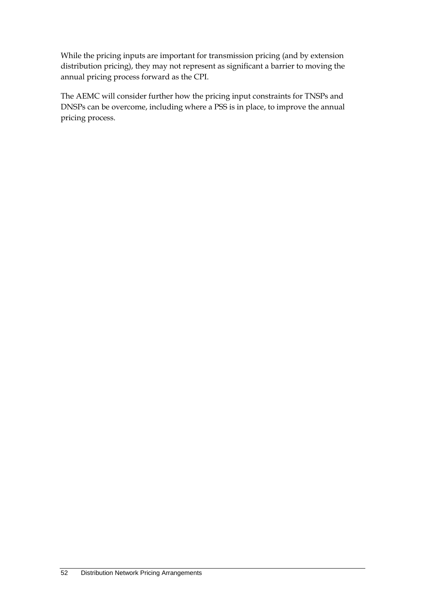While the pricing inputs are important for transmission pricing (and by extension distribution pricing), they may not represent as significant a barrier to moving the annual pricing process forward as the CPI.

The AEMC will consider further how the pricing input constraints for TNSPs and DNSPs can be overcome, including where a PSS is in place, to improve the annual pricing process.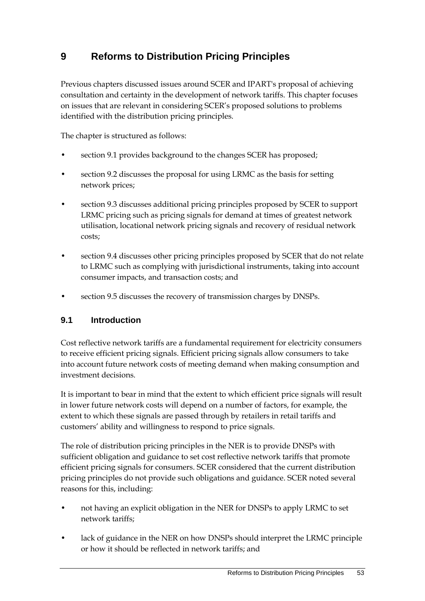# **9 Reforms to Distribution Pricing Principles**

Previous chapters discussed issues around SCER and IPART's proposal of achieving consultation and certainty in the development of network tariffs. This chapter focuses on issues that are relevant in considering SCER's proposed solutions to problems identified with the distribution pricing principles.

The chapter is structured as follows:

- section 9.1 provides background to the changes SCER has proposed;
- section 9.2 discusses the proposal for using LRMC as the basis for setting network prices;
- section 9.3 discusses additional pricing principles proposed by SCER to support LRMC pricing such as pricing signals for demand at times of greatest network utilisation, locational network pricing signals and recovery of residual network costs;
- section 9.4 discusses other pricing principles proposed by SCER that do not relate to LRMC such as complying with jurisdictional instruments, taking into account consumer impacts, and transaction costs; and
- section 9.5 discusses the recovery of transmission charges by DNSPs.

## **9.1 Introduction**

Cost reflective network tariffs are a fundamental requirement for electricity consumers to receive efficient pricing signals. Efficient pricing signals allow consumers to take into account future network costs of meeting demand when making consumption and investment decisions.

It is important to bear in mind that the extent to which efficient price signals will result in lower future network costs will depend on a number of factors, for example, the extent to which these signals are passed through by retailers in retail tariffs and customers' ability and willingness to respond to price signals.

The role of distribution pricing principles in the NER is to provide DNSPs with sufficient obligation and guidance to set cost reflective network tariffs that promote efficient pricing signals for consumers. SCER considered that the current distribution pricing principles do not provide such obligations and guidance. SCER noted several reasons for this, including:

- not having an explicit obligation in the NER for DNSPs to apply LRMC to set network tariffs;
- lack of guidance in the NER on how DNSPs should interpret the LRMC principle or how it should be reflected in network tariffs; and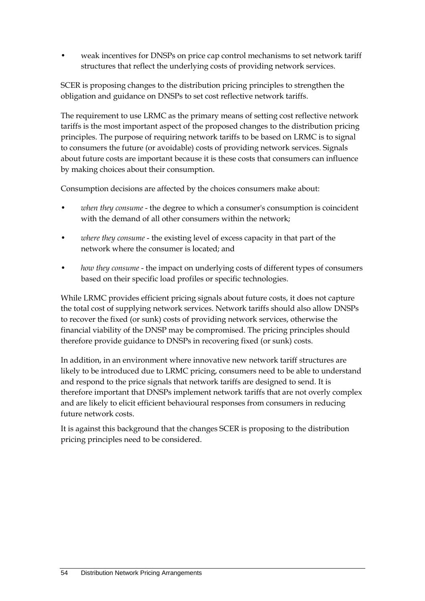• weak incentives for DNSPs on price cap control mechanisms to set network tariff structures that reflect the underlying costs of providing network services.

SCER is proposing changes to the distribution pricing principles to strengthen the obligation and guidance on DNSPs to set cost reflective network tariffs.

The requirement to use LRMC as the primary means of setting cost reflective network tariffs is the most important aspect of the proposed changes to the distribution pricing principles. The purpose of requiring network tariffs to be based on LRMC is to signal to consumers the future (or avoidable) costs of providing network services. Signals about future costs are important because it is these costs that consumers can influence by making choices about their consumption.

Consumption decisions are affected by the choices consumers make about:

- *when they consume* the degree to which a consumer's consumption is coincident with the demand of all other consumers within the network;
- where they consume the existing level of excess capacity in that part of the network where the consumer is located; and
- *how they consume* the impact on underlying costs of different types of consumers based on their specific load profiles or specific technologies.

While LRMC provides efficient pricing signals about future costs, it does not capture the total cost of supplying network services. Network tariffs should also allow DNSPs to recover the fixed (or sunk) costs of providing network services, otherwise the financial viability of the DNSP may be compromised. The pricing principles should therefore provide guidance to DNSPs in recovering fixed (or sunk) costs.

In addition, in an environment where innovative new network tariff structures are likely to be introduced due to LRMC pricing, consumers need to be able to understand and respond to the price signals that network tariffs are designed to send. It is therefore important that DNSPs implement network tariffs that are not overly complex and are likely to elicit efficient behavioural responses from consumers in reducing future network costs.

It is against this background that the changes SCER is proposing to the distribution pricing principles need to be considered.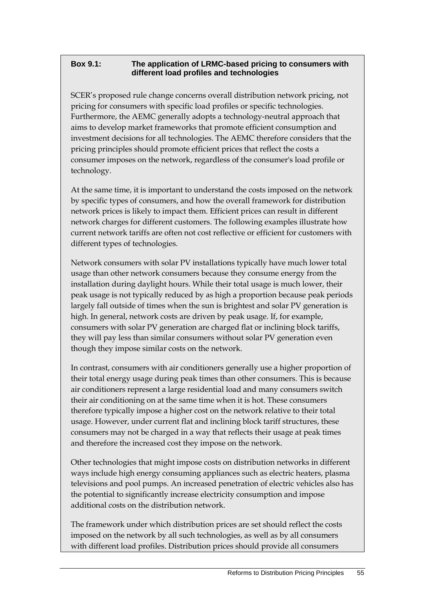## **Box 9.1: The application of LRMC-based pricing to consumers with different load profiles and technologies**

SCER's proposed rule change concerns overall distribution network pricing, not pricing for consumers with specific load profiles or specific technologies. Furthermore, the AEMC generally adopts a technology-neutral approach that aims to develop market frameworks that promote efficient consumption and investment decisions for all technologies. The AEMC therefore considers that the pricing principles should promote efficient prices that reflect the costs a consumer imposes on the network, regardless of the consumer's load profile or technology.

At the same time, it is important to understand the costs imposed on the network by specific types of consumers, and how the overall framework for distribution network prices is likely to impact them. Efficient prices can result in different network charges for different customers. The following examples illustrate how current network tariffs are often not cost reflective or efficient for customers with different types of technologies.

Network consumers with solar PV installations typically have much lower total usage than other network consumers because they consume energy from the installation during daylight hours. While their total usage is much lower, their peak usage is not typically reduced by as high a proportion because peak periods largely fall outside of times when the sun is brightest and solar PV generation is high. In general, network costs are driven by peak usage. If, for example, consumers with solar PV generation are charged flat or inclining block tariffs, they will pay less than similar consumers without solar PV generation even though they impose similar costs on the network.

In contrast, consumers with air conditioners generally use a higher proportion of their total energy usage during peak times than other consumers. This is because air conditioners represent a large residential load and many consumers switch their air conditioning on at the same time when it is hot. These consumers therefore typically impose a higher cost on the network relative to their total usage. However, under current flat and inclining block tariff structures, these consumers may not be charged in a way that reflects their usage at peak times and therefore the increased cost they impose on the network.

Other technologies that might impose costs on distribution networks in different ways include high energy consuming appliances such as electric heaters, plasma televisions and pool pumps. An increased penetration of electric vehicles also has the potential to significantly increase electricity consumption and impose additional costs on the distribution network.

The framework under which distribution prices are set should reflect the costs imposed on the network by all such technologies, as well as by all consumers with different load profiles. Distribution prices should provide all consumers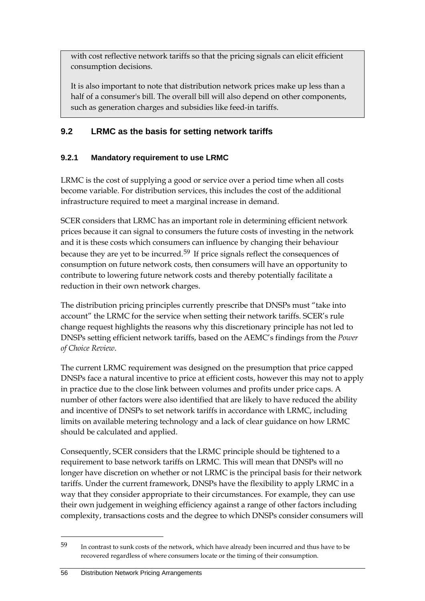with cost reflective network tariffs so that the pricing signals can elicit efficient consumption decisions.

It is also important to note that distribution network prices make up less than a half of a consumer's bill. The overall bill will also depend on other components, such as generation charges and subsidies like feed-in tariffs.

# **9.2 LRMC as the basis for setting network tariffs**

# **9.2.1 Mandatory requirement to use LRMC**

LRMC is the cost of supplying a good or service over a period time when all costs become variable. For distribution services, this includes the cost of the additional infrastructure required to meet a marginal increase in demand.

SCER considers that LRMC has an important role in determining efficient network prices because it can signal to consumers the future costs of investing in the network and it is these costs which consumers can influence by changing their behaviour because they are yet to be incurred.[59](#page-61-0) If price signals reflect the consequences of consumption on future network costs, then consumers will have an opportunity to contribute to lowering future network costs and thereby potentially facilitate a reduction in their own network charges.

The distribution pricing principles currently prescribe that DNSPs must "take into account" the LRMC for the service when setting their network tariffs. SCER's rule change request highlights the reasons why this discretionary principle has not led to DNSPs setting efficient network tariffs, based on the AEMC's findings from the *Power of Choice Review*.

The current LRMC requirement was designed on the presumption that price capped DNSPs face a natural incentive to price at efficient costs, however this may not to apply in practice due to the close link between volumes and profits under price caps. A number of other factors were also identified that are likely to have reduced the ability and incentive of DNSPs to set network tariffs in accordance with LRMC, including limits on available metering technology and a lack of clear guidance on how LRMC should be calculated and applied.

Consequently, SCER considers that the LRMC principle should be tightened to a requirement to base network tariffs on LRMC. This will mean that DNSPs will no longer have discretion on whether or not LRMC is the principal basis for their network tariffs. Under the current framework, DNSPs have the flexibility to apply LRMC in a way that they consider appropriate to their circumstances. For example, they can use their own judgement in weighing efficiency against a range of other factors including complexity, transactions costs and the degree to which DNSPs consider consumers will

<span id="page-61-0"></span><sup>59</sup> In contrast to sunk costs of the network, which have already been incurred and thus have to be recovered regardless of where consumers locate or the timing of their consumption.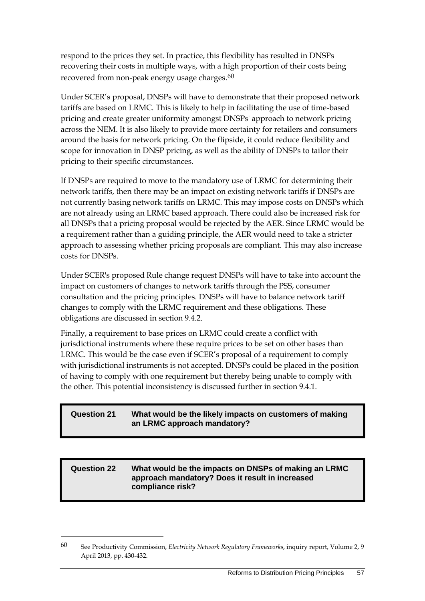respond to the prices they set. In practice, this flexibility has resulted in DNSPs recovering their costs in multiple ways, with a high proportion of their costs being recovered from non-peak energy usage charges.<sup>[60](#page-62-0)</sup>

Under SCER's proposal, DNSPs will have to demonstrate that their proposed network tariffs are based on LRMC. This is likely to help in facilitating the use of time-based pricing and create greater uniformity amongst DNSPs' approach to network pricing across the NEM. It is also likely to provide more certainty for retailers and consumers around the basis for network pricing. On the flipside, it could reduce flexibility and scope for innovation in DNSP pricing, as well as the ability of DNSPs to tailor their pricing to their specific circumstances.

If DNSPs are required to move to the mandatory use of LRMC for determining their network tariffs, then there may be an impact on existing network tariffs if DNSPs are not currently basing network tariffs on LRMC. This may impose costs on DNSPs which are not already using an LRMC based approach. There could also be increased risk for all DNSPs that a pricing proposal would be rejected by the AER. Since LRMC would be a requirement rather than a guiding principle, the AER would need to take a stricter approach to assessing whether pricing proposals are compliant. This may also increase costs for DNSPs.

Under SCER's proposed Rule change request DNSPs will have to take into account the impact on customers of changes to network tariffs through the PSS, consumer consultation and the pricing principles. DNSPs will have to balance network tariff changes to comply with the LRMC requirement and these obligations. These obligations are discussed in section 9.4.2.

Finally, a requirement to base prices on LRMC could create a conflict with jurisdictional instruments where these require prices to be set on other bases than LRMC. This would be the case even if SCER's proposal of a requirement to comply with jurisdictional instruments is not accepted. DNSPs could be placed in the position of having to comply with one requirement but thereby being unable to comply with the other. This potential inconsistency is discussed further in section 9.4.1.

## **Question 21 What would be the likely impacts on customers of making an LRMC approach mandatory?**

#### **Question 22 What would be the impacts on DNSPs of making an LRMC approach mandatory? Does it result in increased compliance risk?**

<span id="page-62-0"></span><sup>60</sup> See Productivity Commission, *Electricity Network Regulatory Frameworks*, inquiry report, Volume 2, 9 April 2013, pp. 430-432.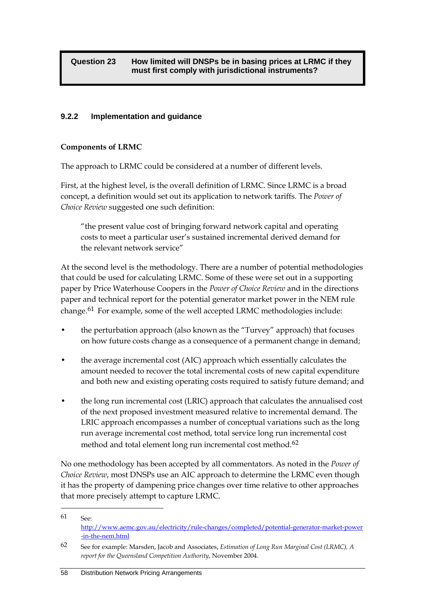## **9.2.2 Implementation and guidance**

## **Components of LRMC**

The approach to LRMC could be considered at a number of different levels.

First, at the highest level, is the overall definition of LRMC. Since LRMC is a broad concept, a definition would set out its application to network tariffs. The *Power of Choice Review* suggested one such definition:

"the present value cost of bringing forward network capital and operating costs to meet a particular user's sustained incremental derived demand for the relevant network service"

At the second level is the methodology. There are a number of potential methodologies that could be used for calculating LRMC. Some of these were set out in a supporting paper by Price Waterhouse Coopers in the *Power of Choice Review* and in the directions paper and technical report for the potential generator market power in the NEM rule change.<sup>[61](#page-64-0)</sup> For example, some of the well accepted LRMC methodologies include:

- the perturbation approach (also known as the "Turvey" approach) that focuses on how future costs change as a consequence of a permanent change in demand;
- the average incremental cost (AIC) approach which essentially calculates the amount needed to recover the total incremental costs of new capital expenditure and both new and existing operating costs required to satisfy future demand; and
- the long run incremental cost (LRIC) approach that calculates the annualised cost of the next proposed investment measured relative to incremental demand. The LRIC approach encompasses a number of conceptual variations such as the long run average incremental cost method, total service long run incremental cost method and total element long run incremental cost method.<sup>[62](#page-64-1)</sup>

No one methodology has been accepted by all commentators. As noted in the *Power of Choice Review*, most DNSPs use an AIC approach to determine the LRMC even though it has the property of dampening price changes over time relative to other approaches that more precisely attempt to capture LRMC.

<sup>61</sup> See: [http://www.aemc.gov.au/electricity/rule-changes/completed/potential-generator-market-power](http://www.aemc.gov.au/electricity/rule-changes/completed/potential-generator-market-power-in-the-nem.html) [-in-the-nem.html](http://www.aemc.gov.au/electricity/rule-changes/completed/potential-generator-market-power-in-the-nem.html)

<sup>62</sup> See for example: Marsden, Jacob and Associates, *Estimation of Long Run Marginal Cost (LRMC), A report for the Queensland Competition Authority*, November 2004.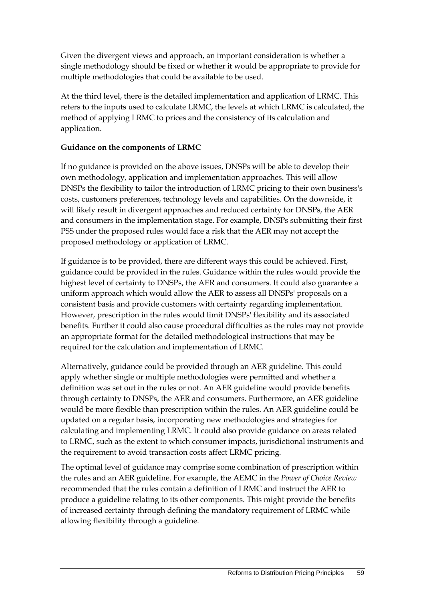Given the divergent views and approach, an important consideration is whether a single methodology should be fixed or whether it would be appropriate to provide for multiple methodologies that could be available to be used.

At the third level, there is the detailed implementation and application of LRMC. This refers to the inputs used to calculate LRMC, the levels at which LRMC is calculated, the method of applying LRMC to prices and the consistency of its calculation and application.

## **Guidance on the components of LRMC**

If no guidance is provided on the above issues, DNSPs will be able to develop their own methodology, application and implementation approaches. This will allow DNSPs the flexibility to tailor the introduction of LRMC pricing to their own business's costs, customers preferences, technology levels and capabilities. On the downside, it will likely result in divergent approaches and reduced certainty for DNSPs, the AER and consumers in the implementation stage. For example, DNSPs submitting their first PSS under the proposed rules would face a risk that the AER may not accept the proposed methodology or application of LRMC.

If guidance is to be provided, there are different ways this could be achieved. First, guidance could be provided in the rules. Guidance within the rules would provide the highest level of certainty to DNSPs, the AER and consumers. It could also guarantee a uniform approach which would allow the AER to assess all DNSPs' proposals on a consistent basis and provide customers with certainty regarding implementation. However, prescription in the rules would limit DNSPs' flexibility and its associated benefits. Further it could also cause procedural difficulties as the rules may not provide an appropriate format for the detailed methodological instructions that may be required for the calculation and implementation of LRMC.

Alternatively, guidance could be provided through an AER guideline. This could apply whether single or multiple methodologies were permitted and whether a definition was set out in the rules or not. An AER guideline would provide benefits through certainty to DNSPs, the AER and consumers. Furthermore, an AER guideline would be more flexible than prescription within the rules. An AER guideline could be updated on a regular basis, incorporating new methodologies and strategies for calculating and implementing LRMC. It could also provide guidance on areas related to LRMC, such as the extent to which consumer impacts, jurisdictional instruments and the requirement to avoid transaction costs affect LRMC pricing.

<span id="page-64-1"></span><span id="page-64-0"></span>The optimal level of guidance may comprise some combination of prescription within the rules and an AER guideline. For example, the AEMC in the *Power of Choice Review* recommended that the rules contain a definition of LRMC and instruct the AER to produce a guideline relating to its other components. This might provide the benefits of increased certainty through defining the mandatory requirement of LRMC while allowing flexibility through a guideline.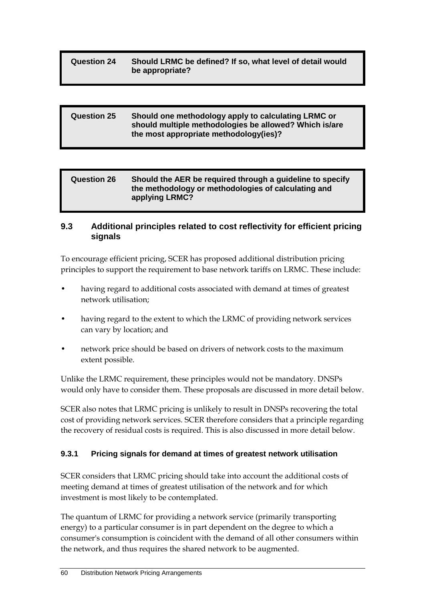## **Question 24 Should LRMC be defined? If so, what level of detail would be appropriate?**

| <b>Question 25</b> | Should one methodology apply to calculating LRMC or<br>should multiple methodologies be allowed? Which is/are |
|--------------------|---------------------------------------------------------------------------------------------------------------|
|                    | the most appropriate methodology(ies)?                                                                        |

| <b>Question 26</b> | Should the AER be required through a guideline to specify<br>the methodology or methodologies of calculating and |
|--------------------|------------------------------------------------------------------------------------------------------------------|
|                    | applying LRMC?                                                                                                   |

## **9.3 Additional principles related to cost reflectivity for efficient pricing signals**

To encourage efficient pricing, SCER has proposed additional distribution pricing principles to support the requirement to base network tariffs on LRMC. These include:

- having regard to additional costs associated with demand at times of greatest network utilisation;
- having regard to the extent to which the LRMC of providing network services can vary by location; and
- network price should be based on drivers of network costs to the maximum extent possible.

Unlike the LRMC requirement, these principles would not be mandatory. DNSPs would only have to consider them. These proposals are discussed in more detail below.

SCER also notes that LRMC pricing is unlikely to result in DNSPs recovering the total cost of providing network services. SCER therefore considers that a principle regarding the recovery of residual costs is required. This is also discussed in more detail below.

## **9.3.1 Pricing signals for demand at times of greatest network utilisation**

SCER considers that LRMC pricing should take into account the additional costs of meeting demand at times of greatest utilisation of the network and for which investment is most likely to be contemplated.

The quantum of LRMC for providing a network service (primarily transporting energy) to a particular consumer is in part dependent on the degree to which a consumer's consumption is coincident with the demand of all other consumers within the network, and thus requires the shared network to be augmented.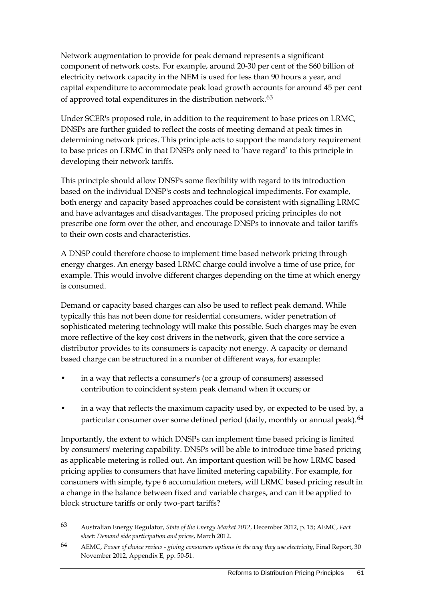Network augmentation to provide for peak demand represents a significant component of network costs. For example, around 20-30 per cent of the \$60 billion of electricity network capacity in the NEM is used for less than 90 hours a year, and capital expenditure to accommodate peak load growth accounts for around 45 per cent of approved total expenditures in the distribution network.<sup>[63](#page-67-0)</sup>

Under SCER's proposed rule, in addition to the requirement to base prices on LRMC, DNSPs are further guided to reflect the costs of meeting demand at peak times in determining network prices. This principle acts to support the mandatory requirement to base prices on LRMC in that DNSPs only need to 'have regard' to this principle in developing their network tariffs.

This principle should allow DNSPs some flexibility with regard to its introduction based on the individual DNSP's costs and technological impediments. For example, both energy and capacity based approaches could be consistent with signalling LRMC and have advantages and disadvantages. The proposed pricing principles do not prescribe one form over the other, and encourage DNSPs to innovate and tailor tariffs to their own costs and characteristics.

A DNSP could therefore choose to implement time based network pricing through energy charges. An energy based LRMC charge could involve a time of use price, for example. This would involve different charges depending on the time at which energy is consumed.

Demand or capacity based charges can also be used to reflect peak demand. While typically this has not been done for residential consumers, wider penetration of sophisticated metering technology will make this possible. Such charges may be even more reflective of the key cost drivers in the network, given that the core service a distributor provides to its consumers is capacity not energy. A capacity or demand based charge can be structured in a number of different ways, for example:

- in a way that reflects a consumer's (or a group of consumers) assessed contribution to coincident system peak demand when it occurs; or
- in a way that reflects the maximum capacity used by, or expected to be used by, a particular consumer over some defined period (daily, monthly or annual peak).<sup>[64](#page-67-1)</sup>

Importantly, the extent to which DNSPs can implement time based pricing is limited by consumers' metering capability. DNSPs will be able to introduce time based pricing as applicable metering is rolled out. An important question will be how LRMC based pricing applies to consumers that have limited metering capability. For example, for consumers with simple, type 6 accumulation meters, will LRMC based pricing result in a change in the balance between fixed and variable charges, and can it be applied to block structure tariffs or only two-part tariffs?

<sup>63</sup> Australian Energy Regulator, *State of the Energy Market 2012*, December 2012, p. 15; AEMC, *Fact sheet: Demand side participation and prices*, March 2012.

<sup>64</sup> AEMC, *Power of choice review - giving consumers options in the way they use electricity*, Final Report, 30 November 2012, Appendix E, pp. 50-51.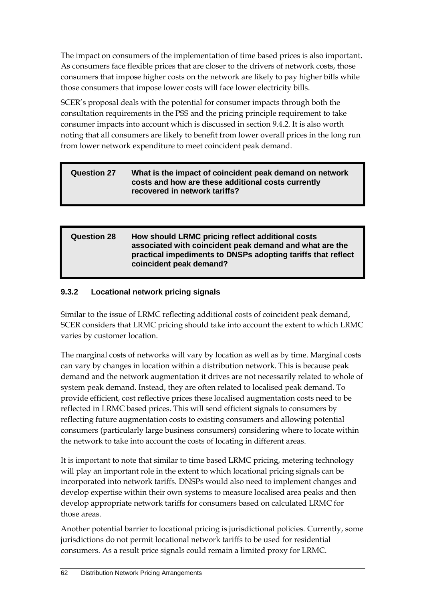The impact on consumers of the implementation of time based prices is also important. As consumers face flexible prices that are closer to the drivers of network costs, those consumers that impose higher costs on the network are likely to pay higher bills while those consumers that impose lower costs will face lower electricity bills.

SCER's proposal deals with the potential for consumer impacts through both the consultation requirements in the PSS and the pricing principle requirement to take consumer impacts into account which is discussed in section 9.4.2. It is also worth noting that all consumers are likely to benefit from lower overall prices in the long run from lower network expenditure to meet coincident peak demand.

#### **Question 27 What is the impact of coincident peak demand on network costs and how are these additional costs currently recovered in network tariffs?**

## **Question 28 How should LRMC pricing reflect additional costs associated with coincident peak demand and what are the practical impediments to DNSPs adopting tariffs that reflect coincident peak demand?**

# **9.3.2 Locational network pricing signals**

Similar to the issue of LRMC reflecting additional costs of coincident peak demand, SCER considers that LRMC pricing should take into account the extent to which LRMC varies by customer location.

The marginal costs of networks will vary by location as well as by time. Marginal costs can vary by changes in location within a distribution network. This is because peak demand and the network augmentation it drives are not necessarily related to whole of system peak demand. Instead, they are often related to localised peak demand. To provide efficient, cost reflective prices these localised augmentation costs need to be reflected in LRMC based prices. This will send efficient signals to consumers by reflecting future augmentation costs to existing consumers and allowing potential consumers (particularly large business consumers) considering where to locate within the network to take into account the costs of locating in different areas.

It is important to note that similar to time based LRMC pricing, metering technology will play an important role in the extent to which locational pricing signals can be incorporated into network tariffs. DNSPs would also need to implement changes and develop expertise within their own systems to measure localised area peaks and then develop appropriate network tariffs for consumers based on calculated LRMC for those areas.

<span id="page-67-1"></span><span id="page-67-0"></span>Another potential barrier to locational pricing is jurisdictional policies. Currently, some jurisdictions do not permit locational network tariffs to be used for residential consumers. As a result price signals could remain a limited proxy for LRMC.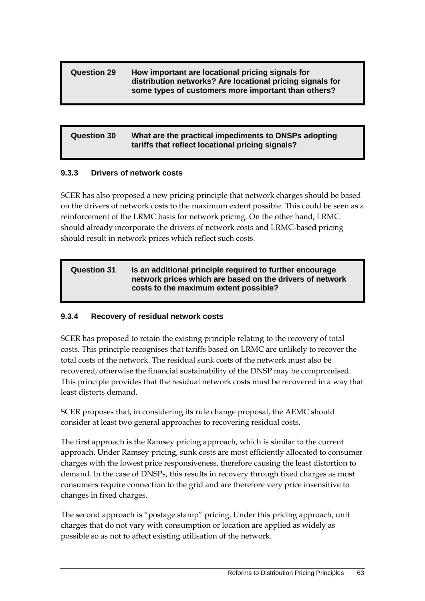#### **Question 29 How important are locational pricing signals for distribution networks? Are locational pricing signals for some types of customers more important than others?**

## **Question 30 What are the practical impediments to DNSPs adopting tariffs that reflect locational pricing signals?**

## **9.3.3 Drivers of network costs**

SCER has also proposed a new pricing principle that network charges should be based on the drivers of network costs to the maximum extent possible. This could be seen as a reinforcement of the LRMC basis for network pricing. On the other hand, LRMC should already incorporate the drivers of network costs and LRMC-based pricing should result in network prices which reflect such costs.

#### **Question 31 Is an additional principle required to further encourage network prices which are based on the drivers of network costs to the maximum extent possible?**

## **9.3.4 Recovery of residual network costs**

SCER has proposed to retain the existing principle relating to the recovery of total costs. This principle recognises that tariffs based on LRMC are unlikely to recover the total costs of the network. The residual sunk costs of the network must also be recovered, otherwise the financial sustainability of the DNSP may be compromised. This principle provides that the residual network costs must be recovered in a way that least distorts demand.

SCER proposes that, in considering its rule change proposal, the AEMC should consider at least two general approaches to recovering residual costs.

The first approach is the Ramsey pricing approach, which is similar to the current approach. Under Ramsey pricing, sunk costs are most efficiently allocated to consumer charges with the lowest price responsiveness, therefore causing the least distortion to demand. In the case of DNSPs, this results in recovery through fixed charges as most consumers require connection to the grid and are therefore very price insensitive to changes in fixed charges.

The second approach is "postage stamp" pricing. Under this pricing approach, unit charges that do not vary with consumption or location are applied as widely as possible so as not to affect existing utilisation of the network.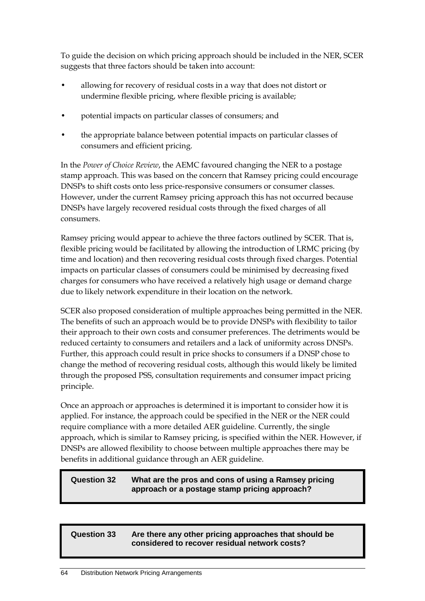To guide the decision on which pricing approach should be included in the NER, SCER suggests that three factors should be taken into account:

- allowing for recovery of residual costs in a way that does not distort or undermine flexible pricing, where flexible pricing is available;
- potential impacts on particular classes of consumers; and
- the appropriate balance between potential impacts on particular classes of consumers and efficient pricing.

In the *Power of Choice Review*, the AEMC favoured changing the NER to a postage stamp approach. This was based on the concern that Ramsey pricing could encourage DNSPs to shift costs onto less price-responsive consumers or consumer classes. However, under the current Ramsey pricing approach this has not occurred because DNSPs have largely recovered residual costs through the fixed charges of all consumers.

Ramsey pricing would appear to achieve the three factors outlined by SCER. That is, flexible pricing would be facilitated by allowing the introduction of LRMC pricing (by time and location) and then recovering residual costs through fixed charges. Potential impacts on particular classes of consumers could be minimised by decreasing fixed charges for consumers who have received a relatively high usage or demand charge due to likely network expenditure in their location on the network.

SCER also proposed consideration of multiple approaches being permitted in the NER. The benefits of such an approach would be to provide DNSPs with flexibility to tailor their approach to their own costs and consumer preferences. The detriments would be reduced certainty to consumers and retailers and a lack of uniformity across DNSPs. Further, this approach could result in price shocks to consumers if a DNSP chose to change the method of recovering residual costs, although this would likely be limited through the proposed PSS, consultation requirements and consumer impact pricing principle.

Once an approach or approaches is determined it is important to consider how it is applied. For instance, the approach could be specified in the NER or the NER could require compliance with a more detailed AER guideline. Currently, the single approach, which is similar to Ramsey pricing, is specified within the NER. However, if DNSPs are allowed flexibility to choose between multiple approaches there may be benefits in additional guidance through an AER guideline.

## **Question 32 What are the pros and cons of using a Ramsey pricing approach or a postage stamp pricing approach?**

## **Question 33 Are there any other pricing approaches that should be considered to recover residual network costs?**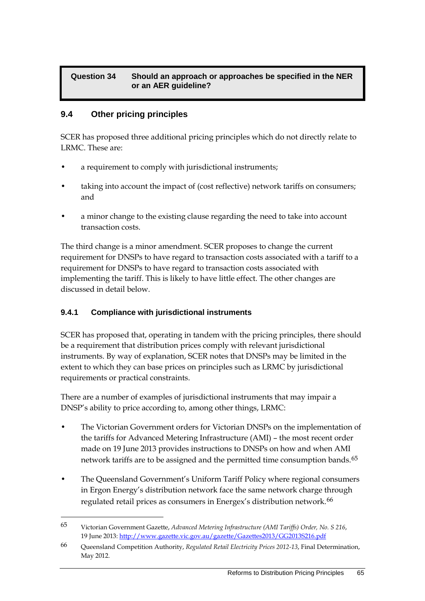## **Question 34 Should an approach or approaches be specified in the NER or an AER guideline?**

# **9.4 Other pricing principles**

SCER has proposed three additional pricing principles which do not directly relate to LRMC. These are:

- a requirement to comply with jurisdictional instruments;
- taking into account the impact of (cost reflective) network tariffs on consumers; and
- a minor change to the existing clause regarding the need to take into account transaction costs.

The third change is a minor amendment. SCER proposes to change the current requirement for DNSPs to have regard to transaction costs associated with a tariff to a requirement for DNSPs to have regard to transaction costs associated with implementing the tariff. This is likely to have little effect. The other changes are discussed in detail below.

## **9.4.1 Compliance with jurisdictional instruments**

-

SCER has proposed that, operating in tandem with the pricing principles, there should be a requirement that distribution prices comply with relevant jurisdictional instruments. By way of explanation, SCER notes that DNSPs may be limited in the extent to which they can base prices on principles such as LRMC by jurisdictional requirements or practical constraints.

There are a number of examples of jurisdictional instruments that may impair a DNSP's ability to price according to, among other things, LRMC:

- The Victorian Government orders for Victorian DNSPs on the implementation of the tariffs for Advanced Metering Infrastructure (AMI) – the most recent order made on 19 June 2013 provides instructions to DNSPs on how and when AMI network tariffs are to be assigned and the permitted time consumption bands.<sup>[65](#page-71-0)</sup>
- The Queensland Government's Uniform Tariff Policy where regional consumers in Ergon Energy's distribution network face the same network charge through regulated retail prices as consumers in Energex's distribution network.<sup>[66](#page-71-1)</sup>

<sup>65</sup> Victorian Government Gazette, *Advanced Metering Infrastructure (AMI Tariffs) Order, No. S 216*, 19 June 2013[: http://www.gazette.vic.gov.au/gazette/Gazettes2013/GG2013S216.pdf](http://www.gazette.vic.gov.au/gazette/Gazettes2013/GG2013S216.pdf)

<sup>66</sup> Queensland Competition Authority, *Regulated Retail Electricity Prices 2012-13*, Final Determination, May 2012.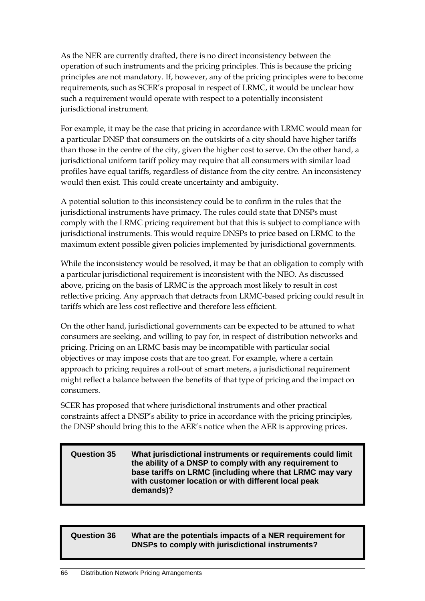As the NER are currently drafted, there is no direct inconsistency between the operation of such instruments and the pricing principles. This is because the pricing principles are not mandatory. If, however, any of the pricing principles were to become requirements, such as SCER's proposal in respect of LRMC, it would be unclear how such a requirement would operate with respect to a potentially inconsistent jurisdictional instrument.

For example, it may be the case that pricing in accordance with LRMC would mean for a particular DNSP that consumers on the outskirts of a city should have higher tariffs than those in the centre of the city, given the higher cost to serve. On the other hand, a jurisdictional uniform tariff policy may require that all consumers with similar load profiles have equal tariffs, regardless of distance from the city centre. An inconsistency would then exist. This could create uncertainty and ambiguity.

A potential solution to this inconsistency could be to confirm in the rules that the jurisdictional instruments have primacy. The rules could state that DNSPs must comply with the LRMC pricing requirement but that this is subject to compliance with jurisdictional instruments. This would require DNSPs to price based on LRMC to the maximum extent possible given policies implemented by jurisdictional governments.

While the inconsistency would be resolved, it may be that an obligation to comply with a particular jurisdictional requirement is inconsistent with the NEO. As discussed above, pricing on the basis of LRMC is the approach most likely to result in cost reflective pricing. Any approach that detracts from LRMC-based pricing could result in tariffs which are less cost reflective and therefore less efficient.

On the other hand, jurisdictional governments can be expected to be attuned to what consumers are seeking, and willing to pay for, in respect of distribution networks and pricing. Pricing on an LRMC basis may be incompatible with particular social objectives or may impose costs that are too great. For example, where a certain approach to pricing requires a roll-out of smart meters, a jurisdictional requirement might reflect a balance between the benefits of that type of pricing and the impact on consumers.

SCER has proposed that where jurisdictional instruments and other practical constraints affect a DNSP's ability to price in accordance with the pricing principles, the DNSP should bring this to the AER's notice when the AER is approving prices.

#### **Question 35 What jurisdictional instruments or requirements could limit the ability of a DNSP to comply with any requirement to base tariffs on LRMC (including where that LRMC may vary with customer location or with different local peak demands)?**

## <span id="page-71-1"></span><span id="page-71-0"></span>**Question 36 What are the potentials impacts of a NER requirement for DNSPs to comply with jurisdictional instruments?**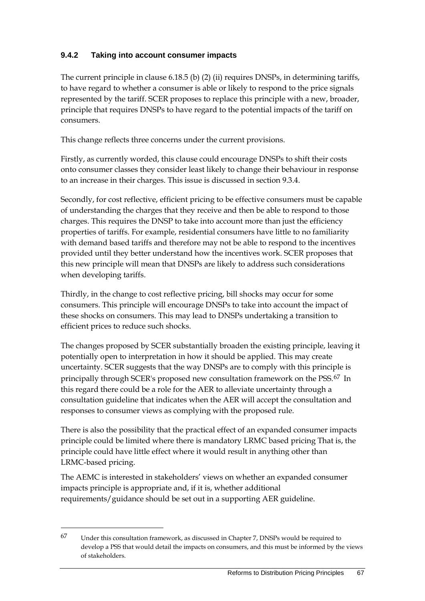### **9.4.2 Taking into account consumer impacts**

The current principle in clause 6.18.5 (b) (2) (ii) requires DNSPs, in determining tariffs, to have regard to whether a consumer is able or likely to respond to the price signals represented by the tariff. SCER proposes to replace this principle with a new, broader, principle that requires DNSPs to have regard to the potential impacts of the tariff on consumers.

This change reflects three concerns under the current provisions.

Firstly, as currently worded, this clause could encourage DNSPs to shift their costs onto consumer classes they consider least likely to change their behaviour in response to an increase in their charges. This issue is discussed in section 9.3.4.

Secondly, for cost reflective, efficient pricing to be effective consumers must be capable of understanding the charges that they receive and then be able to respond to those charges. This requires the DNSP to take into account more than just the efficiency properties of tariffs. For example, residential consumers have little to no familiarity with demand based tariffs and therefore may not be able to respond to the incentives provided until they better understand how the incentives work. SCER proposes that this new principle will mean that DNSPs are likely to address such considerations when developing tariffs.

Thirdly, in the change to cost reflective pricing, bill shocks may occur for some consumers. This principle will encourage DNSPs to take into account the impact of these shocks on consumers. This may lead to DNSPs undertaking a transition to efficient prices to reduce such shocks.

The changes proposed by SCER substantially broaden the existing principle, leaving it potentially open to interpretation in how it should be applied. This may create uncertainty. SCER suggests that the way DNSPs are to comply with this principle is principally through SCER's proposed new consultation framework on the PSS.<sup>[67](#page-73-0)</sup> In this regard there could be a role for the AER to alleviate uncertainty through a consultation guideline that indicates when the AER will accept the consultation and responses to consumer views as complying with the proposed rule.

There is also the possibility that the practical effect of an expanded consumer impacts principle could be limited where there is mandatory LRMC based pricing That is, the principle could have little effect where it would result in anything other than LRMC-based pricing.

The AEMC is interested in stakeholders' views on whether an expanded consumer impacts principle is appropriate and, if it is, whether additional requirements/guidance should be set out in a supporting AER guideline.

-

<sup>67</sup> Under this consultation framework, as discussed in Chapter 7, DNSPs would be required to develop a PSS that would detail the impacts on consumers, and this must be informed by the views of stakeholders.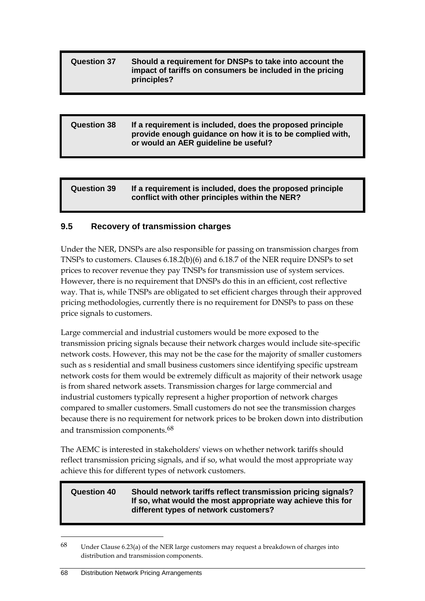#### **Question 37 Should a requirement for DNSPs to take into account the impact of tariffs on consumers be included in the pricing principles?**

### **Question 38 If a requirement is included, does the proposed principle provide enough guidance on how it is to be complied with, or would an AER guideline be useful?**

| <b>Question 39</b> | If a requirement is included, does the proposed principle<br>conflict with other principles within the NER? |
|--------------------|-------------------------------------------------------------------------------------------------------------|
|--------------------|-------------------------------------------------------------------------------------------------------------|

#### **9.5 Recovery of transmission charges**

Under the NER, DNSPs are also responsible for passing on transmission charges from TNSPs to customers. Clauses 6.18.2(b)(6) and 6.18.7 of the NER require DNSPs to set prices to recover revenue they pay TNSPs for transmission use of system services. However, there is no requirement that DNSPs do this in an efficient, cost reflective way. That is, while TNSPs are obligated to set efficient charges through their approved pricing methodologies, currently there is no requirement for DNSPs to pass on these price signals to customers.

Large commercial and industrial customers would be more exposed to the transmission pricing signals because their network charges would include site-specific network costs. However, this may not be the case for the majority of smaller customers such as s residential and small business customers since identifying specific upstream network costs for them would be extremely difficult as majority of their network usage is from shared network assets. Transmission charges for large commercial and industrial customers typically represent a higher proportion of network charges compared to smaller customers. Small customers do not see the transmission charges because there is no requirement for network prices to be broken down into distribution and transmission components.<sup>[68](#page-74-0)</sup>

The AEMC is interested in stakeholders' views on whether network tariffs should reflect transmission pricing signals, and if so, what would the most appropriate way achieve this for different types of network customers.

#### **Question 40 Should network tariffs reflect transmission pricing signals? If so, what would the most appropriate way achieve this for different types of network customers?**

-

<span id="page-73-0"></span><sup>68</sup> Under Clause 6.23(a) of the NER large customers may request a breakdown of charges into distribution and transmission components.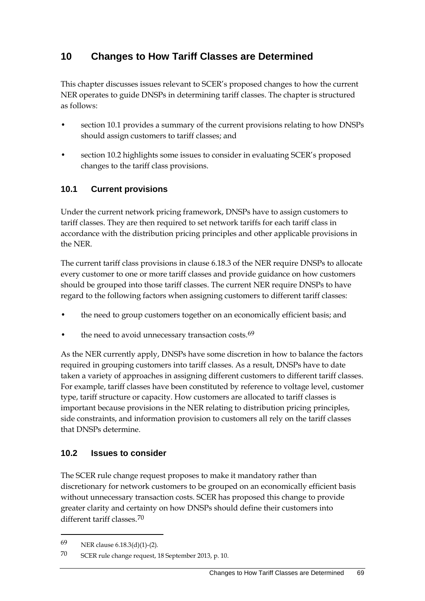# **10 Changes to How Tariff Classes are Determined**

This chapter discusses issues relevant to SCER's proposed changes to how the current NER operates to guide DNSPs in determining tariff classes. The chapter is structured as follows:

- section [10.1](#page-74-1) provides a summary of the current provisions relating to how DNSPs should assign customers to tariff classes; and
- section [10.2](#page-74-2) highlights some issues to consider in evaluating SCER's proposed changes to the tariff class provisions.

## <span id="page-74-1"></span>**10.1 Current provisions**

Under the current network pricing framework, DNSPs have to assign customers to tariff classes. They are then required to set network tariffs for each tariff class in accordance with the distribution pricing principles and other applicable provisions in the NER.

The current tariff class provisions in clause 6.18.3 of the NER require DNSPs to allocate every customer to one or more tariff classes and provide guidance on how customers should be grouped into those tariff classes. The current NER require DNSPs to have regard to the following factors when assigning customers to different tariff classes:

- the need to group customers together on an economically efficient basis; and
- the need to avoid unnecessary transaction costs.<sup>[69](#page-75-0)</sup>

As the NER currently apply, DNSPs have some discretion in how to balance the factors required in grouping customers into tariff classes. As a result, DNSPs have to date taken a variety of approaches in assigning different customers to different tariff classes. For example, tariff classes have been constituted by reference to voltage level, customer type, tariff structure or capacity. How customers are allocated to tariff classes is important because provisions in the NER relating to distribution pricing principles, side constraints, and information provision to customers all rely on the tariff classes that DNSPs determine.

### <span id="page-74-2"></span>**10.2 Issues to consider**

The SCER rule change request proposes to make it mandatory rather than discretionary for network customers to be grouped on an economically efficient basis without unnecessary transaction costs. SCER has proposed this change to provide greater clarity and certainty on how DNSPs should define their customers into different tariff classes.[70](#page-75-1)

-

<span id="page-74-0"></span><sup>69</sup> NER clause 6.18.3(d)(1)-(2).

<sup>70</sup> SCER rule change request, 18 September 2013, p. 10.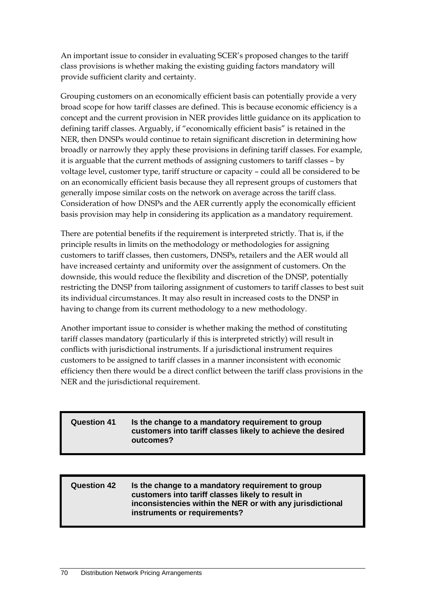An important issue to consider in evaluating SCER's proposed changes to the tariff class provisions is whether making the existing guiding factors mandatory will provide sufficient clarity and certainty.

Grouping customers on an economically efficient basis can potentially provide a very broad scope for how tariff classes are defined. This is because economic efficiency is a concept and the current provision in NER provides little guidance on its application to defining tariff classes. Arguably, if "economically efficient basis" is retained in the NER, then DNSPs would continue to retain significant discretion in determining how broadly or narrowly they apply these provisions in defining tariff classes. For example, it is arguable that the current methods of assigning customers to tariff classes – by voltage level, customer type, tariff structure or capacity – could all be considered to be on an economically efficient basis because they all represent groups of customers that generally impose similar costs on the network on average across the tariff class. Consideration of how DNSPs and the AER currently apply the economically efficient basis provision may help in considering its application as a mandatory requirement.

There are potential benefits if the requirement is interpreted strictly. That is, if the principle results in limits on the methodology or methodologies for assigning customers to tariff classes, then customers, DNSPs, retailers and the AER would all have increased certainty and uniformity over the assignment of customers. On the downside, this would reduce the flexibility and discretion of the DNSP, potentially restricting the DNSP from tailoring assignment of customers to tariff classes to best suit its individual circumstances. It may also result in increased costs to the DNSP in having to change from its current methodology to a new methodology.

Another important issue to consider is whether making the method of constituting tariff classes mandatory (particularly if this is interpreted strictly) will result in conflicts with jurisdictional instruments. If a jurisdictional instrument requires customers to be assigned to tariff classes in a manner inconsistent with economic efficiency then there would be a direct conflict between the tariff class provisions in the NER and the jurisdictional requirement.

### **Question 41 Is the change to a mandatory requirement to group customers into tariff classes likely to achieve the desired outcomes?**

#### <span id="page-75-1"></span><span id="page-75-0"></span>**Question 42 Is the change to a mandatory requirement to group customers into tariff classes likely to result in inconsistencies within the NER or with any jurisdictional instruments or requirements?**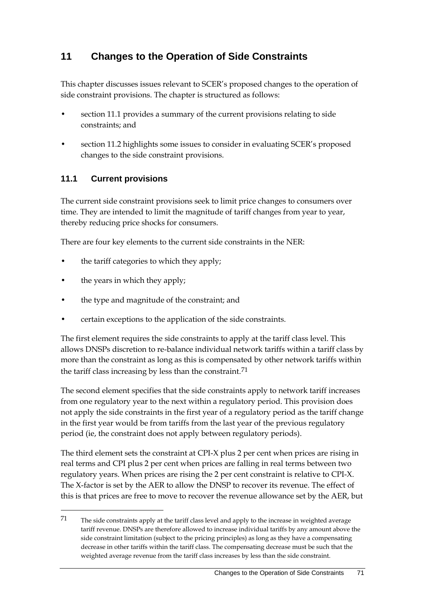# **11 Changes to the Operation of Side Constraints**

This chapter discusses issues relevant to SCER's proposed changes to the operation of side constraint provisions. The chapter is structured as follows:

- section 11.1 provides a summary of the current provisions relating to side constraints; and
- section 11.2 highlights some issues to consider in evaluating SCER's proposed changes to the side constraint provisions.

## **11.1 Current provisions**

The current side constraint provisions seek to limit price changes to consumers over time. They are intended to limit the magnitude of tariff changes from year to year, thereby reducing price shocks for consumers.

There are four key elements to the current side constraints in the NER:

- the tariff categories to which they apply;
- the years in which they apply;

-

- the type and magnitude of the constraint; and
- certain exceptions to the application of the side constraints.

The first element requires the side constraints to apply at the tariff class level. This allows DNSPs discretion to re-balance individual network tariffs within a tariff class by more than the constraint as long as this is compensated by other network tariffs within the tariff class increasing by less than the constraint.<sup>[71](#page-77-0)</sup>

The second element specifies that the side constraints apply to network tariff increases from one regulatory year to the next within a regulatory period. This provision does not apply the side constraints in the first year of a regulatory period as the tariff change in the first year would be from tariffs from the last year of the previous regulatory period (ie, the constraint does not apply between regulatory periods).

The third element sets the constraint at CPI-X plus 2 per cent when prices are rising in real terms and CPI plus 2 per cent when prices are falling in real terms between two regulatory years. When prices are rising the 2 per cent constraint is relative to CPI-X. The X-factor is set by the AER to allow the DNSP to recover its revenue. The effect of this is that prices are free to move to recover the revenue allowance set by the AER, but

 $71$  The side constraints apply at the tariff class level and apply to the increase in weighted average tariff revenue. DNSPs are therefore allowed to increase individual tariffs by any amount above the side constraint limitation (subject to the pricing principles) as long as they have a compensating decrease in other tariffs within the tariff class. The compensating decrease must be such that the weighted average revenue from the tariff class increases by less than the side constraint.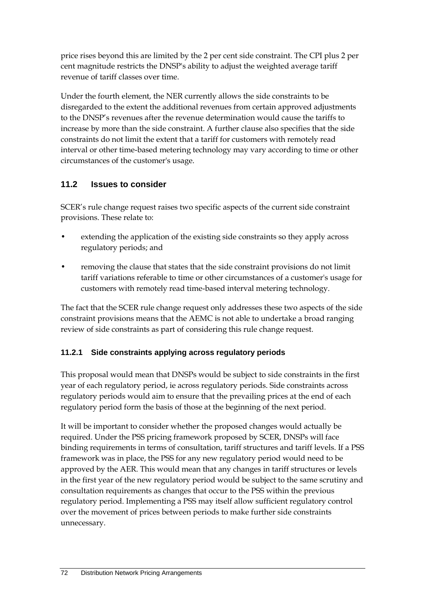price rises beyond this are limited by the 2 per cent side constraint. The CPI plus 2 per cent magnitude restricts the DNSP's ability to adjust the weighted average tariff revenue of tariff classes over time.

Under the fourth element, the NER currently allows the side constraints to be disregarded to the extent the additional revenues from certain approved adjustments to the DNSP's revenues after the revenue determination would cause the tariffs to increase by more than the side constraint. A further clause also specifies that the side constraints do not limit the extent that a tariff for customers with remotely read interval or other time-based metering technology may vary according to time or other circumstances of the customer's usage.

### **11.2 Issues to consider**

SCER's rule change request raises two specific aspects of the current side constraint provisions. These relate to:

- extending the application of the existing side constraints so they apply across regulatory periods; and
- removing the clause that states that the side constraint provisions do not limit tariff variations referable to time or other circumstances of a customer's usage for customers with remotely read time-based interval metering technology.

The fact that the SCER rule change request only addresses these two aspects of the side constraint provisions means that the AEMC is not able to undertake a broad ranging review of side constraints as part of considering this rule change request.

### **11.2.1 Side constraints applying across regulatory periods**

This proposal would mean that DNSPs would be subject to side constraints in the first year of each regulatory period, ie across regulatory periods. Side constraints across regulatory periods would aim to ensure that the prevailing prices at the end of each regulatory period form the basis of those at the beginning of the next period.

<span id="page-77-0"></span>It will be important to consider whether the proposed changes would actually be required. Under the PSS pricing framework proposed by SCER, DNSPs will face binding requirements in terms of consultation, tariff structures and tariff levels. If a PSS framework was in place, the PSS for any new regulatory period would need to be approved by the AER. This would mean that any changes in tariff structures or levels in the first year of the new regulatory period would be subject to the same scrutiny and consultation requirements as changes that occur to the PSS within the previous regulatory period. Implementing a PSS may itself allow sufficient regulatory control over the movement of prices between periods to make further side constraints unnecessary.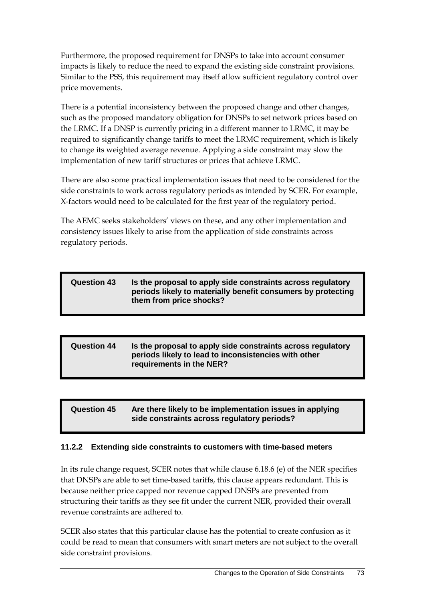Furthermore, the proposed requirement for DNSPs to take into account consumer impacts is likely to reduce the need to expand the existing side constraint provisions. Similar to the PSS, this requirement may itself allow sufficient regulatory control over price movements.

There is a potential inconsistency between the proposed change and other changes, such as the proposed mandatory obligation for DNSPs to set network prices based on the LRMC. If a DNSP is currently pricing in a different manner to LRMC, it may be required to significantly change tariffs to meet the LRMC requirement, which is likely to change its weighted average revenue. Applying a side constraint may slow the implementation of new tariff structures or prices that achieve LRMC.

There are also some practical implementation issues that need to be considered for the side constraints to work across regulatory periods as intended by SCER. For example, X-factors would need to be calculated for the first year of the regulatory period.

The AEMC seeks stakeholders' views on these, and any other implementation and consistency issues likely to arise from the application of side constraints across regulatory periods.

| <b>Question 43</b> | Is the proposal to apply side constraints across regulatory<br>periods likely to materially benefit consumers by protecting<br>them from price shocks? |
|--------------------|--------------------------------------------------------------------------------------------------------------------------------------------------------|
|                    |                                                                                                                                                        |

#### **Question 44 Is the proposal to apply side constraints across regulatory periods likely to lead to inconsistencies with other requirements in the NER?**

#### **Question 45 Are there likely to be implementation issues in applying side constraints across regulatory periods?**

#### **11.2.2 Extending side constraints to customers with time-based meters**

In its rule change request, SCER notes that while clause 6.18.6 (e) of the NER specifies that DNSPs are able to set time-based tariffs, this clause appears redundant. This is because neither price capped nor revenue capped DNSPs are prevented from structuring their tariffs as they see fit under the current NER, provided their overall revenue constraints are adhered to.

SCER also states that this particular clause has the potential to create confusion as it could be read to mean that consumers with smart meters are not subject to the overall side constraint provisions.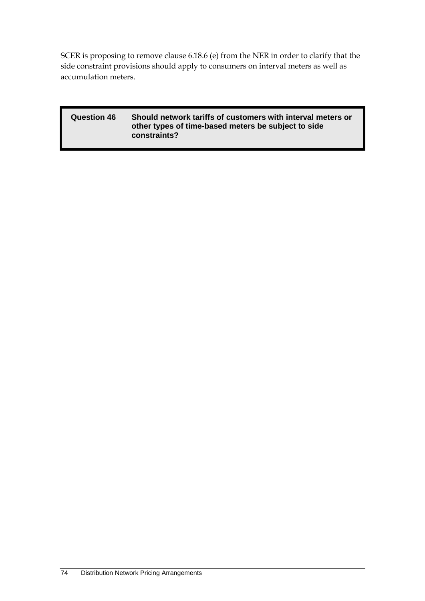SCER is proposing to remove clause 6.18.6 (e) from the NER in order to clarify that the side constraint provisions should apply to consumers on interval meters as well as accumulation meters.

| <b>Question 46</b> | Should network tariffs of customers with interval meters or<br>other types of time-based meters be subject to side<br>constraints? |
|--------------------|------------------------------------------------------------------------------------------------------------------------------------|
|                    |                                                                                                                                    |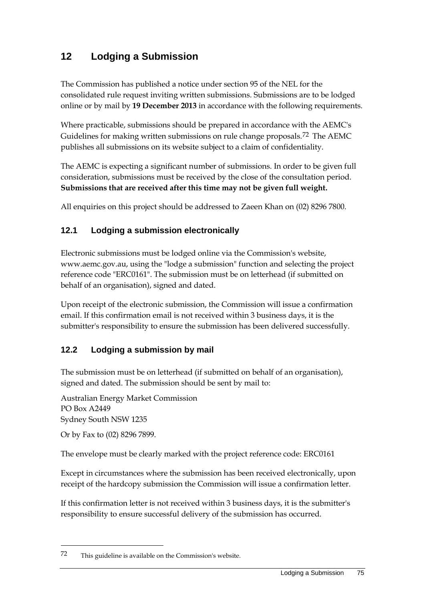# **12 Lodging a Submission**

The Commission has published a notice under section 95 of the NEL for the consolidated rule request inviting written submissions. Submissions are to be lodged online or by mail by **19 December 2013** in accordance with the following requirements.

Where practicable, submissions should be prepared in accordance with the AEMC's Guidelines for making written submissions on rule change proposals.<sup>[72](#page-81-0)</sup> The AEMC publishes all submissions on its website subject to a claim of confidentiality.

The AEMC is expecting a significant number of submissions. In order to be given full consideration, submissions must be received by the close of the consultation period. **Submissions that are received after this time may not be given full weight.**

All enquiries on this project should be addressed to Zaeen Khan on (02) 8296 7800.

## **12.1 Lodging a submission electronically**

Electronic submissions must be lodged online via the Commission's website, www.aemc.gov.au, using the "lodge a submission" function and selecting the project reference code "ERC0161". The submission must be on letterhead (if submitted on behalf of an organisation), signed and dated.

Upon receipt of the electronic submission, the Commission will issue a confirmation email. If this confirmation email is not received within 3 business days, it is the submitter's responsibility to ensure the submission has been delivered successfully.

## **12.2 Lodging a submission by mail**

The submission must be on letterhead (if submitted on behalf of an organisation), signed and dated. The submission should be sent by mail to:

Australian Energy Market Commission PO Box A2449 Sydney South NSW 1235

Or by Fax to (02) 8296 7899.

-

The envelope must be clearly marked with the project reference code: ERC0161

Except in circumstances where the submission has been received electronically, upon receipt of the hardcopy submission the Commission will issue a confirmation letter.

If this confirmation letter is not received within 3 business days, it is the submitter's responsibility to ensure successful delivery of the submission has occurred.

<sup>72</sup> This guideline is available on the Commission's website.